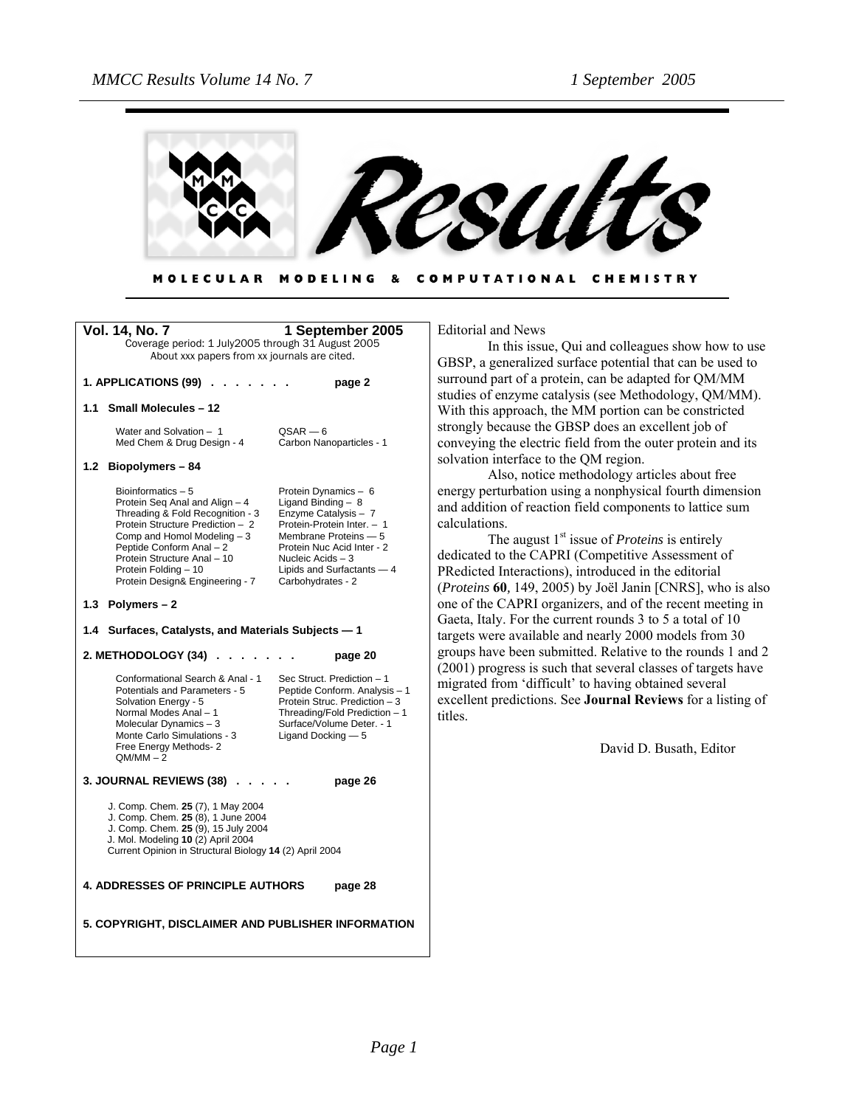

#### MODELING & COMPUTATIONAL CHEMISTRY **MOLECULAR**

| <b>Vol. 14, No. 7</b>                                                                                                                                                                                                                                                              | 1 September 2005                                                                                                                                                                                                                 |  |  |  |
|------------------------------------------------------------------------------------------------------------------------------------------------------------------------------------------------------------------------------------------------------------------------------------|----------------------------------------------------------------------------------------------------------------------------------------------------------------------------------------------------------------------------------|--|--|--|
| Coverage period: 1 July2005 through 31 August 2005                                                                                                                                                                                                                                 |                                                                                                                                                                                                                                  |  |  |  |
| About xxx papers from xx journals are cited.                                                                                                                                                                                                                                       |                                                                                                                                                                                                                                  |  |  |  |
| 1. APPLICATIONS (99) .                                                                                                                                                                                                                                                             | page 2                                                                                                                                                                                                                           |  |  |  |
| 1.1<br><b>Small Molecules - 12</b>                                                                                                                                                                                                                                                 |                                                                                                                                                                                                                                  |  |  |  |
| Water and Solvation - 1<br>Med Chem & Drug Design - 4                                                                                                                                                                                                                              | $QSAR - 6$<br>Carbon Nanoparticles - 1                                                                                                                                                                                           |  |  |  |
| 1.2 Biopolymers - 84                                                                                                                                                                                                                                                               |                                                                                                                                                                                                                                  |  |  |  |
| Bioinformatics $-5$<br>Protein Seq Anal and Align - 4<br>Threading & Fold Recognition - 3<br>Protein Structure Prediction - 2<br>Comp and Homol Modeling - 3<br>Peptide Conform Anal - 2<br>Protein Structure Anal - 10<br>Protein Folding - 10<br>Protein Design& Engineering - 7 | Protein Dynamics - 6<br>Ligand Binding $-8$<br>Enzyme Catalysis - 7<br>Protein-Protein Inter. - 1<br>Membrane Proteins - 5<br>Protein Nuc Acid Inter - 2<br>Nucleic Acids - 3<br>Lipids and Surfactants - 4<br>Carbohydrates - 2 |  |  |  |
| 1.3 Polymers-2                                                                                                                                                                                                                                                                     |                                                                                                                                                                                                                                  |  |  |  |
| 1.4 Surfaces, Catalysts, and Materials Subjects - 1                                                                                                                                                                                                                                |                                                                                                                                                                                                                                  |  |  |  |
| 2. METHODOLOGY (34)                                                                                                                                                                                                                                                                | page 20                                                                                                                                                                                                                          |  |  |  |
| Conformational Search & Anal - 1<br>Potentials and Parameters - 5<br>Solvation Energy - 5<br>Normal Modes Anal - 1<br>Molecular Dynamics - 3<br>Monte Carlo Simulations - 3<br>Free Energy Methods- 2<br>$QM/MM - 2$                                                               | Sec Struct. Prediction - 1<br>Peptide Conform. Analysis - 1<br>Protein Struc. Prediction - 3<br>Threading/Fold Prediction - 1<br>Surface/Volume Deter. - 1<br>Ligand Docking - 5                                                 |  |  |  |
| <b>3. JOURNAL REVIEWS (38)</b><br>page 26                                                                                                                                                                                                                                          |                                                                                                                                                                                                                                  |  |  |  |
| J. Comp. Chem. 25 (7), 1 May 2004<br>J. Comp. Chem. 25 (8), 1 June 2004<br>J. Comp. Chem. 25 (9), 15 July 2004<br>J. Mol. Modeling 10 (2) April 2004<br>Current Opinion in Structural Biology 14 (2) April 2004                                                                    |                                                                                                                                                                                                                                  |  |  |  |
| <b>4. ADDRESSES OF PRINCIPLE AUTHORS</b><br>page 28                                                                                                                                                                                                                                |                                                                                                                                                                                                                                  |  |  |  |
| 5. COPYRIGHT, DISCLAIMER AND PUBLISHER INFORMATION                                                                                                                                                                                                                                 |                                                                                                                                                                                                                                  |  |  |  |

Editorial and News

In this issue, Qui and colleagues show how to use GBSP, a generalized surface potential that can be used to surround part of a protein, can be adapted for QM/MM studies of enzyme catalysis (see Methodology, QM/MM). With this approach, the MM portion can be constricted strongly because the GBSP does an excellent job of conveying the electric field from the outer protein and its solvation interface to the QM region.

Also, notice methodology articles about free energy perturbation using a nonphysical fourth dimension and addition of reaction field components to lattice sum calculations.

The august 1<sup>st</sup> issue of *Proteins* is entirely dedicated to the CAPRI (Competitive Assessment of PRedicted Interactions), introduced in the editorial (*Proteins* **60***,* 149, 2005) by Joël Janin [CNRS], who is also one of the CAPRI organizers, and of the recent meeting in Gaeta, Italy. For the current rounds 3 to 5 a total of 10 targets were available and nearly 2000 models from 30 groups have been submitted. Relative to the rounds 1 and 2 (2001) progress is such that several classes of targets have migrated from 'difficult' to having obtained several excellent predictions. See **Journal Reviews** for a listing of titles.

David D. Busath, Editor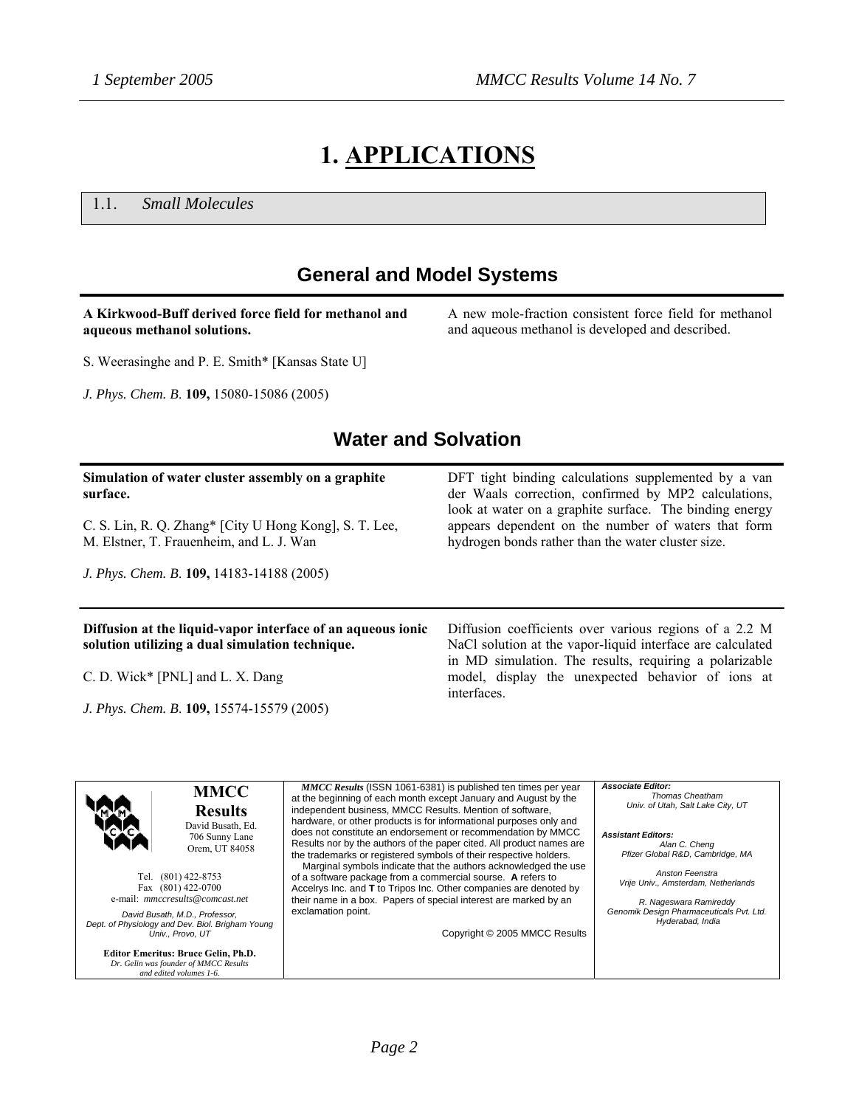# **1. APPLICATIONS**

1.1. *Small Molecules*

### **General and Model Systems**

#### **A Kirkwood-Buff derived force field for methanol and aqueous methanol solutions.**

A new mole-fraction consistent force field for methanol and aqueous methanol is developed and described.

S. Weerasinghe and P. E. Smith\* [Kansas State U]

*J. Phys. Chem. B*. **109,** 15080-15086 (2005)

### **Water and Solvation**

#### **Simulation of water cluster assembly on a graphite surface.**  C. S. Lin, R. Q. Zhang\* [City U Hong Kong], S. T. Lee, M. Elstner, T. Frauenheim, and L. J. Wan *J. Phys. Chem. B*. **109,** 14183-14188 (2005) DFT tight binding calculations supplemented by a van der Waals correction, confirmed by MP2 calculations, look at water on a graphite surface. The binding energy appears dependent on the number of waters that form hydrogen bonds rather than the water cluster size. **Diffusion at the liquid-vapor interface of an aqueous ionic solution utilizing a dual simulation technique.**  C. D. Wick\* [PNL] and L. X. Dang Diffusion coefficients over various regions of a 2.2 M NaCl solution at the vapor-liquid interface are calculated in MD simulation. The results, requiring a polarizable model, display the unexpected behavior of ions at

*J. Phys. Chem. B*. **109,** 15574-15579 (2005)

interfaces.

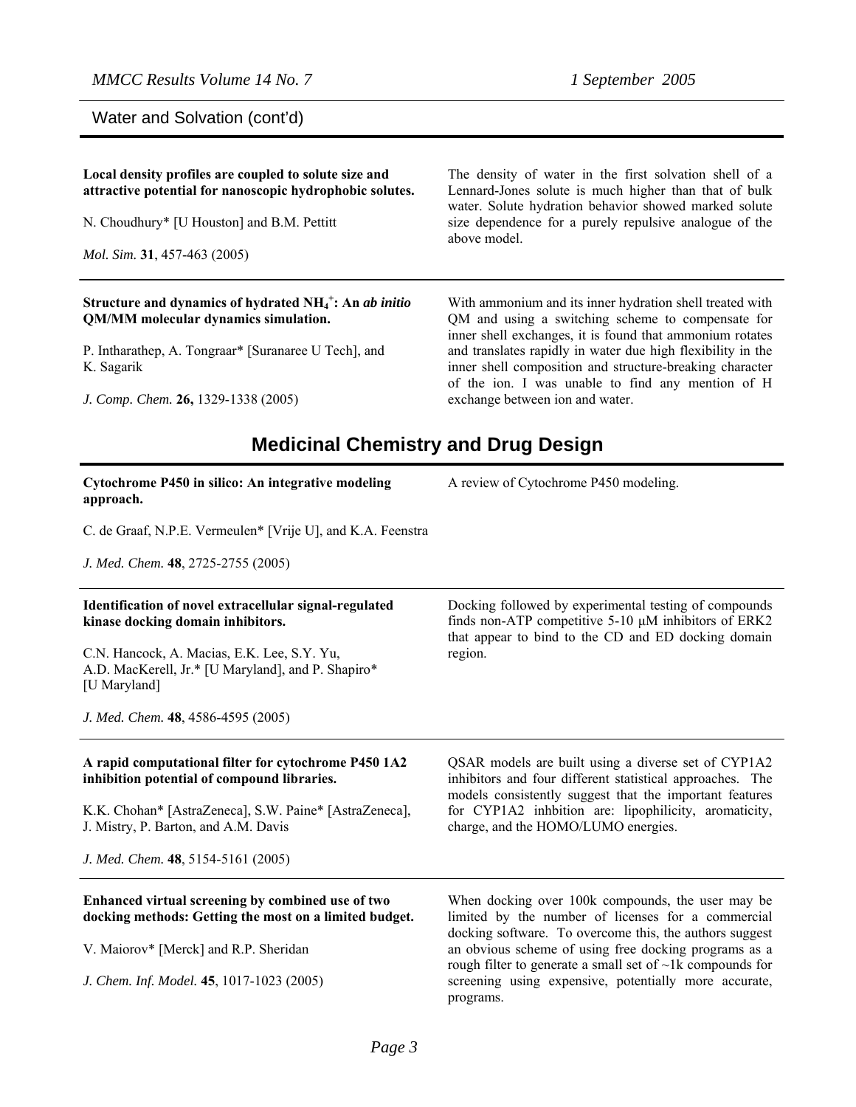Water and Solvation (cont'd)

| Local density profiles are coupled to solute size and<br>attractive potential for nanoscopic hydrophobic solutes.<br>N. Choudhury* [U Houston] and B.M. Pettitt<br>Mol. Sim. 31, 457-463 (2005)                                                               | The density of water in the first solvation shell of a<br>Lennard-Jones solute is much higher than that of bulk<br>water. Solute hydration behavior showed marked solute<br>size dependence for a purely repulsive analogue of the<br>above model.                                                                                                                                           |
|---------------------------------------------------------------------------------------------------------------------------------------------------------------------------------------------------------------------------------------------------------------|----------------------------------------------------------------------------------------------------------------------------------------------------------------------------------------------------------------------------------------------------------------------------------------------------------------------------------------------------------------------------------------------|
| Structure and dynamics of hydrated $NH_4^+$ : An ab initio<br>QM/MM molecular dynamics simulation.<br>P. Intharathep, A. Tongraar* [Suranaree U Tech], and<br>K. Sagarik<br>J. Comp. Chem. 26, 1329-1338 (2005)<br><b>Medicinal Chemistry and Drug Design</b> | With ammonium and its inner hydration shell treated with<br>QM and using a switching scheme to compensate for<br>inner shell exchanges, it is found that ammonium rotates<br>and translates rapidly in water due high flexibility in the<br>inner shell composition and structure-breaking character<br>of the ion. I was unable to find any mention of H<br>exchange between ion and water. |
| Cytochrome P450 in silico: An integrative modeling<br>approach.                                                                                                                                                                                               | A review of Cytochrome P450 modeling.                                                                                                                                                                                                                                                                                                                                                        |
| C. de Graaf, N.P.E. Vermeulen* [Vrije U], and K.A. Feenstra                                                                                                                                                                                                   |                                                                                                                                                                                                                                                                                                                                                                                              |
| J. Med. Chem. 48, 2725-2755 (2005)                                                                                                                                                                                                                            |                                                                                                                                                                                                                                                                                                                                                                                              |
| Identification of novel extracellular signal-regulated<br>kinase docking domain inhibitors.<br>C.N. Hancock, A. Macias, E.K. Lee, S.Y. Yu,<br>A.D. MacKerell, Jr.* [U Maryland], and P. Shapiro*<br>[U Maryland]                                              | Docking followed by experimental testing of compounds<br>finds non-ATP competitive $5-10 \mu M$ inhibitors of ERK2<br>that appear to bind to the CD and ED docking domain<br>region.                                                                                                                                                                                                         |
| J. Med. Chem. 48, 4586-4595 (2005)                                                                                                                                                                                                                            |                                                                                                                                                                                                                                                                                                                                                                                              |
| A rapid computational filter for cytochrome P450 1A2<br>inhibition potential of compound libraries.<br>K.K. Chohan* [AstraZeneca], S.W. Paine* [AstraZeneca],<br>J. Mistry, P. Barton, and A.M. Davis<br>J. Med. Chem. 48, 5154-5161 (2005)                   | QSAR models are built using a diverse set of CYP1A2<br>inhibitors and four different statistical approaches. The<br>models consistently suggest that the important features<br>for CYP1A2 inhbition are: lipophilicity, aromaticity,<br>charge, and the HOMO/LUMO energies.                                                                                                                  |
|                                                                                                                                                                                                                                                               |                                                                                                                                                                                                                                                                                                                                                                                              |
| Enhanced virtual screening by combined use of two<br>docking methods: Getting the most on a limited budget.<br>V. Maiorov* [Merck] and R.P. Sheridan<br>J. Chem. Inf. Model. 45, 1017-1023 (2005)                                                             | When docking over 100k compounds, the user may be<br>limited by the number of licenses for a commercial<br>docking software. To overcome this, the authors suggest<br>an obvious scheme of using free docking programs as a<br>rough filter to generate a small set of $\neg$ 1k compounds for<br>screening using expensive, potentially more accurate,<br>programs.                         |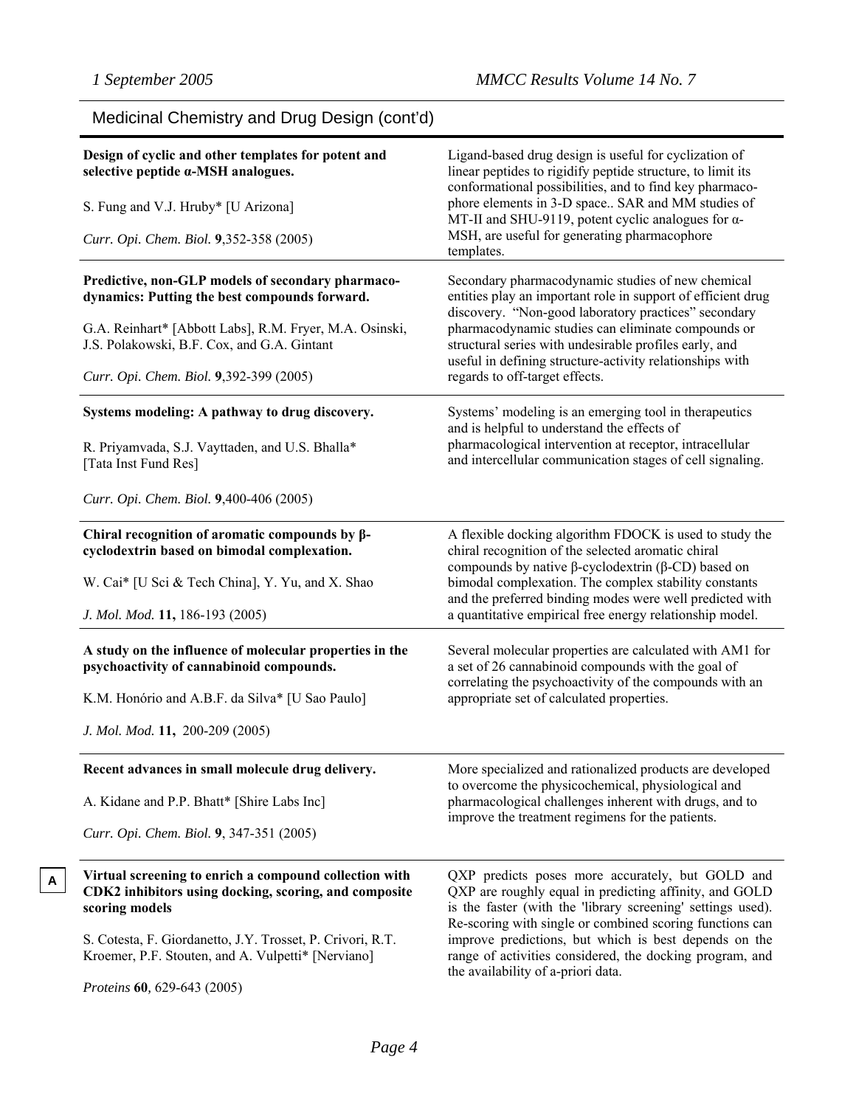**A**

| Medicinal Chemistry and Drug Design (cont'd)                                                                                                                  |                                                                                                                                                                                                                                       |  |  |  |
|---------------------------------------------------------------------------------------------------------------------------------------------------------------|---------------------------------------------------------------------------------------------------------------------------------------------------------------------------------------------------------------------------------------|--|--|--|
| Design of cyclic and other templates for potent and<br>selective peptide a-MSH analogues.                                                                     | Ligand-based drug design is useful for cyclization of<br>linear peptides to rigidify peptide structure, to limit its<br>conformational possibilities, and to find key pharmaco-                                                       |  |  |  |
| S. Fung and V.J. Hruby* [U Arizona]                                                                                                                           | phore elements in 3-D space SAR and MM studies of<br>MT-II and SHU-9119, potent cyclic analogues for $\alpha$ -                                                                                                                       |  |  |  |
| Curr. Opi. Chem. Biol. 9,352-358 (2005)                                                                                                                       | MSH, are useful for generating pharmacophore<br>templates.                                                                                                                                                                            |  |  |  |
| Predictive, non-GLP models of secondary pharmaco-<br>dynamics: Putting the best compounds forward.<br>G.A. Reinhart* [Abbott Labs], R.M. Fryer, M.A. Osinski, | Secondary pharmacodynamic studies of new chemical<br>entities play an important role in support of efficient drug<br>discovery. "Non-good laboratory practices" secondary<br>pharmacodynamic studies can eliminate compounds or       |  |  |  |
| J.S. Polakowski, B.F. Cox, and G.A. Gintant                                                                                                                   | structural series with undesirable profiles early, and<br>useful in defining structure-activity relationships with                                                                                                                    |  |  |  |
| Curr. Opi. Chem. Biol. 9,392-399 (2005)                                                                                                                       | regards to off-target effects.                                                                                                                                                                                                        |  |  |  |
| Systems modeling: A pathway to drug discovery.                                                                                                                | Systems' modeling is an emerging tool in therapeutics<br>and is helpful to understand the effects of                                                                                                                                  |  |  |  |
| R. Priyamvada, S.J. Vayttaden, and U.S. Bhalla*<br>[Tata Inst Fund Res]                                                                                       | pharmacological intervention at receptor, intracellular<br>and intercellular communication stages of cell signaling.                                                                                                                  |  |  |  |
| Curr. Opi. Chem. Biol. 9,400-406 (2005)                                                                                                                       |                                                                                                                                                                                                                                       |  |  |  |
| Chiral recognition of aromatic compounds by $\beta$ -<br>cyclodextrin based on bimodal complexation.                                                          | A flexible docking algorithm FDOCK is used to study the<br>chiral recognition of the selected aromatic chiral<br>compounds by native $\beta$ -cyclodextrin ( $\beta$ -CD) based on                                                    |  |  |  |
| W. Cai* [U Sci & Tech China], Y. Yu, and X. Shao                                                                                                              | bimodal complexation. The complex stability constants<br>and the preferred binding modes were well predicted with                                                                                                                     |  |  |  |
| J. Mol. Mod. 11, 186-193 (2005)                                                                                                                               | a quantitative empirical free energy relationship model.                                                                                                                                                                              |  |  |  |
| A study on the influence of molecular properties in the<br>psychoactivity of cannabinoid compounds.                                                           | Several molecular properties are calculated with AM1 for<br>a set of 26 cannabinoid compounds with the goal of                                                                                                                        |  |  |  |
| K.M. Honório and A.B.F. da Silva* [U Sao Paulo]                                                                                                               | correlating the psychoactivity of the compounds with an<br>appropriate set of calculated properties.                                                                                                                                  |  |  |  |
| J. Mol. Mod. 11, 200-209 (2005)                                                                                                                               |                                                                                                                                                                                                                                       |  |  |  |
| Recent advances in small molecule drug delivery.                                                                                                              | More specialized and rationalized products are developed<br>to overcome the physicochemical, physiological and                                                                                                                        |  |  |  |
| A. Kidane and P.P. Bhatt* [Shire Labs Inc]                                                                                                                    | pharmacological challenges inherent with drugs, and to                                                                                                                                                                                |  |  |  |
| Curr. Opi. Chem. Biol. 9, 347-351 (2005)                                                                                                                      | improve the treatment regimens for the patients.                                                                                                                                                                                      |  |  |  |
| Virtual screening to enrich a compound collection with<br>CDK2 inhibitors using docking, scoring, and composite<br>scoring models                             | QXP predicts poses more accurately, but GOLD and<br>QXP are roughly equal in predicting affinity, and GOLD<br>is the faster (with the 'library screening' settings used).<br>Re-scoring with single or combined scoring functions can |  |  |  |
| S. Cotesta, F. Giordanetto, J.Y. Trosset, P. Crivori, R.T.<br>Kroemer, P.F. Stouten, and A. Vulpetti* [Nerviano]                                              | improve predictions, but which is best depends on the<br>range of activities considered, the docking program, and<br>the availability of a-priori data.                                                                               |  |  |  |
| Proteins 60, 629-643 (2005)                                                                                                                                   |                                                                                                                                                                                                                                       |  |  |  |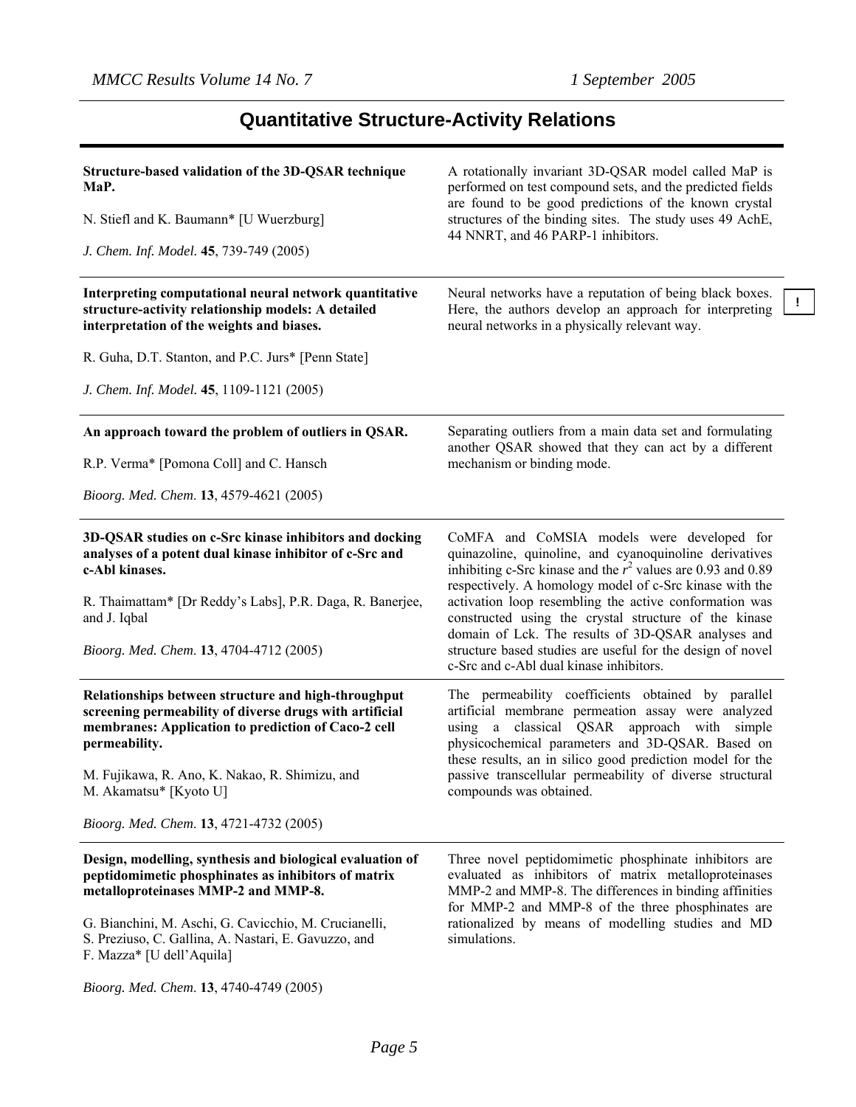# **Quantitative Structure-Activity Relations**

| Structure-based validation of the 3D-QSAR technique                                                                                                                                    | A rotationally invariant 3D-QSAR model called MaP is                                                                                                                                                                              |  |  |  |  |
|----------------------------------------------------------------------------------------------------------------------------------------------------------------------------------------|-----------------------------------------------------------------------------------------------------------------------------------------------------------------------------------------------------------------------------------|--|--|--|--|
| MaP.                                                                                                                                                                                   | performed on test compound sets, and the predicted fields<br>are found to be good predictions of the known crystal<br>structures of the binding sites. The study uses 49 AchE,<br>44 NNRT, and 46 PARP-1 inhibitors.              |  |  |  |  |
| N. Stiefl and K. Baumann* [U Wuerzburg]                                                                                                                                                |                                                                                                                                                                                                                                   |  |  |  |  |
| J. Chem. Inf. Model. 45, 739-749 (2005)                                                                                                                                                |                                                                                                                                                                                                                                   |  |  |  |  |
| Interpreting computational neural network quantitative<br>structure-activity relationship models: A detailed<br>interpretation of the weights and biases.                              | Neural networks have a reputation of being black boxes.<br>Here, the authors develop an approach for interpreting<br>neural networks in a physically relevant way.                                                                |  |  |  |  |
| R. Guha, D.T. Stanton, and P.C. Jurs* [Penn State]                                                                                                                                     |                                                                                                                                                                                                                                   |  |  |  |  |
| J. Chem. Inf. Model. 45, 1109-1121 (2005)                                                                                                                                              |                                                                                                                                                                                                                                   |  |  |  |  |
| An approach toward the problem of outliers in QSAR.                                                                                                                                    | Separating outliers from a main data set and formulating                                                                                                                                                                          |  |  |  |  |
| R.P. Verma* [Pomona Coll] and C. Hansch                                                                                                                                                | another QSAR showed that they can act by a different<br>mechanism or binding mode.                                                                                                                                                |  |  |  |  |
| Bioorg. Med. Chem. 13, 4579-4621 (2005)                                                                                                                                                |                                                                                                                                                                                                                                   |  |  |  |  |
| 3D-QSAR studies on c-Src kinase inhibitors and docking<br>analyses of a potent dual kinase inhibitor of c-Src and<br>c-Abl kinases.                                                    | CoMFA and CoMSIA models were developed for<br>quinazoline, quinoline, and cyanoquinoline derivatives<br>inhibiting c-Src kinase and the $r^2$ values are 0.93 and 0.89<br>respectively. A homology model of c-Src kinase with the |  |  |  |  |
| R. Thaimattam* [Dr Reddy's Labs], P.R. Daga, R. Banerjee,<br>and J. Iqbal                                                                                                              | activation loop resembling the active conformation was<br>constructed using the crystal structure of the kinase<br>domain of Lck. The results of 3D-QSAR analyses and                                                             |  |  |  |  |
| Bioorg. Med. Chem. 13, 4704-4712 (2005)                                                                                                                                                | structure based studies are useful for the design of novel<br>c-Src and c-Abl dual kinase inhibitors.                                                                                                                             |  |  |  |  |
| Relationships between structure and high-throughput<br>screening permeability of diverse drugs with artificial<br>membranes: Application to prediction of Caco-2 cell<br>permeability. | The permeability coefficients obtained by parallel<br>artificial membrane permeation assay were analyzed<br>using a classical QSAR approach with simple<br>physicochemical parameters and 3D-QSAR. Based on                       |  |  |  |  |
| M. Fujikawa, R. Ano, K. Nakao, R. Shimizu, and<br>M. Akamatsu* [Kyoto U]                                                                                                               | these results, an in silico good prediction model for the<br>passive transcellular permeability of diverse structural<br>compounds was obtained.                                                                                  |  |  |  |  |
| Bioorg. Med. Chem. 13, 4721-4732 (2005)                                                                                                                                                |                                                                                                                                                                                                                                   |  |  |  |  |
| Design, modelling, synthesis and biological evaluation of<br>peptidomimetic phosphinates as inhibitors of matrix<br>metalloproteinases MMP-2 and MMP-8.                                | Three novel peptidomimetic phosphinate inhibitors are<br>evaluated as inhibitors of matrix metalloproteinases<br>MMP-2 and MMP-8. The differences in binding affinities                                                           |  |  |  |  |
| G. Bianchini, M. Aschi, G. Cavicchio, M. Crucianelli,<br>S. Preziuso, C. Gallina, A. Nastari, E. Gavuzzo, and<br>F. Mazza* [U dell'Aquila]                                             | for MMP-2 and MMP-8 of the three phosphinates are<br>rationalized by means of modelling studies and MD<br>simulations.                                                                                                            |  |  |  |  |
| Bioorg. Med. Chem. 13, 4740-4749 (2005)                                                                                                                                                |                                                                                                                                                                                                                                   |  |  |  |  |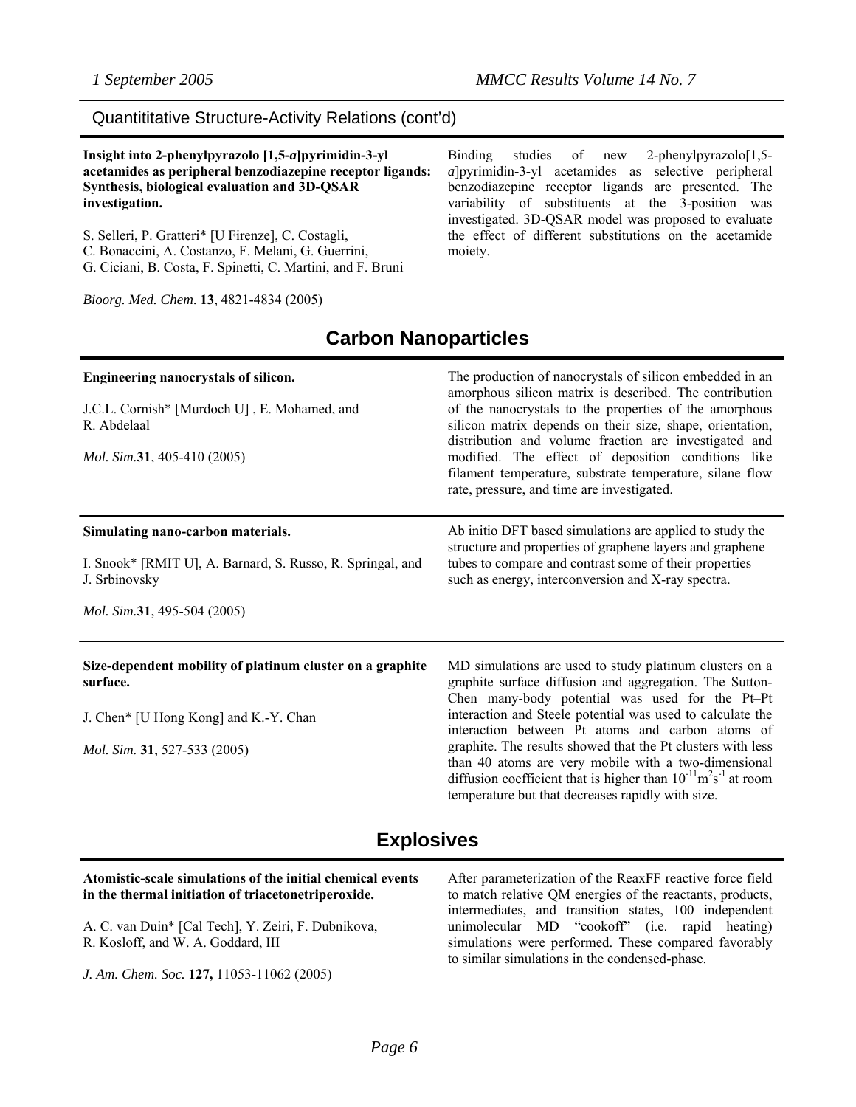### Quantititative Structure-Activity Relations (cont'd)

**Insight into 2-phenylpyrazolo [1,5-***a***]pyrimidin-3-yl acetamides as peripheral benzodiazepine receptor ligands: Synthesis, biological evaluation and 3D-QSAR investigation.** 

S. Selleri, P. Gratteri\* [U Firenze], C. Costagli, C. Bonaccini, A. Costanzo, F. Melani, G. Guerrini, G. Ciciani, B. Costa, F. Spinetti, C. Martini, and F. Bruni

*Bioorg. Med. Chem*. **13**, 4821-4834 (2005)

Binding studies of new 2-phenylpyrazolo<sup>[1,5-]</sup> *a*]pyrimidin-3-yl acetamides as selective peripheral benzodiazepine receptor ligands are presented. The variability of substituents at the 3-position was investigated. 3D-QSAR model was proposed to evaluate the effect of different substitutions on the acetamide moiety.

### **Carbon Nanoparticles**

| Engineering nanocrystals of silicon.<br>J.C.L. Cornish* [Murdoch U], E. Mohamed, and<br>R. Abdelaal<br><i>Mol. Sim.31, 405-410 (2005)</i> | The production of nanocrystals of silicon embedded in an<br>amorphous silicon matrix is described. The contribution<br>of the nanocrystals to the properties of the amorphous<br>silicon matrix depends on their size, shape, orientation,<br>distribution and volume fraction are investigated and<br>modified. The effect of deposition conditions like<br>filament temperature, substrate temperature, silane flow<br>rate, pressure, and time are investigated. |  |  |  |
|-------------------------------------------------------------------------------------------------------------------------------------------|---------------------------------------------------------------------------------------------------------------------------------------------------------------------------------------------------------------------------------------------------------------------------------------------------------------------------------------------------------------------------------------------------------------------------------------------------------------------|--|--|--|
| Simulating nano-carbon materials.<br>I. Snook* [RMIT U], A. Barnard, S. Russo, R. Springal, and<br>J. Srbinovsky                          | Ab initio DFT based simulations are applied to study the<br>structure and properties of graphene layers and graphene<br>tubes to compare and contrast some of their properties<br>such as energy, interconversion and X-ray spectra.                                                                                                                                                                                                                                |  |  |  |
| <i>Mol. Sim.31, 495-504 (2005)</i>                                                                                                        |                                                                                                                                                                                                                                                                                                                                                                                                                                                                     |  |  |  |
| Size-dependent mobility of platinum cluster on a graphite<br>surface.<br>J. Chen* [U Hong Kong] and K.-Y. Chan                            | MD simulations are used to study platinum clusters on a<br>graphite surface diffusion and aggregation. The Sutton-<br>Chen many-body potential was used for the Pt-Pt<br>interaction and Steele potential was used to calculate the                                                                                                                                                                                                                                 |  |  |  |
| <i>Mol. Sim.</i> <b>31</b> , 527-533 (2005)                                                                                               | interaction between Pt atoms and carbon atoms of<br>graphite. The results showed that the Pt clusters with less<br>than 40 atoms are very mobile with a two-dimensional<br>diffusion coefficient that is higher than $10^{-11}$ m <sup>2</sup> s <sup>-1</sup> at room<br>temperature but that decreases rapidly with size.                                                                                                                                         |  |  |  |

### **Explosives**

#### **Atomistic-scale simulations of the initial chemical events in the thermal initiation of triacetonetriperoxide.**  A. C. van Duin\* [Cal Tech], Y. Zeiri, F. Dubnikova, R. Kosloff, and W. A. Goddard, III *J. Am. Chem. Soc.* **127,** 11053-11062 (2005) After parameterization of the ReaxFF reactive force field to match relative QM energies of the reactants, products, intermediates, and transition states, 100 independent unimolecular MD "cookoff" (i.e. rapid heating) simulations were performed. These compared favorably to similar simulations in the condensed-phase.

*Page 6*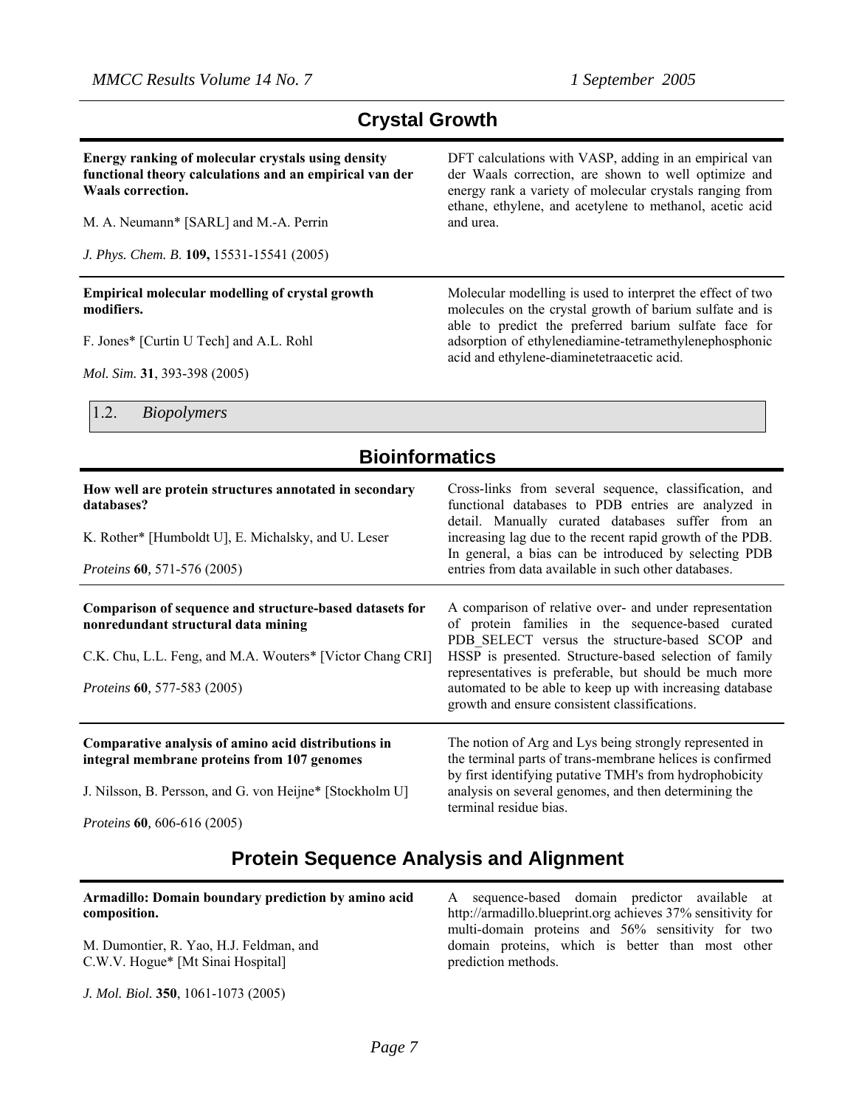### **Crystal Growth**

**Energy ranking of molecular crystals using density functional theory calculations and an empirical van der Waals correction.** 

M. A. Neumann\* [SARL] and M.-A. Perrin

*J. Phys. Chem. B*. **109,** 15531-15541 (2005)

**Empirical molecular modelling of crystal growth modifiers.** 

F. Jones\* [Curtin U Tech] and A.L. Rohl

*Mol. Sim.* **31**, 393-398 (2005)

1.2. *Biopolymers* 

### **Bioinformatics**

| How well are protein structures annotated in secondary<br>databases?<br>K. Rother* [Humboldt U], E. Michalsky, and U. Leser<br><i>Proteins</i> 60, 571-576 (2005)                                    | Cross-links from several sequence, classification, and<br>functional databases to PDB entries are analyzed in<br>detail. Manually curated databases suffer from an<br>increasing lag due to the recent rapid growth of the PDB.<br>In general, a bias can be introduced by selecting PDB<br>entries from data available in such other databases.                                                |
|------------------------------------------------------------------------------------------------------------------------------------------------------------------------------------------------------|-------------------------------------------------------------------------------------------------------------------------------------------------------------------------------------------------------------------------------------------------------------------------------------------------------------------------------------------------------------------------------------------------|
| Comparison of sequence and structure-based datasets for<br>nonredundant structural data mining<br>C.K. Chu, L.L. Feng, and M.A. Wouters* [Victor Chang CRI]<br><i>Proteins</i> 60, 577-583 (2005)    | A comparison of relative over- and under representation<br>of protein families in the sequence-based curated<br>PDB SELECT versus the structure-based SCOP and<br>HSSP is presented. Structure-based selection of family<br>representatives is preferable, but should be much more<br>automated to be able to keep up with increasing database<br>growth and ensure consistent classifications. |
| Comparative analysis of amino acid distributions in<br>integral membrane proteins from 107 genomes<br>J. Nilsson, B. Persson, and G. von Heijne* [Stockholm U]<br>$D_{\text{max}}$ (0 (06 (16 (2005) | The notion of Arg and Lys being strongly represented in<br>the terminal parts of trans-membrane helices is confirmed<br>by first identifying putative TMH's from hydrophobicity<br>analysis on several genomes, and then determining the<br>terminal residue bias.                                                                                                                              |

*Proteins* **60***,* 606-616 (2005)

### **Protein Sequence Analysis and Alignment**

| Armadillo: Domain boundary prediction by amino acid                          | A sequence-based domain predictor available at                                                                               |
|------------------------------------------------------------------------------|------------------------------------------------------------------------------------------------------------------------------|
| composition.                                                                 | http://armadillo.blueprint.org achieves 37% sensitivity for                                                                  |
| M. Dumontier, R. Yao, H.J. Feldman, and<br>C.W.V. Hogue* [Mt Sinai Hospital] | multi-domain proteins and 56% sensitivity for two<br>domain proteins, which is better than most other<br>prediction methods. |

*J. Mol. Biol.* **350**, 1061-1073 (2005)

DFT calculations with VASP, adding in an empirical van der Waals correction, are shown to well optimize and energy rank a variety of molecular crystals ranging from ethane, ethylene, and acetylene to methanol, acetic acid and urea.

Molecular modelling is used to interpret the effect of two molecules on the crystal growth of barium sulfate and is able to predict the preferred barium sulfate face for adsorption of ethylenediamine-tetramethylenephosphonic

acid and ethylene-diaminetetraacetic acid.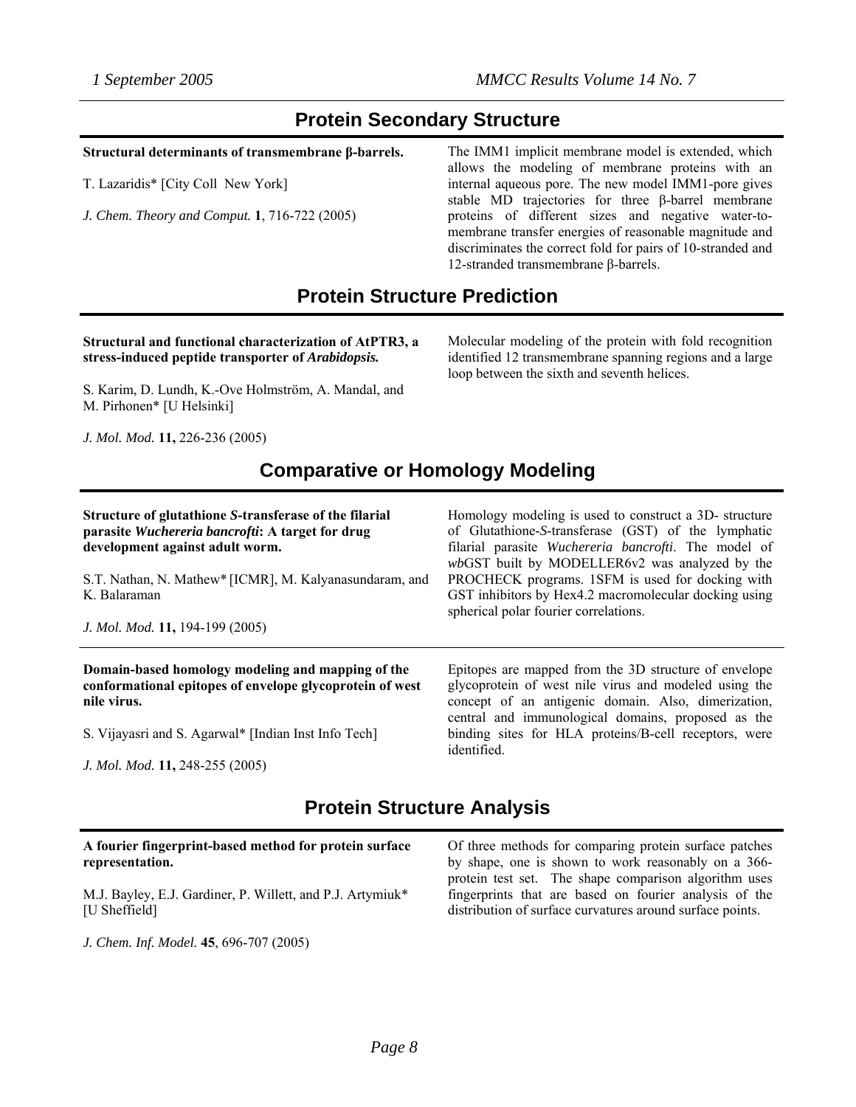### **Protein Secondary Structure**

#### **Structural determinants of transmembrane β-barrels.**

T. Lazaridis\* [City Coll New York]

*J. Chem. Theory and Comput.* **1**, 716-722 (2005)

The IMM1 implicit membrane model is extended, which allows the modeling of membrane proteins with an internal aqueous pore. The new model IMM1-pore gives stable MD trajectories for three β-barrel membrane proteins of different sizes and negative water-tomembrane transfer energies of reasonable magnitude and discriminates the correct fold for pairs of 10-stranded and 12-stranded transmembrane β-barrels.

### **Protein Structure Prediction**

#### **Structural and functional characterization of AtPTR3, a stress-induced peptide transporter of** *Arabidopsis.*

Molecular modeling of the protein with fold recognition identified 12 transmembrane spanning regions and a large loop between the sixth and seventh helices.

S. Karim, D. Lundh, K.-Ove Holmström, A. Mandal, and M. Pirhonen\* [U Helsinki]

*J. Mol. Mod.* **11,** 226-236 (2005)

### **Comparative or Homology Modeling**

| Structure of glutathione S-transferase of the filarial<br>parasite Wuchereria bancrofti: A target for drug<br>development against adult worm.<br>S.T. Nathan, N. Mathew* [ICMR], M. Kalyanasundaram, and<br>K. Balaraman<br>J. Mol. Mod. 11, 194-199 (2005) | Homology modeling is used to construct a 3D- structure<br>of Glutathione-S-transferase (GST) of the lymphatic<br>filarial parasite Wuchereria bancrofti. The model of<br>wbGST built by MODELLER6v2 was analyzed by the<br>PROCHECK programs. 1SFM is used for docking with<br>GST inhibitors by Hex4.2 macromolecular docking using<br>spherical polar fourier correlations. |
|-------------------------------------------------------------------------------------------------------------------------------------------------------------------------------------------------------------------------------------------------------------|-------------------------------------------------------------------------------------------------------------------------------------------------------------------------------------------------------------------------------------------------------------------------------------------------------------------------------------------------------------------------------|
| Domain-based homology modeling and mapping of the<br>conformational epitopes of envelope glycoprotein of west<br>nile virus.<br>S. Vijayasri and S. Agarwal* [Indian Inst Info Tech]                                                                        | Epitopes are mapped from the 3D structure of envelope<br>glycoprotein of west nile virus and modeled using the<br>concept of an antigenic domain. Also, dimerization,<br>central and immunological domains, proposed as the<br>binding sites for HLA proteins/B-cell receptors, were                                                                                          |
|                                                                                                                                                                                                                                                             | identified.                                                                                                                                                                                                                                                                                                                                                                   |

*J. Mol. Mod.* **11,** 248-255 (2005)

### **Protein Structure Analysis**

#### **A fourier fingerprint-based method for protein surface representation.**

M.J. Bayley, E.J. Gardiner, P. Willett, and P.J. Artymiuk\* [U Sheffield]

*J. Chem. Inf. Model.* **45**, 696-707 (2005)

Of three methods for comparing protein surface patches by shape, one is shown to work reasonably on a 366 protein test set. The shape comparison algorithm uses fingerprints that are based on fourier analysis of the distribution of surface curvatures around surface points.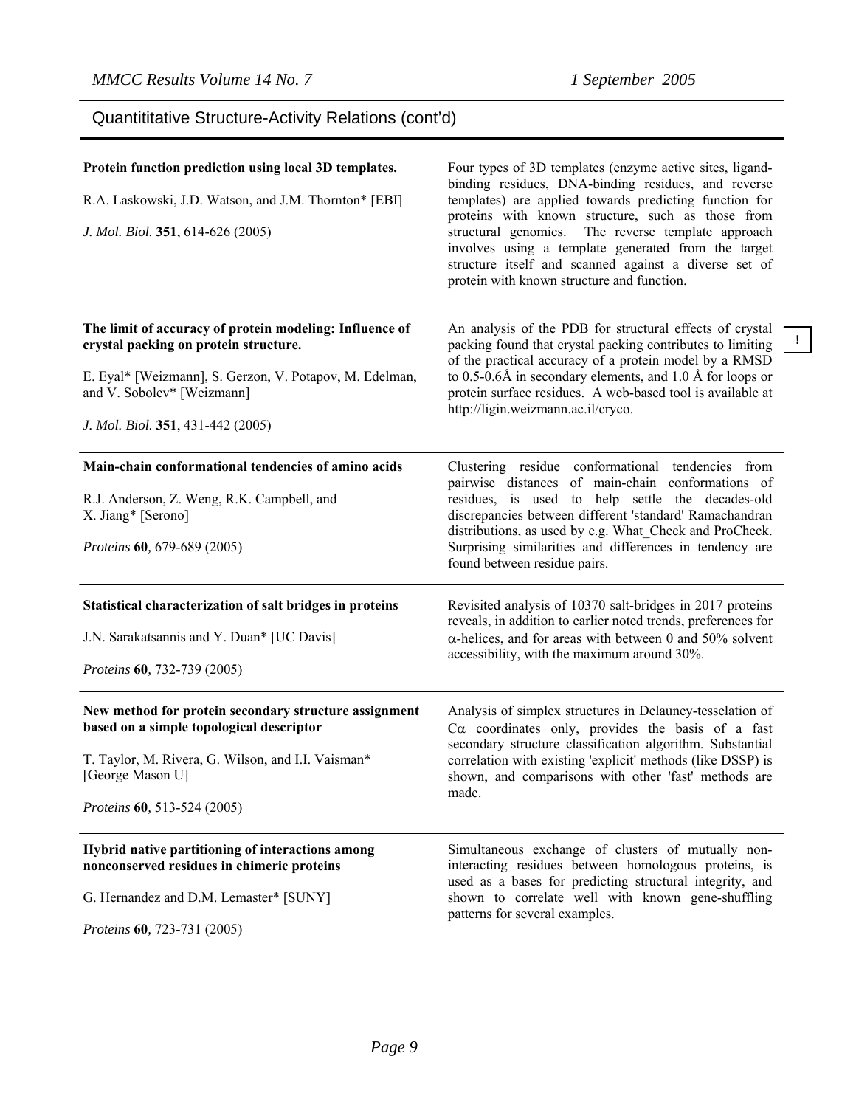**!**

# Quantititative Structure-Activity Relations (cont'd)

| Protein function prediction using local 3D templates.<br>R.A. Laskowski, J.D. Watson, and J.M. Thornton* [EBI]<br>J. Mol. Biol. 351, 614-626 (2005)                                                                            | Four types of 3D templates (enzyme active sites, ligand-<br>binding residues, DNA-binding residues, and reverse<br>templates) are applied towards predicting function for<br>proteins with known structure, such as those from<br>The reverse template approach<br>structural genomics.<br>involves using a template generated from the target<br>structure itself and scanned against a diverse set of<br>protein with known structure and function. |
|--------------------------------------------------------------------------------------------------------------------------------------------------------------------------------------------------------------------------------|-------------------------------------------------------------------------------------------------------------------------------------------------------------------------------------------------------------------------------------------------------------------------------------------------------------------------------------------------------------------------------------------------------------------------------------------------------|
| The limit of accuracy of protein modeling: Influence of<br>crystal packing on protein structure.<br>E. Eyal* [Weizmann], S. Gerzon, V. Potapov, M. Edelman,<br>and V. Sobolev* [Weizmann]<br>J. Mol. Biol. 351, 431-442 (2005) | An analysis of the PDB for structural effects of crystal<br>packing found that crystal packing contributes to limiting<br>of the practical accuracy of a protein model by a RMSD<br>to 0.5-0.6Å in secondary elements, and 1.0 Å for loops or<br>protein surface residues. A web-based tool is available at<br>http://ligin.weizmann.ac.il/cryco.                                                                                                     |
| Main-chain conformational tendencies of amino acids<br>R.J. Anderson, Z. Weng, R.K. Campbell, and<br>X. Jiang* [Serono]<br>Proteins 60, 679-689 (2005)                                                                         | Clustering residue conformational tendencies from<br>pairwise distances of main-chain conformations of<br>residues, is used to help settle the decades-old<br>discrepancies between different 'standard' Ramachandran<br>distributions, as used by e.g. What_Check and ProCheck.<br>Surprising similarities and differences in tendency are<br>found between residue pairs.                                                                           |
| Statistical characterization of salt bridges in proteins<br>J.N. Sarakatsannis and Y. Duan* [UC Davis]<br>Proteins 60, 732-739 (2005)                                                                                          | Revisited analysis of 10370 salt-bridges in 2017 proteins<br>reveals, in addition to earlier noted trends, preferences for<br>$\alpha$ -helices, and for areas with between 0 and 50% solvent<br>accessibility, with the maximum around 30%.                                                                                                                                                                                                          |
| New method for protein secondary structure assignment<br>based on a simple topological descriptor<br>T. Taylor, M. Rivera, G. Wilson, and I.I. Vaisman*<br>[George Mason U]<br>Proteins 60, 513-524 (2005)                     | Analysis of simplex structures in Delauney-tesselation of<br>$Ca$ coordinates only, provides the basis of a fast<br>secondary structure classification algorithm. Substantial<br>correlation with existing 'explicit' methods (like DSSP) is<br>shown, and comparisons with other 'fast' methods are<br>made.                                                                                                                                         |
| Hybrid native partitioning of interactions among<br>nonconserved residues in chimeric proteins<br>G. Hernandez and D.M. Lemaster* [SUNY]<br>Proteins 60, 723-731 (2005)                                                        | Simultaneous exchange of clusters of mutually non-<br>interacting residues between homologous proteins, is<br>used as a bases for predicting structural integrity, and<br>shown to correlate well with known gene-shuffling<br>patterns for several examples.                                                                                                                                                                                         |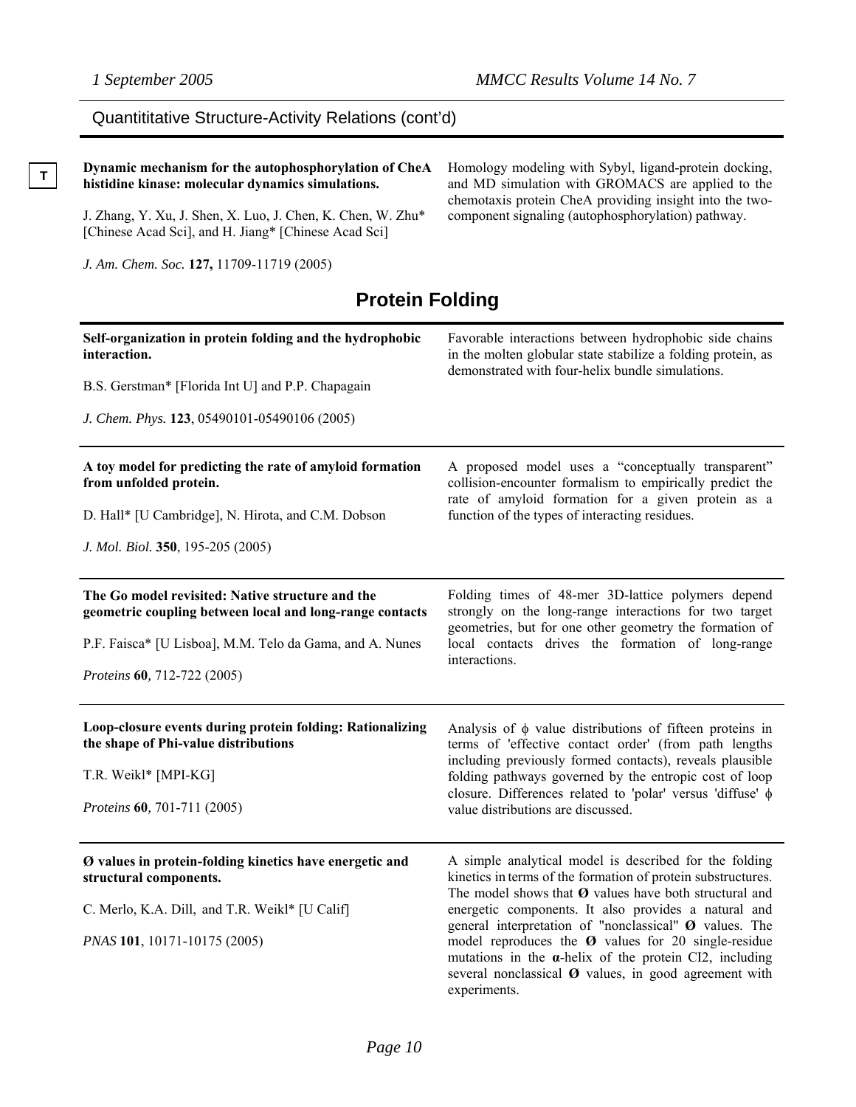**T** 

## Quantititative Structure-Activity Relations (cont'd)

| Dynamic mechanism for the autophosphorylation of CheA<br>histidine kinase: molecular dynamics simulations.          | Homology modeling with Sybyl, ligand-protein docking,<br>and MD simulation with GROMACS are applied to the<br>chemotaxis protein CheA providing insight into the two-                                                                                                                            |  |  |  |
|---------------------------------------------------------------------------------------------------------------------|--------------------------------------------------------------------------------------------------------------------------------------------------------------------------------------------------------------------------------------------------------------------------------------------------|--|--|--|
| J. Zhang, Y. Xu, J. Shen, X. Luo, J. Chen, K. Chen, W. Zhu*<br>[Chinese Acad Sci], and H. Jiang* [Chinese Acad Sci] | component signaling (autophosphorylation) pathway.                                                                                                                                                                                                                                               |  |  |  |
| J. Am. Chem. Soc. 127, 11709-11719 (2005)                                                                           |                                                                                                                                                                                                                                                                                                  |  |  |  |
| <b>Protein Folding</b>                                                                                              |                                                                                                                                                                                                                                                                                                  |  |  |  |
| Self-organization in protein folding and the hydrophobic<br>interaction.                                            | Favorable interactions between hydrophobic side chains<br>in the molten globular state stabilize a folding protein, as                                                                                                                                                                           |  |  |  |
| B.S. Gerstman* [Florida Int U] and P.P. Chapagain                                                                   | demonstrated with four-helix bundle simulations.                                                                                                                                                                                                                                                 |  |  |  |
| J. Chem. Phys. 123, 05490101-05490106 (2005)                                                                        |                                                                                                                                                                                                                                                                                                  |  |  |  |
| A toy model for predicting the rate of amyloid formation<br>from unfolded protein.                                  | A proposed model uses a "conceptually transparent"<br>collision-encounter formalism to empirically predict the<br>rate of amyloid formation for a given protein as a                                                                                                                             |  |  |  |
| D. Hall* [U Cambridge], N. Hirota, and C.M. Dobson                                                                  | function of the types of interacting residues.                                                                                                                                                                                                                                                   |  |  |  |
| J. Mol. Biol. 350, 195-205 (2005)                                                                                   |                                                                                                                                                                                                                                                                                                  |  |  |  |
| The Go model revisited: Native structure and the<br>geometric coupling between local and long-range contacts        | Folding times of 48-mer 3D-lattice polymers depend<br>strongly on the long-range interactions for two target<br>geometries, but for one other geometry the formation of                                                                                                                          |  |  |  |
| P.F. Faisca* [U Lisboa], M.M. Telo da Gama, and A. Nunes                                                            | local contacts drives the formation of long-range<br>interactions.                                                                                                                                                                                                                               |  |  |  |
| Proteins 60, 712-722 (2005)                                                                                         |                                                                                                                                                                                                                                                                                                  |  |  |  |
| Loop-closure events during protein folding: Rationalizing<br>the shape of Phi-value distributions                   | Analysis of $\phi$ value distributions of fifteen proteins in<br>terms of 'effective contact order' (from path lengths                                                                                                                                                                           |  |  |  |
| T.R. Weikl* [MPI-KG]                                                                                                | including previously formed contacts), reveals plausible<br>folding pathways governed by the entropic cost of loop                                                                                                                                                                               |  |  |  |
| Proteins 60, 701-711 (2005)                                                                                         | closure. Differences related to 'polar' versus 'diffuse' $\phi$<br>value distributions are discussed.                                                                                                                                                                                            |  |  |  |
| Ø values in protein-folding kinetics have energetic and<br>structural components.                                   | A simple analytical model is described for the folding<br>kinetics in terms of the formation of protein substructures.<br>The model shows that $\boldsymbol{\Theta}$ values have both structural and                                                                                             |  |  |  |
| C. Merlo, K.A. Dill, and T.R. Weikl* [U Calif]                                                                      | energetic components. It also provides a natural and                                                                                                                                                                                                                                             |  |  |  |
| PNAS 101, 10171-10175 (2005)                                                                                        | general interpretation of "nonclassical" $\boldsymbol{\Theta}$ values. The<br>model reproduces the $\boldsymbol{\Theta}$ values for 20 single-residue<br>mutations in the $\alpha$ -helix of the protein CI2, including<br>several nonclassical Ø values, in good agreement with<br>experiments. |  |  |  |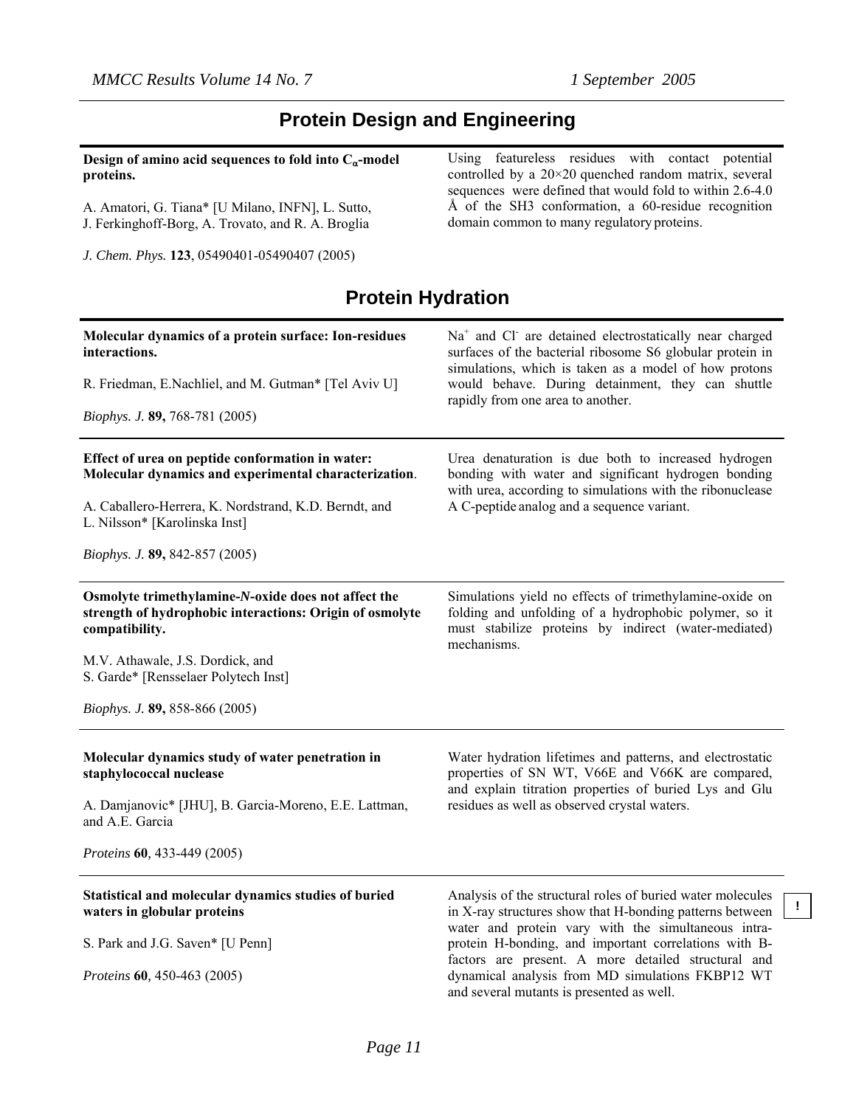**!**

### **Protein Design and Engineering**

|           |  | Design of amino acid sequences to fold into $C_{\alpha}$ -model |  |  |
|-----------|--|-----------------------------------------------------------------|--|--|
| proteins. |  |                                                                 |  |  |

A. Amatori, G. Tiana\* [U Milano, INFN], L. Sutto, J. Ferkinghoff-Borg, A. Trovato, and R. A. Broglia

*J. Chem. Phys.* **123**, 05490401-05490407 (2005)

Using featureless residues with contact potential controlled by a 20×20 quenched random matrix, several sequences were defined that would fold to within 2.6-4.0 Å of the SH3 conformation, a 60-residue recognition domain common to many regulatory proteins.

### **Protein Hydration**

| Molecular dynamics of a protein surface: Ion-residues                                                                             | $Na+$ and Cl are detained electrostatically near charged                                                                                                                                |  |  |  |
|-----------------------------------------------------------------------------------------------------------------------------------|-----------------------------------------------------------------------------------------------------------------------------------------------------------------------------------------|--|--|--|
| interactions.                                                                                                                     | surfaces of the bacterial ribosome S6 globular protein in                                                                                                                               |  |  |  |
| R. Friedman, E.Nachliel, and M. Gutman* [Tel Aviv U]                                                                              | simulations, which is taken as a model of how protons<br>would behave. During detainment, they can shuttle                                                                              |  |  |  |
| Biophys. J. 89, 768-781 (2005)                                                                                                    | rapidly from one area to another.                                                                                                                                                       |  |  |  |
| Effect of urea on peptide conformation in water:<br>Molecular dynamics and experimental characterization.                         | Urea denaturation is due both to increased hydrogen<br>bonding with water and significant hydrogen bonding<br>with urea, according to simulations with the ribonuclease                 |  |  |  |
| A. Caballero-Herrera, K. Nordstrand, K.D. Berndt, and<br>L. Nilsson* [Karolinska Inst]                                            | A C-peptide analog and a sequence variant.                                                                                                                                              |  |  |  |
| <i>Biophys. J.</i> 89, 842-857 (2005)                                                                                             |                                                                                                                                                                                         |  |  |  |
| Osmolyte trimethylamine-N-oxide does not affect the<br>strength of hydrophobic interactions: Origin of osmolyte<br>compatibility. | Simulations yield no effects of trimethylamine-oxide on<br>folding and unfolding of a hydrophobic polymer, so it<br>must stabilize proteins by indirect (water-mediated)<br>mechanisms. |  |  |  |
| M.V. Athawale, J.S. Dordick, and<br>S. Garde* [Rensselaer Polytech Inst]                                                          |                                                                                                                                                                                         |  |  |  |
| <i>Biophys. J.</i> 89, 858-866 (2005)                                                                                             |                                                                                                                                                                                         |  |  |  |
| Molecular dynamics study of water penetration in<br>staphylococcal nuclease                                                       | Water hydration lifetimes and patterns, and electrostatic<br>properties of SN WT, V66E and V66K are compared,<br>and explain titration properties of buried Lys and Glu                 |  |  |  |
| A. Damjanovic* [JHU], B. Garcia-Moreno, E.E. Lattman,<br>and A.E. Garcia                                                          | residues as well as observed crystal waters.                                                                                                                                            |  |  |  |
| Proteins 60, 433-449 (2005)                                                                                                       |                                                                                                                                                                                         |  |  |  |
| Statistical and molecular dynamics studies of buried<br>waters in globular proteins                                               | Analysis of the structural roles of buried water molecules<br>in X-ray structures show that H-bonding patterns between<br>water and protein vary with the simultaneous intra-           |  |  |  |
| S. Park and J.G. Saven* [U Penn]                                                                                                  | protein H-bonding, and important correlations with B-<br>factors are present. A more detailed structural and                                                                            |  |  |  |
| Proteins 60, 450-463 (2005)                                                                                                       | dynamical analysis from MD simulations FKBP12 WT<br>and several mutants is presented as well.                                                                                           |  |  |  |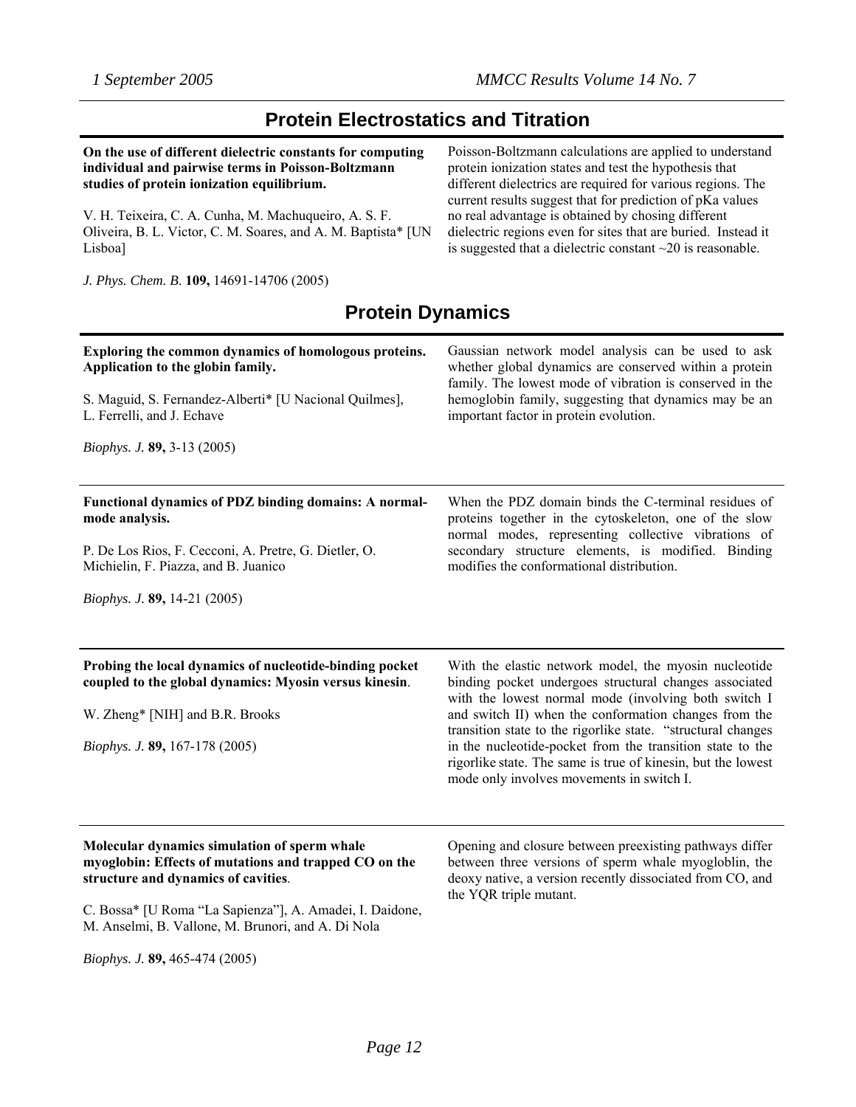### **Protein Electrostatics and Titration**

**On the use of different dielectric constants for computing individual and pairwise terms in Poisson-Boltzmann studies of protein ionization equilibrium.** 

V. H. Teixeira, C. A. Cunha, M. Machuqueiro, A. S. F. Oliveira, B. L. Victor, C. M. Soares, and A. M. Baptista\* [UN Lisboa]

*J. Phys. Chem. B*. **109,** 14691-14706 (2005)

Poisson-Boltzmann calculations are applied to understand protein ionization states and test the hypothesis that different dielectrics are required for various regions. The current results suggest that for prediction of pKa values no real advantage is obtained by chosing different dielectric regions even for sites that are buried. Instead it is suggested that a dielectric constant ~20 is reasonable.

### **Protein Dynamics**

| Exploring the common dynamics of homologous proteins.                                                                                                                                         | Gaussian network model analysis can be used to ask                                                                                                                                                                                                                                                                                                                                                                                                                         |
|-----------------------------------------------------------------------------------------------------------------------------------------------------------------------------------------------|----------------------------------------------------------------------------------------------------------------------------------------------------------------------------------------------------------------------------------------------------------------------------------------------------------------------------------------------------------------------------------------------------------------------------------------------------------------------------|
| Application to the globin family.                                                                                                                                                             | whether global dynamics are conserved within a protein                                                                                                                                                                                                                                                                                                                                                                                                                     |
| S. Maguid, S. Fernandez-Alberti* [U Nacional Quilmes],                                                                                                                                        | family. The lowest mode of vibration is conserved in the                                                                                                                                                                                                                                                                                                                                                                                                                   |
| L. Ferrelli, and J. Echave                                                                                                                                                                    | hemoglobin family, suggesting that dynamics may be an                                                                                                                                                                                                                                                                                                                                                                                                                      |
| <i>Biophys. J.</i> <b>89</b> , 3-13 (2005)                                                                                                                                                    | important factor in protein evolution.                                                                                                                                                                                                                                                                                                                                                                                                                                     |
| Functional dynamics of PDZ binding domains: A normal-                                                                                                                                         | When the PDZ domain binds the C-terminal residues of                                                                                                                                                                                                                                                                                                                                                                                                                       |
| mode analysis.                                                                                                                                                                                | proteins together in the cytoskeleton, one of the slow                                                                                                                                                                                                                                                                                                                                                                                                                     |
| P. De Los Rios, F. Cecconi, A. Pretre, G. Dietler, O.                                                                                                                                         | normal modes, representing collective vibrations of                                                                                                                                                                                                                                                                                                                                                                                                                        |
| Michielin, F. Piazza, and B. Juanico                                                                                                                                                          | secondary structure elements, is modified. Binding                                                                                                                                                                                                                                                                                                                                                                                                                         |
| <i>Biophys. J.</i> 89, 14-21 (2005)                                                                                                                                                           | modifies the conformational distribution.                                                                                                                                                                                                                                                                                                                                                                                                                                  |
| Probing the local dynamics of nucleotide-binding pocket<br>coupled to the global dynamics: Myosin versus kinesin.<br>W. Zheng* [NIH] and B.R. Brooks<br><i>Biophys. J.</i> 89, 167-178 (2005) | With the elastic network model, the myosin nucleotide<br>binding pocket undergoes structural changes associated<br>with the lowest normal mode (involving both switch I<br>and switch II) when the conformation changes from the<br>transition state to the rigorlike state. "structural changes<br>in the nucleotide-pocket from the transition state to the<br>rigorlike state. The same is true of kinesin, but the lowest<br>mode only involves movements in switch I. |
| Molecular dynamics simulation of sperm whale                                                                                                                                                  | Opening and closure between preexisting pathways differ                                                                                                                                                                                                                                                                                                                                                                                                                    |
| myoglobin: Effects of mutations and trapped CO on the                                                                                                                                         | between three versions of sperm whale myogloblin, the                                                                                                                                                                                                                                                                                                                                                                                                                      |
| structure and dynamics of cavities.                                                                                                                                                           | deoxy native, a version recently dissociated from CO, and                                                                                                                                                                                                                                                                                                                                                                                                                  |

C. Bossa\* [U Roma "La Sapienza"], A. Amadei, I. Daidone, M. Anselmi, B. Vallone, M. Brunori, and A. Di Nola

*Biophys. J.* **89,** 465-474 (2005)

deoxy native, a version recently dissociated from CO, and the YQR triple mutant.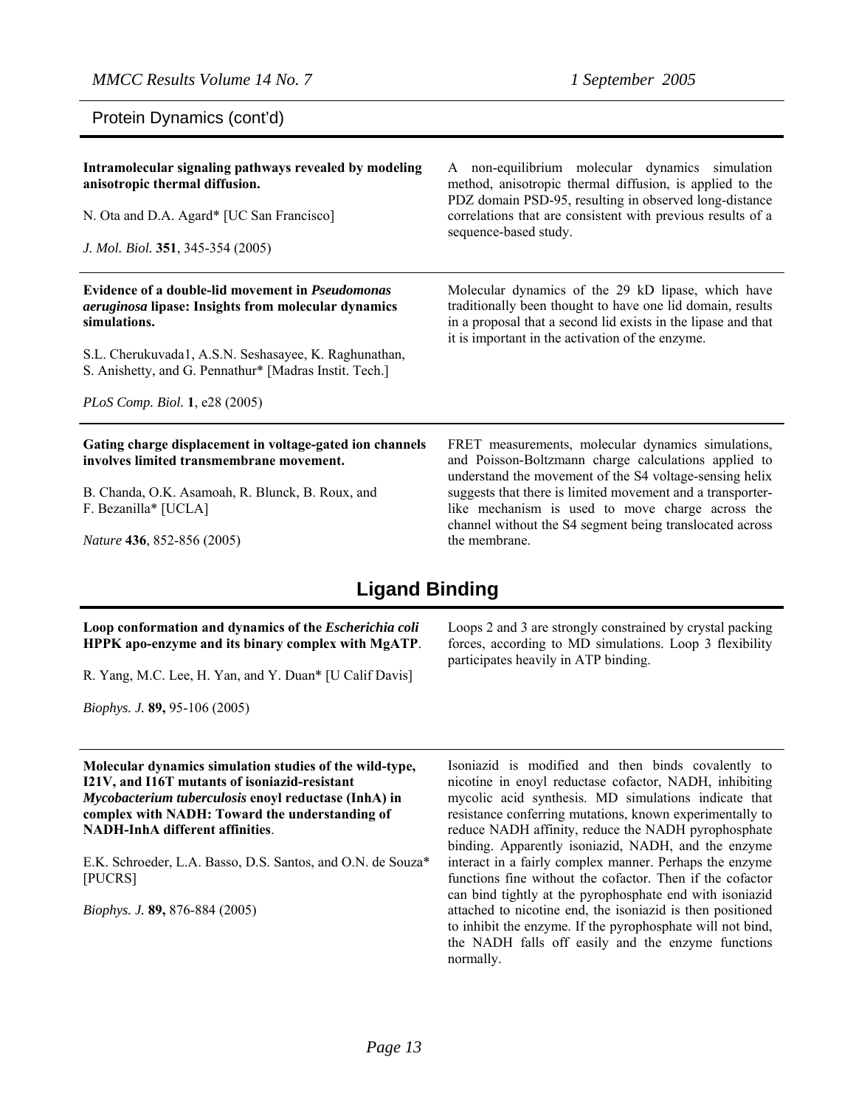Protein Dynamics (cont'd)

| Intramolecular signaling pathways revealed by modeling<br>anisotropic thermal diffusion.<br>N. Ota and D.A. Agard* [UC San Francisco]<br>J. Mol. Biol. 351, 345-354 (2005)                                                                                                                        | A non-equilibrium molecular dynamics simulation<br>method, anisotropic thermal diffusion, is applied to the<br>PDZ domain PSD-95, resulting in observed long-distance<br>correlations that are consistent with previous results of a<br>sequence-based study. |
|---------------------------------------------------------------------------------------------------------------------------------------------------------------------------------------------------------------------------------------------------------------------------------------------------|---------------------------------------------------------------------------------------------------------------------------------------------------------------------------------------------------------------------------------------------------------------|
| Evidence of a double-lid movement in <i>Pseudomonas</i><br><i>aeruginosa</i> lipase: Insights from molecular dynamics<br>simulations.<br>S.L. Cherukuvada1, A.S.N. Seshasayee, K. Raghunathan,<br>S. Anishetty, and G. Pennathur* [Madras Instit. Tech.]<br><i>PLoS Comp. Biol.</i> 1, e28 (2005) | Molecular dynamics of the 29 kD lipase, which have<br>traditionally been thought to have one lid domain, results<br>in a proposal that a second lid exists in the lipase and that<br>it is important in the activation of the enzyme.                         |
| Gating charge displacement in voltage-gated ion channels<br>involves limited transmembrane movement.<br>B. Chanda, O.K. Asamoah, R. Blunck, B. Roux, and                                                                                                                                          | FRET measurements, molecular dynamics simulations,<br>and Poisson-Boltzmann charge calculations applied to<br>understand the movement of the S4 voltage-sensing helix<br>suggests that there is limited movement and a transporter-                           |

*Nature* **436**, 852-856 (2005)

F. Bezanilla\* [UCLA]

**Ligand Binding** 

the membrane.

#### **Loop conformation and dynamics of the** *Escherichia coli* **HPPK apo-enzyme and its binary complex with MgATP**.

R. Yang, M.C. Lee, H. Yan, and Y. Duan\* [U Calif Davis]

*Biophys. J.* **89,** 95-106 (2005)

**Molecular dynamics simulation studies of the wild-type, I21V, and I16T mutants of isoniazid-resistant**  *Mycobacterium tuberculosis* **enoyl reductase (InhA) in complex with NADH: Toward the understanding of NADH-InhA different affinities**.

E.K. Schroeder, L.A. Basso, D.S. Santos, and O.N. de Souza\* [PUCRS]

*Biophys. J.* **89,** 876-884 (2005)

Loops 2 and 3 are strongly constrained by crystal packing forces, according to MD simulations. Loop 3 flexibility participates heavily in ATP binding.

like mechanism is used to move charge across the channel without the S4 segment being translocated across

Isoniazid is modified and then binds covalently to nicotine in enoyl reductase cofactor, NADH, inhibiting mycolic acid synthesis. MD simulations indicate that resistance conferring mutations, known experimentally to reduce NADH affinity, reduce the NADH pyrophosphate binding. Apparently isoniazid, NADH, and the enzyme interact in a fairly complex manner. Perhaps the enzyme functions fine without the cofactor. Then if the cofactor can bind tightly at the pyrophosphate end with isoniazid attached to nicotine end, the isoniazid is then positioned to inhibit the enzyme. If the pyrophosphate will not bind, the NADH falls off easily and the enzyme functions normally.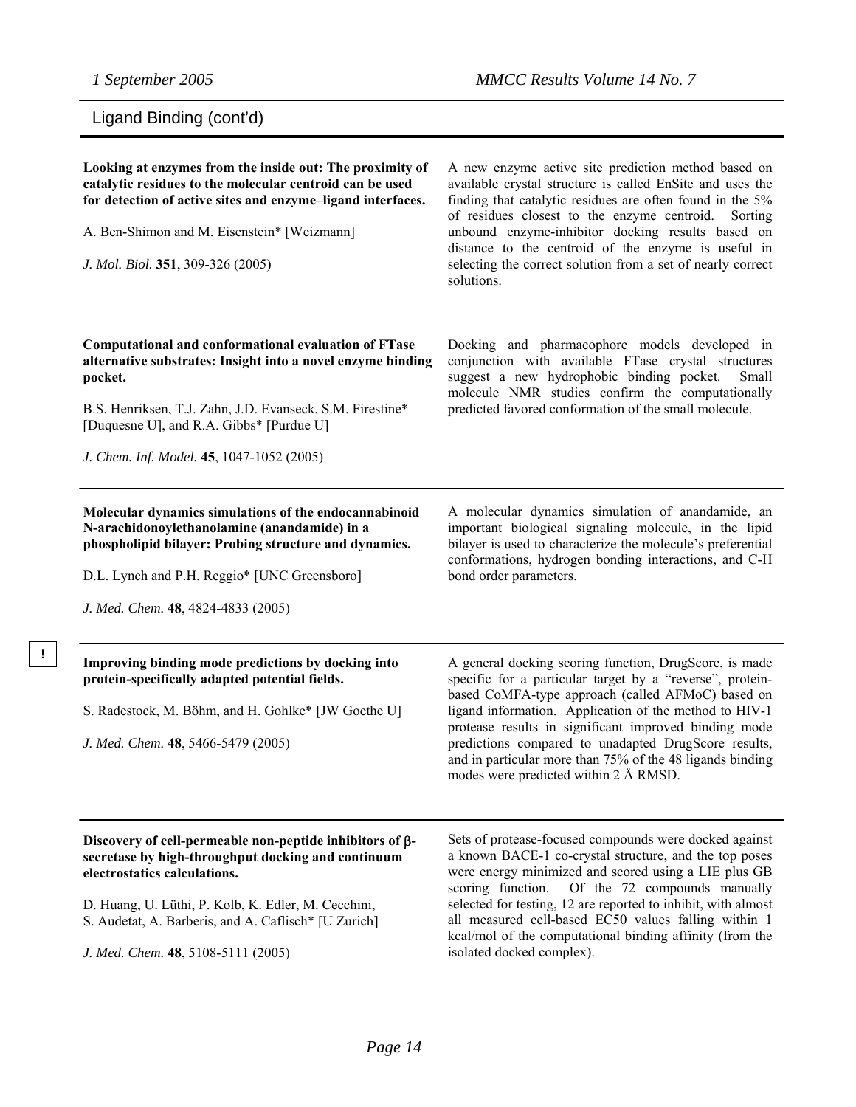**!** 

## Ligand Binding (cont'd)

| Looking at enzymes from the inside out: The proximity of<br>catalytic residues to the molecular centroid can be used<br>for detection of active sites and enzyme-ligand interfaces.<br>A. Ben-Shimon and M. Eisenstein* [Weizmann]<br>J. Mol. Biol. 351, 309-326 (2005)                                    | A new enzyme active site prediction method based on<br>available crystal structure is called EnSite and uses the<br>finding that catalytic residues are often found in the 5%<br>of residues closest to the enzyme centroid.<br>Sorting<br>unbound enzyme-inhibitor docking results based on<br>distance to the centroid of the enzyme is useful in<br>selecting the correct solution from a set of nearly correct<br>solutions.                          |
|------------------------------------------------------------------------------------------------------------------------------------------------------------------------------------------------------------------------------------------------------------------------------------------------------------|-----------------------------------------------------------------------------------------------------------------------------------------------------------------------------------------------------------------------------------------------------------------------------------------------------------------------------------------------------------------------------------------------------------------------------------------------------------|
| Computational and conformational evaluation of FTase<br>alternative substrates: Insight into a novel enzyme binding<br>pocket.<br>B.S. Henriksen, T.J. Zahn, J.D. Evanseck, S.M. Firestine*<br>[Duquesne U], and R.A. Gibbs* [Purdue U]<br>J. Chem. Inf. Model. 45, 1047-1052 (2005)                       | Docking and pharmacophore models developed in<br>conjunction with available FTase crystal structures<br>suggest a new hydrophobic binding pocket.<br>Small<br>molecule NMR studies confirm the computationally<br>predicted favored conformation of the small molecule.                                                                                                                                                                                   |
| Molecular dynamics simulations of the endocannabinoid<br>N-arachidonoylethanolamine (anandamide) in a<br>phospholipid bilayer: Probing structure and dynamics.<br>D.L. Lynch and P.H. Reggio* [UNC Greensboro]<br>J. Med. Chem. 48, 4824-4833 (2005)                                                       | A molecular dynamics simulation of anandamide, an<br>important biological signaling molecule, in the lipid<br>bilayer is used to characterize the molecule's preferential<br>conformations, hydrogen bonding interactions, and C-H<br>bond order parameters.                                                                                                                                                                                              |
| Improving binding mode predictions by docking into<br>protein-specifically adapted potential fields.<br>S. Radestock, M. Böhm, and H. Gohlke* [JW Goethe U]<br>J. Med. Chem. 48, 5466-5479 (2005)                                                                                                          | A general docking scoring function, DrugScore, is made<br>specific for a particular target by a "reverse", protein-<br>based CoMFA-type approach (called AFMoC) based on<br>ligand information. Application of the method to HIV-1<br>protease results in significant improved binding mode<br>predictions compared to unadapted DrugScore results,<br>and in particular more than 75% of the 48 ligands binding<br>modes were predicted within 2 Å RMSD. |
| Discovery of cell-permeable non-peptide inhibitors of $\beta$ -<br>secretase by high-throughput docking and continuum<br>electrostatics calculations.<br>D. Huang, U. Lüthi, P. Kolb, K. Edler, M. Cecchini,<br>S. Audetat, A. Barberis, and A. Caflisch* [U Zurich]<br>J. Med. Chem. 48, 5108-5111 (2005) | Sets of protease-focused compounds were docked against<br>a known BACE-1 co-crystal structure, and the top poses<br>were energy minimized and scored using a LIE plus GB<br>scoring function.<br>Of the 72 compounds manually<br>selected for testing, 12 are reported to inhibit, with almost<br>all measured cell-based EC50 values falling within 1<br>kcal/mol of the computational binding affinity (from the<br>isolated docked complex).           |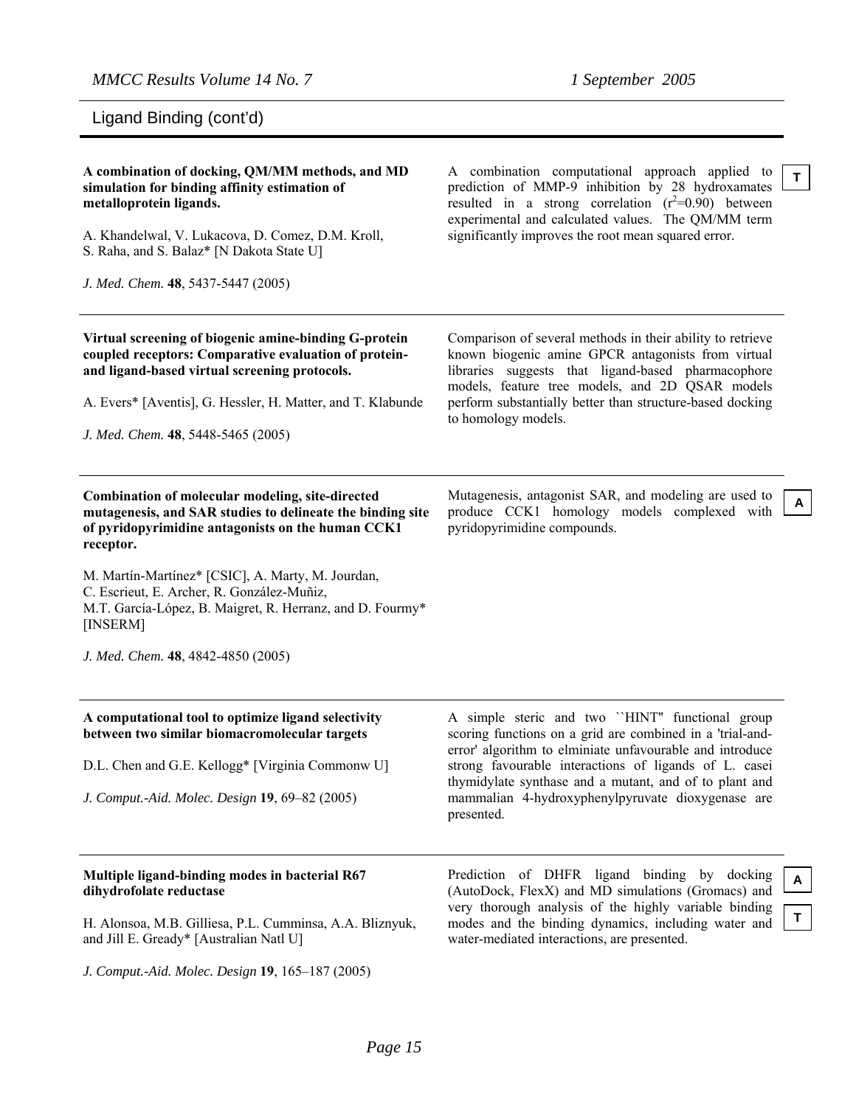*MMCC Results Volume 14 No. 7 1 September 2005* 

Ligand Binding (cont'd)

| A combination of docking, QM/MM methods, and MD<br>simulation for binding affinity estimation of<br>metalloprotein ligands.<br>A. Khandelwal, V. Lukacova, D. Comez, D.M. Kroll,<br>S. Raha, and S. Balaz* [N Dakota State U]<br>J. Med. Chem. 48, 5437-5447 (2005)                                                                                                                                | A combination computational approach applied to<br>prediction of MMP-9 inhibition by 28 hydroxamates<br>resulted in a strong correlation $(r^2=0.90)$ between<br>experimental and calculated values. The QM/MM term<br>significantly improves the root mean squared error.                                                                                     | T.      |
|----------------------------------------------------------------------------------------------------------------------------------------------------------------------------------------------------------------------------------------------------------------------------------------------------------------------------------------------------------------------------------------------------|----------------------------------------------------------------------------------------------------------------------------------------------------------------------------------------------------------------------------------------------------------------------------------------------------------------------------------------------------------------|---------|
| Virtual screening of biogenic amine-binding G-protein<br>coupled receptors: Comparative evaluation of protein-<br>and ligand-based virtual screening protocols.<br>A. Evers* [Aventis], G. Hessler, H. Matter, and T. Klabunde<br>J. Med. Chem. 48, 5448-5465 (2005)                                                                                                                               | Comparison of several methods in their ability to retrieve<br>known biogenic amine GPCR antagonists from virtual<br>libraries suggests that ligand-based pharmacophore<br>models, feature tree models, and 2D QSAR models<br>perform substantially better than structure-based docking<br>to homology models.                                                  |         |
| Combination of molecular modeling, site-directed<br>mutagenesis, and SAR studies to delineate the binding site<br>of pyridopyrimidine antagonists on the human CCK1<br>receptor.<br>M. Martín-Martínez* [CSIC], A. Marty, M. Jourdan,<br>C. Escrieut, E. Archer, R. González-Muñiz,<br>M.T. García-López, B. Maigret, R. Herranz, and D. Fourmy*<br>[INSERM]<br>J. Med. Chem. 48, 4842-4850 (2005) | Mutagenesis, antagonist SAR, and modeling are used to<br>produce CCK1 homology models complexed with<br>pyridopyrimidine compounds.                                                                                                                                                                                                                            | A       |
| A computational tool to optimize ligand selectivity<br>between two similar biomacromolecular targets<br>D.L. Chen and G.E. Kellogg* [Virginia Commonw U]<br>J. Comput.-Aid. Molec. Design 19, 69-82 (2005)                                                                                                                                                                                         | A simple steric and two "HINT" functional group<br>scoring functions on a grid are combined in a 'trial-and-<br>error' algorithm to elminiate unfavourable and introduce<br>strong favourable interactions of ligands of L. casei<br>thymidylate synthase and a mutant, and of to plant and<br>mammalian 4-hydroxyphenylpyruvate dioxygenase are<br>presented. |         |
| Multiple ligand-binding modes in bacterial R67<br>dihydrofolate reductase<br>H. Alonsoa, M.B. Gilliesa, P.L. Cumminsa, A.A. Bliznyuk,<br>and Jill E. Gready* [Australian Natl U]                                                                                                                                                                                                                   | Prediction of DHFR ligand binding<br>by docking<br>(AutoDock, FlexX) and MD simulations (Gromacs) and<br>very thorough analysis of the highly variable binding<br>modes and the binding dynamics, including water and<br>water-mediated interactions, are presented.                                                                                           | A<br>T. |

*J. Comput.-Aid. Molec. Design* **19**, 165–187 (2005)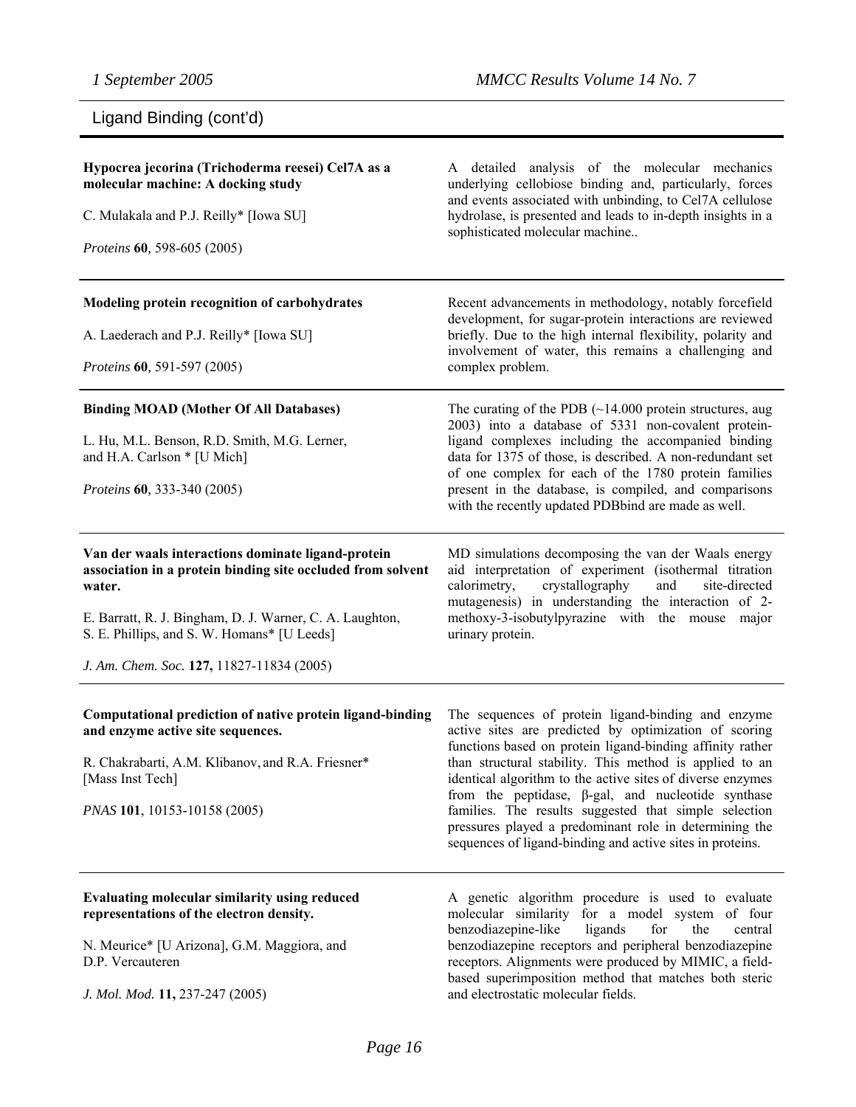## Ligand Binding (cont'd)

| Hypocrea jecorina (Trichoderma reesei) Cel7A as a<br>molecular machine: A docking study<br>C. Mulakala and P.J. Reilly* [Iowa SU]<br>Proteins 60, 598-605 (2005)                                                                                                                    | A detailed analysis of the molecular mechanics<br>underlying cellobiose binding and, particularly, forces<br>and events associated with unbinding, to Cel7A cellulose<br>hydrolase, is presented and leads to in-depth insights in a<br>sophisticated molecular machine                                                                                                                                                                                                                                                                        |
|-------------------------------------------------------------------------------------------------------------------------------------------------------------------------------------------------------------------------------------------------------------------------------------|------------------------------------------------------------------------------------------------------------------------------------------------------------------------------------------------------------------------------------------------------------------------------------------------------------------------------------------------------------------------------------------------------------------------------------------------------------------------------------------------------------------------------------------------|
| Modeling protein recognition of carbohydrates<br>A. Laederach and P.J. Reilly* [Iowa SU]<br>Proteins 60, 591-597 (2005)                                                                                                                                                             | Recent advancements in methodology, notably forcefield<br>development, for sugar-protein interactions are reviewed<br>briefly. Due to the high internal flexibility, polarity and<br>involvement of water, this remains a challenging and<br>complex problem.                                                                                                                                                                                                                                                                                  |
| <b>Binding MOAD (Mother Of All Databases)</b><br>L. Hu, M.L. Benson, R.D. Smith, M.G. Lerner,<br>and H.A. Carlson * [U Mich]<br>Proteins 60, 333-340 (2005)                                                                                                                         | The curating of the PDB $(\sim 14.000)$ protein structures, aug<br>2003) into a database of 5331 non-covalent protein-<br>ligand complexes including the accompanied binding<br>data for 1375 of those, is described. A non-redundant set<br>of one complex for each of the 1780 protein families<br>present in the database, is compiled, and comparisons<br>with the recently updated PDBbind are made as well.                                                                                                                              |
| Van der waals interactions dominate ligand-protein<br>association in a protein binding site occluded from solvent<br>water.<br>E. Barratt, R. J. Bingham, D. J. Warner, C. A. Laughton,<br>S. E. Phillips, and S. W. Homans* [U Leeds]<br>J. Am. Chem. Soc. 127, 11827-11834 (2005) | MD simulations decomposing the van der Waals energy<br>aid interpretation of experiment (isothermal titration<br>crystallography<br>calorimetry,<br>and<br>site-directed<br>mutagenesis) in understanding the interaction of 2-<br>methoxy-3-isobutylpyrazine with the mouse<br>major<br>urinary protein.                                                                                                                                                                                                                                      |
| Computational prediction of native protein ligand-binding<br>and enzyme active site sequences.<br>R. Chakrabarti, A.M. Klibanov, and R.A. Friesner*<br>[Mass Inst Tech]<br>PNAS 101, 10153-10158 (2005)                                                                             | The sequences of protein ligand-binding and enzyme<br>active sites are predicted by optimization of scoring<br>functions based on protein ligand-binding affinity rather<br>than structural stability. This method is applied to an<br>identical algorithm to the active sites of diverse enzymes<br>from the peptidase, $\beta$ -gal, and nucleotide synthase<br>families. The results suggested that simple selection<br>pressures played a predominant role in determining the<br>sequences of ligand-binding and active sites in proteins. |
| Evaluating molecular similarity using reduced<br>representations of the electron density.<br>N. Meurice* [U Arizona], G.M. Maggiora, and<br>D.P. Vercauteren<br>J. Mol. Mod. 11, 237-247 (2005)                                                                                     | A genetic algorithm procedure is used to evaluate<br>molecular similarity for a model system of four<br>benzodiazepine-like<br>ligands<br>central<br>for<br>the<br>benzodiazepine receptors and peripheral benzodiazepine<br>receptors. Alignments were produced by MIMIC, a field-<br>based superimposition method that matches both steric<br>and electrostatic molecular fields.                                                                                                                                                            |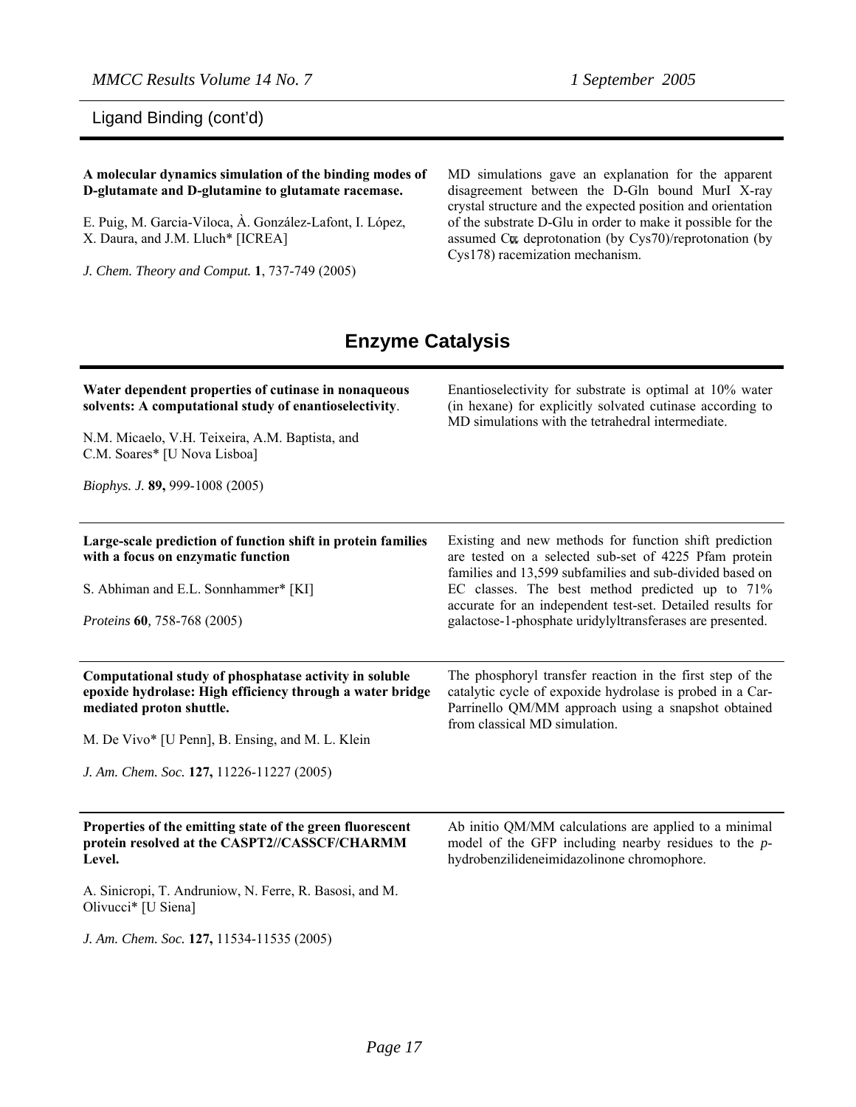*MMCC Results Volume 14 No. 7 1 September 2005* 

Ligand Binding (cont'd)

#### **A molecular dynamics simulation of the binding modes of D-glutamate and D-glutamine to glutamate racemase.**

E. Puig, M. Garcia-Viloca, À. González-Lafont, I. López, X. Daura, and J.M. Lluch\* [ICREA]

*J. Chem. Theory and Comput.* **1**, 737-749 (2005)

MD simulations gave an explanation for the apparent disagreement between the D-Gln bound MurI X-ray crystal structure and the expected position and orientation of the substrate D-Glu in order to make it possible for the assumed Cw deprotonation (by Cys70)/reprotonation (by Cys178) racemization mechanism.

### **Enzyme Catalysis**

| Water dependent properties of cutinase in nonaqueous<br>solvents: A computational study of enantioselectivity.<br>N.M. Micaelo, V.H. Teixeira, A.M. Baptista, and<br>C.M. Soares* [U Nova Lisboa]<br>Biophys. J. 89, 999-1008 (2005)             | Enantioselectivity for substrate is optimal at 10% water<br>(in hexane) for explicitly solvated cutinase according to<br>MD simulations with the tetrahedral intermediate.                                                                                                                                                                                |
|--------------------------------------------------------------------------------------------------------------------------------------------------------------------------------------------------------------------------------------------------|-----------------------------------------------------------------------------------------------------------------------------------------------------------------------------------------------------------------------------------------------------------------------------------------------------------------------------------------------------------|
| Large-scale prediction of function shift in protein families<br>with a focus on enzymatic function<br>S. Abhiman and E.L. Sonnhammer* [KI]<br>Proteins 60, 758-768 (2005)                                                                        | Existing and new methods for function shift prediction<br>are tested on a selected sub-set of 4225 Pfam protein<br>families and 13,599 subfamilies and sub-divided based on<br>EC classes. The best method predicted up to 71%<br>accurate for an independent test-set. Detailed results for<br>galactose-1-phosphate uridylyltransferases are presented. |
| Computational study of phosphatase activity in soluble<br>epoxide hydrolase: High efficiency through a water bridge<br>mediated proton shuttle.<br>M. De Vivo* [U Penn], B. Ensing, and M. L. Klein<br>J. Am. Chem. Soc. 127, 11226-11227 (2005) | The phosphoryl transfer reaction in the first step of the<br>catalytic cycle of expoxide hydrolase is probed in a Car-<br>Parrinello QM/MM approach using a snapshot obtained<br>from classical MD simulation.                                                                                                                                            |
| Properties of the emitting state of the green fluorescent<br>protein resolved at the CASPT2//CASSCF/CHARMM<br>Level.<br>A. Sinicropi, T. Andruniow, N. Ferre, R. Basosi, and M.<br>Olivucci* [U Siena]                                           | Ab initio QM/MM calculations are applied to a minimal<br>model of the GFP including nearby residues to the $p$ -<br>hydrobenzilideneimidazolinone chromophore.                                                                                                                                                                                            |

*J. Am. Chem. Soc.* **127,** 11534-11535 (2005)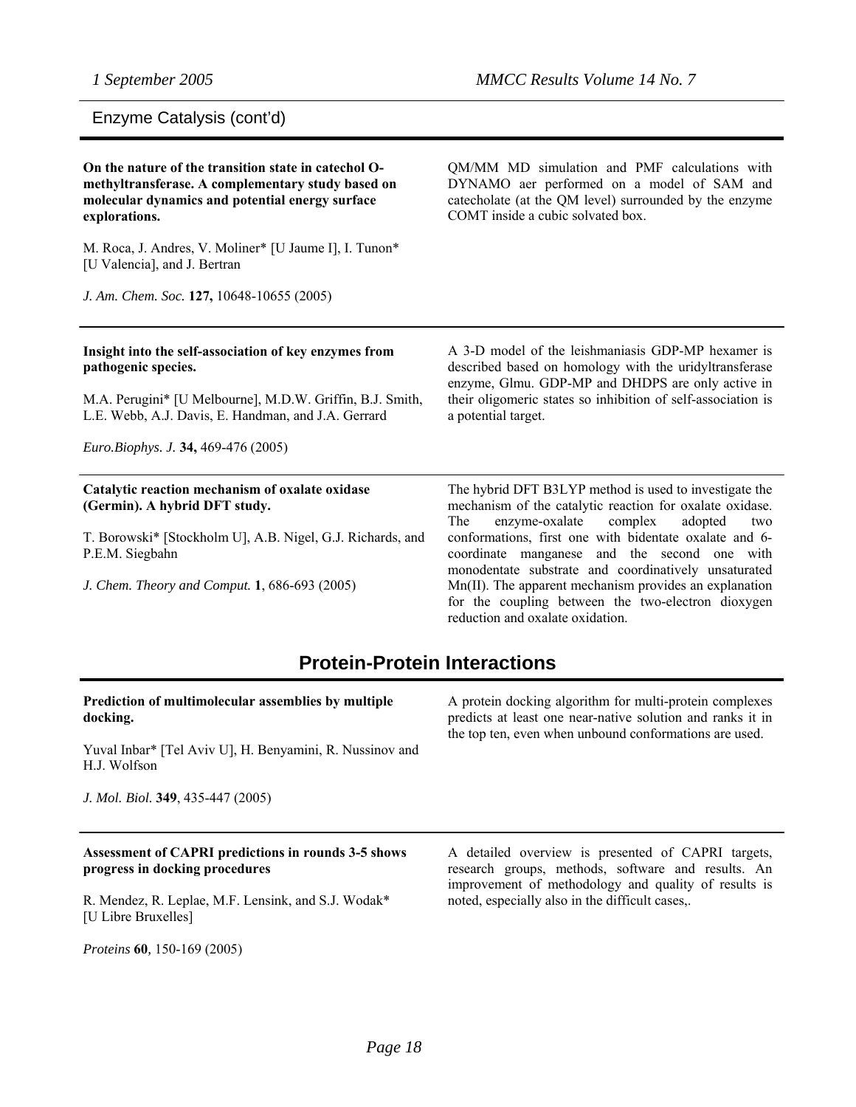### Enzyme Catalysis (cont'd)

| On the nature of the transition state in catechol O-<br>methyltransferase. A complementary study based on<br>molecular dynamics and potential energy surface<br>explorations. | QM/MM MD simulation and PMF calculations with<br>DYNAMO aer performed on a model of SAM and<br>catecholate (at the QM level) surrounded by the enzyme<br>COMT inside a cubic solvated box. |
|-------------------------------------------------------------------------------------------------------------------------------------------------------------------------------|--------------------------------------------------------------------------------------------------------------------------------------------------------------------------------------------|
| M. Roca, J. Andres, V. Moliner* [U Jaume I], I. Tunon*<br>[U Valencia], and J. Bertran                                                                                        |                                                                                                                                                                                            |
| J. Am. Chem. Soc. 127, 10648-10655 (2005)                                                                                                                                     |                                                                                                                                                                                            |
| Insight into the self-association of key enzymes from<br>pathogenic species.                                                                                                  | A 3-D model of the leishmaniasis GDP-MP hexamer is<br>described based on homology with the uridyltransferase<br>enzyme, Glmu. GDP-MP and DHDPS are only active in                          |
| M.A. Perugini* [U Melbourne], M.D.W. Griffin, B.J. Smith,<br>L.E. Webb, A.J. Davis, E. Handman, and J.A. Gerrard                                                              | their oligomeric states so inhibition of self-association is<br>a potential target.                                                                                                        |
| Euro.Biophys. J. 34, 469-476 (2005)                                                                                                                                           |                                                                                                                                                                                            |
| Catalytic reaction mechanism of oxalate oxidase<br>(Germin). A hybrid DFT study.                                                                                              | The hybrid DFT B3LYP method is used to investigate the<br>mechanism of the catalytic reaction for oxalate oxidase.<br>enzyme-oxalate<br>The<br>complex<br>adopted<br>two                   |
| T. Borowski* [Stockholm U], A.B. Nigel, G.J. Richards, and<br>P.E.M. Siegbahn                                                                                                 | conformations, first one with bidentate oxalate and 6-<br>coordinate manganese and the second one with<br>monodentate substrate and coordinatively unsaturated                             |
| J. Chem. Theory and Comput. 1, 686-693 (2005)                                                                                                                                 | Mn(II). The apparent mechanism provides an explanation<br>for the coupling between the two-electron dioxygen<br>reduction and oxalate oxidation.                                           |

### **Protein-Protein Interactions**

**Prediction of multimolecular assemblies by multiple docking.** 

Yuval Inbar\* [Tel Aviv U], H. Benyamini, R. Nussinov and H.J. Wolfson

*J. Mol. Biol.* **349**, 435-447 (2005)

#### **Assessment of CAPRI predictions in rounds 3-5 shows progress in docking procedures**

R. Mendez, R. Leplae, M.F. Lensink, and S.J. Wodak\* [U Libre Bruxelles]

*Proteins* **60***,* 150-169 (2005)

A protein docking algorithm for multi-protein complexes predicts at least one near-native solution and ranks it in the top ten, even when unbound conformations are used.

A detailed overview is presented of CAPRI targets, research groups, methods, software and results. An improvement of methodology and quality of results is noted, especially also in the difficult cases,.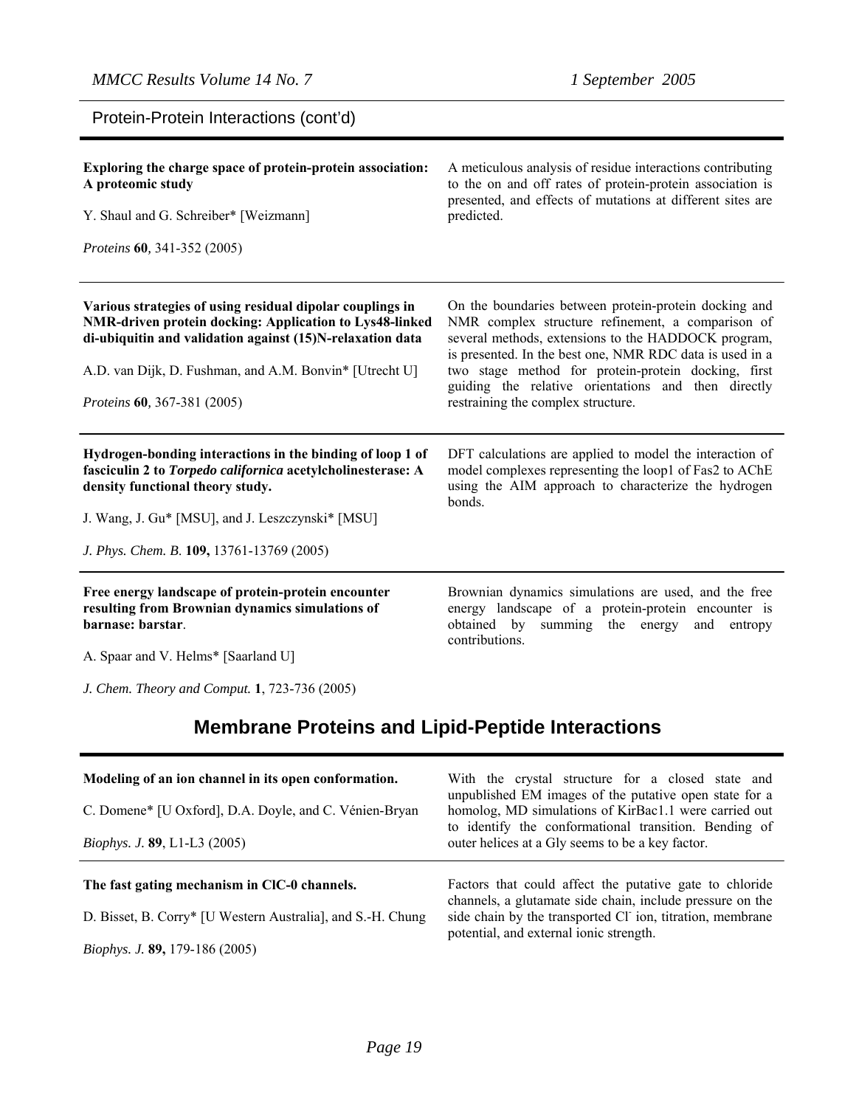Protein-Protein Interactions (cont'd)

| Exploring the charge space of protein-protein association:<br>A proteomic study<br>Y. Shaul and G. Schreiber* [Weizmann]<br><i>Proteins</i> 60, 341-352 (2005)                                                                                                              | A meticulous analysis of residue interactions contributing<br>to the on and off rates of protein-protein association is<br>presented, and effects of mutations at different sites are<br>predicted.                                                                                                                                                                               |
|-----------------------------------------------------------------------------------------------------------------------------------------------------------------------------------------------------------------------------------------------------------------------------|-----------------------------------------------------------------------------------------------------------------------------------------------------------------------------------------------------------------------------------------------------------------------------------------------------------------------------------------------------------------------------------|
| Various strategies of using residual dipolar couplings in<br>NMR-driven protein docking: Application to Lys48-linked<br>di-ubiquitin and validation against (15)N-relaxation data<br>A.D. van Dijk, D. Fushman, and A.M. Bonvin* [Utrecht U]<br>Proteins 60, 367-381 (2005) | On the boundaries between protein-protein docking and<br>NMR complex structure refinement, a comparison of<br>several methods, extensions to the HADDOCK program,<br>is presented. In the best one, NMR RDC data is used in a<br>two stage method for protein-protein docking, first<br>guiding the relative orientations and then directly<br>restraining the complex structure. |
| Hydrogen-bonding interactions in the binding of loop 1 of<br>fasciculin 2 to Torpedo californica acetylcholinesterase: A<br>density functional theory study.<br>J. Wang, J. Gu* [MSU], and J. Leszczynski* [MSU]<br>J. Phys. Chem. B. 109, 13761-13769 (2005)               | DFT calculations are applied to model the interaction of<br>model complexes representing the loop1 of Fas2 to AChE<br>using the AIM approach to characterize the hydrogen<br>bonds.                                                                                                                                                                                               |
| Free energy landscape of protein-protein encounter<br>resulting from Brownian dynamics simulations of<br>barnase: barstar.                                                                                                                                                  | Brownian dynamics simulations are used, and the free<br>energy landscape of a protein-protein encounter is<br>obtained by<br>summing the energy<br>and<br>entropy<br>contributions.                                                                                                                                                                                               |

A. Spaar and V. Helms\* [Saarland U]

*J. Chem. Theory and Comput.* **1**, 723-736 (2005)

# **Membrane Proteins and Lipid-Peptide Interactions**

| Modeling of an ion channel in its open conformation.<br>C. Domene* [U Oxford], D.A. Doyle, and C. Vénien-Bryan<br><i>Biophys. J.</i> 89, L1-L3 (2005) | With the crystal structure for a closed state and<br>unpublished EM images of the putative open state for a<br>homolog, MD simulations of KirBac1.1 were carried out<br>to identify the conformational transition. Bending of<br>outer helices at a Gly seems to be a key factor. |
|-------------------------------------------------------------------------------------------------------------------------------------------------------|-----------------------------------------------------------------------------------------------------------------------------------------------------------------------------------------------------------------------------------------------------------------------------------|
| The fast gating mechanism in CIC-0 channels.<br>D. Bisset, B. Corry* [U Western Australia], and S.-H. Chung                                           | Factors that could affect the putative gate to chloride<br>channels, a glutamate side chain, include pressure on the<br>side chain by the transported Cl ion, titration, membrane                                                                                                 |
| Biophys. J. 89, 179-186 (2005)                                                                                                                        | potential, and external ionic strength.                                                                                                                                                                                                                                           |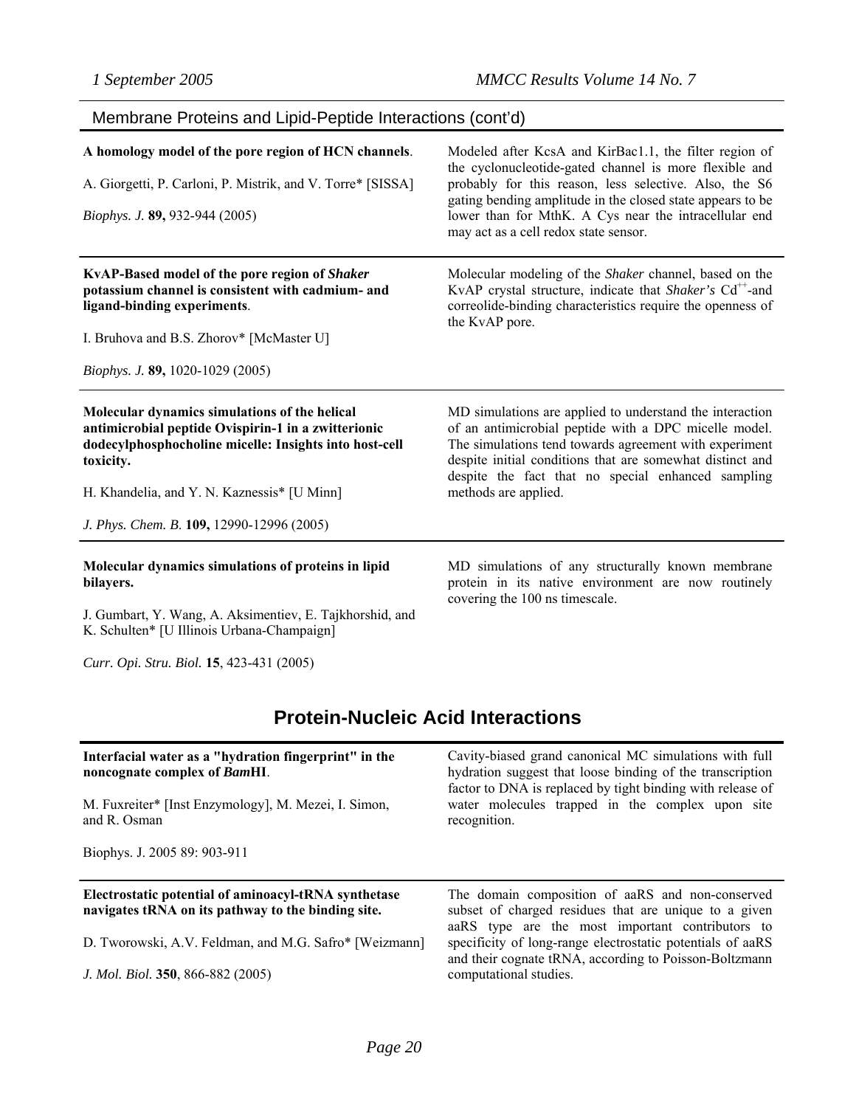## Membrane Proteins and Lipid-Peptide Interactions (cont'd)

| A homology model of the pore region of HCN channels.<br>A. Giorgetti, P. Carloni, P. Mistrik, and V. Torre* [SISSA]<br>Biophys. J. 89, 932-944 (2005)                                                                      | Modeled after KcsA and KirBac1.1, the filter region of<br>the cyclonucleotide-gated channel is more flexible and<br>probably for this reason, less selective. Also, the S6<br>gating bending amplitude in the closed state appears to be<br>lower than for MthK. A Cys near the intracellular end<br>may act as a cell redox state sensor. |
|----------------------------------------------------------------------------------------------------------------------------------------------------------------------------------------------------------------------------|--------------------------------------------------------------------------------------------------------------------------------------------------------------------------------------------------------------------------------------------------------------------------------------------------------------------------------------------|
| KvAP-Based model of the pore region of Shaker<br>potassium channel is consistent with cadmium- and<br>ligand-binding experiments.<br>I. Bruhova and B.S. Zhorov* [McMaster U]                                              | Molecular modeling of the Shaker channel, based on the<br>KvAP crystal structure, indicate that Shaker's Cd <sup>++</sup> -and<br>correolide-binding characteristics require the openness of<br>the KvAP pore.                                                                                                                             |
| Biophys. J. 89, 1020-1029 (2005)                                                                                                                                                                                           |                                                                                                                                                                                                                                                                                                                                            |
| Molecular dynamics simulations of the helical<br>antimicrobial peptide Ovispirin-1 in a zwitterionic<br>dodecylphosphocholine micelle: Insights into host-cell<br>toxicity.<br>H. Khandelia, and Y. N. Kaznessis* [U Minn] | MD simulations are applied to understand the interaction<br>of an antimicrobial peptide with a DPC micelle model.<br>The simulations tend towards agreement with experiment<br>despite initial conditions that are somewhat distinct and<br>despite the fact that no special enhanced sampling<br>methods are applied.                     |
| J. Phys. Chem. B. 109, 12990-12996 (2005)                                                                                                                                                                                  |                                                                                                                                                                                                                                                                                                                                            |
| Molecular dynamics simulations of proteins in lipid<br>bilayers.<br>J. Gumbart, Y. Wang, A. Aksimentiev, E. Tajkhorshid, and<br>K. Schulten* [U Illinois Urbana-Champaign]                                                 | MD simulations of any structurally known membrane<br>protein in its native environment are now routinely<br>covering the 100 ns timescale.                                                                                                                                                                                                 |
| Curr. Opi. Stru. Biol. 15, 423-431 (2005)                                                                                                                                                                                  |                                                                                                                                                                                                                                                                                                                                            |

## **Protein-Nucleic Acid Interactions**

| Interfacial water as a "hydration fingerprint" in the<br>noncognate complex of BamHI.<br>M. Fuxreiter* [Inst Enzymology], M. Mezei, I. Simon,<br>and R. Osman<br>Biophys. J. 2005 89: 903-911 | Cavity-biased grand canonical MC simulations with full<br>hydration suggest that loose binding of the transcription<br>factor to DNA is replaced by tight binding with release of<br>water molecules trapped in the complex upon site<br>recognition. |
|-----------------------------------------------------------------------------------------------------------------------------------------------------------------------------------------------|-------------------------------------------------------------------------------------------------------------------------------------------------------------------------------------------------------------------------------------------------------|
|                                                                                                                                                                                               |                                                                                                                                                                                                                                                       |
| Electrostatic potential of aminoacyl-tRNA synthetase<br>navigates tRNA on its pathway to the binding site.                                                                                    | The domain composition of aaRS and non-conserved<br>subset of charged residues that are unique to a given<br>aaRS type are the most important contributors to                                                                                         |
| D. Tworowski, A.V. Feldman, and M.G. Safro* [Weizmann]                                                                                                                                        | specificity of long-range electrostatic potentials of aaRS<br>and their cognate tRNA, according to Poisson-Boltzmann                                                                                                                                  |
| J. Mol. Biol. 350, 866-882 (2005)                                                                                                                                                             | computational studies.                                                                                                                                                                                                                                |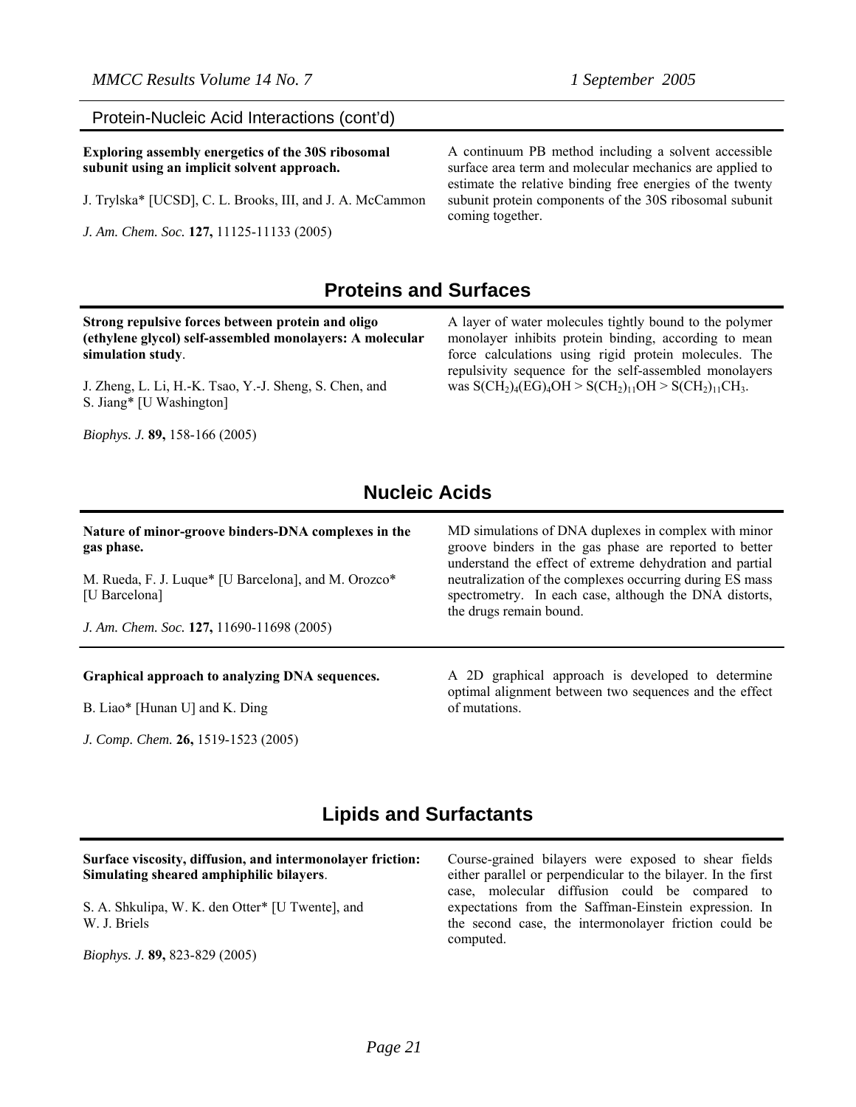#### Protein-Nucleic Acid Interactions (cont'd)

**Exploring assembly energetics of the 30S ribosomal subunit using an implicit solvent approach.** 

J. Trylska\* [UCSD], C. L. Brooks, III, and J. A. McCammon

*J. Am. Chem. Soc.* **127,** 11125-11133 (2005)

A continuum PB method including a solvent accessible surface area term and molecular mechanics are applied to estimate the relative binding free energies of the twenty subunit protein components of the 30S ribosomal subunit coming together.

### **Proteins and Surfaces**

**Strong repulsive forces between protein and oligo (ethylene glycol) self-assembled monolayers: A molecular simulation study**.

J. Zheng, L. Li, H.-K. Tsao, Y.-J. Sheng, S. Chen, and S. Jiang\* [U Washington]

*Biophys. J.* **89,** 158-166 (2005)

A layer of water molecules tightly bound to the polymer monolayer inhibits protein binding, according to mean force calculations using rigid protein molecules. The repulsivity sequence for the self-assembled monolayers was  $S(CH_2)_4(EG)_4OH > S(CH_2)_{11}OH > S(CH_2)_{11}CH_3.$ 

### **Nucleic Acids**

| Nature of minor-groove binders-DNA complexes in the<br>gas phase.<br>M. Rueda, F. J. Luque* [U Barcelona], and M. Orozco*<br>[U Barcelona]<br>J. Am. Chem. Soc. 127, 11690-11698 (2005) | MD simulations of DNA duplexes in complex with minor<br>groove binders in the gas phase are reported to better<br>understand the effect of extreme dehydration and partial<br>neutralization of the complexes occurring during ES mass<br>spectrometry. In each case, although the DNA distorts,<br>the drugs remain bound. |
|-----------------------------------------------------------------------------------------------------------------------------------------------------------------------------------------|-----------------------------------------------------------------------------------------------------------------------------------------------------------------------------------------------------------------------------------------------------------------------------------------------------------------------------|
| Graphical approach to analyzing DNA sequences.<br>B. Liao* [Hunan U] and K. Ding                                                                                                        | A 2D graphical approach is developed to determine<br>optimal alignment between two sequences and the effect<br>of mutations.                                                                                                                                                                                                |

### **Lipids and Surfactants**

**Surface viscosity, diffusion, and intermonolayer friction: Simulating sheared amphiphilic bilayers**.

S. A. Shkulipa, W. K. den Otter\* [U Twente], and W. J. Briels

*Biophys. J.* **89,** 823-829 (2005)

*J. Comp. Chem.* **26,** 1519-1523 (2005)

Course-grained bilayers were exposed to shear fields either parallel or perpendicular to the bilayer. In the first case, molecular diffusion could be compared to expectations from the Saffman-Einstein expression. In the second case, the intermonolayer friction could be computed.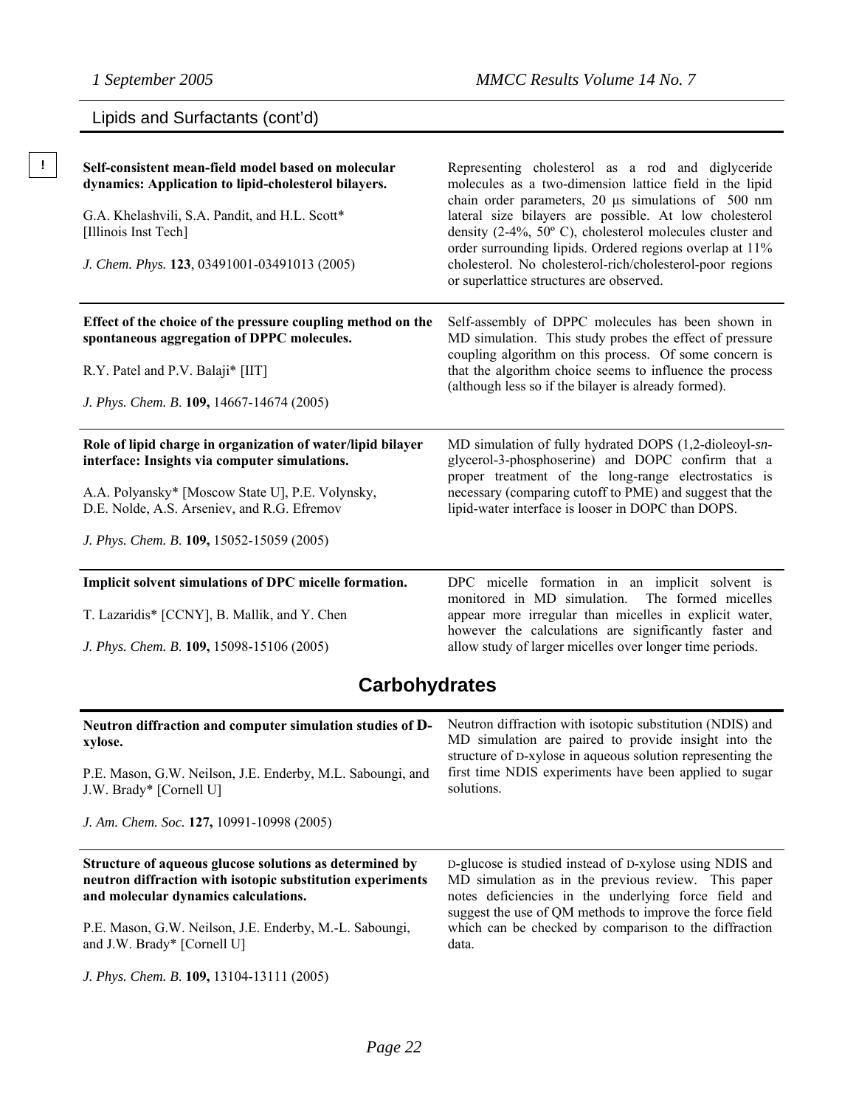# Lipids and Surfactants (cont'd)

| Self-consistent mean-field model based on molecular<br>dynamics: Application to lipid-cholesterol bilayers.<br>G.A. Khelashvili, S.A. Pandit, and H.L. Scott*<br>[Illinois Inst Tech]<br>J. Chem. Phys. 123, 03491001-03491013 (2005)                                                                | Representing cholesterol as a rod and diglyceride<br>molecules as a two-dimension lattice field in the lipid<br>chain order parameters, 20 us simulations of 500 nm<br>lateral size bilayers are possible. At low cholesterol<br>density (2-4%, $50^{\circ}$ C), cholesterol molecules cluster and<br>order surrounding lipids. Ordered regions overlap at 11%<br>cholesterol. No cholesterol-rich/cholesterol-poor regions<br>or superlattice structures are observed. |
|------------------------------------------------------------------------------------------------------------------------------------------------------------------------------------------------------------------------------------------------------------------------------------------------------|-------------------------------------------------------------------------------------------------------------------------------------------------------------------------------------------------------------------------------------------------------------------------------------------------------------------------------------------------------------------------------------------------------------------------------------------------------------------------|
| Effect of the choice of the pressure coupling method on the<br>spontaneous aggregation of DPPC molecules.<br>R.Y. Patel and P.V. Balaji* [IIT]<br>J. Phys. Chem. B. 109, 14667-14674 (2005)                                                                                                          | Self-assembly of DPPC molecules has been shown in<br>MD simulation. This study probes the effect of pressure<br>coupling algorithm on this process. Of some concern is<br>that the algorithm choice seems to influence the process<br>(although less so if the bilayer is already formed).                                                                                                                                                                              |
| Role of lipid charge in organization of water/lipid bilayer<br>interface: Insights via computer simulations.<br>A.A. Polyansky* [Moscow State U], P.E. Volynsky,<br>D.E. Nolde, A.S. Arseniev, and R.G. Efremov<br>J. Phys. Chem. B. 109, 15052-15059 (2005)                                         | MD simulation of fully hydrated DOPS (1,2-dioleoyl-sn-<br>glycerol-3-phosphoserine) and DOPC confirm that a<br>proper treatment of the long-range electrostatics is<br>necessary (comparing cutoff to PME) and suggest that the<br>lipid-water interface is looser in DOPC than DOPS.                                                                                                                                                                                   |
| Implicit solvent simulations of DPC micelle formation.<br>T. Lazaridis* [CCNY], B. Mallik, and Y. Chen<br>J. Phys. Chem. B. 109, 15098-15106 (2005)                                                                                                                                                  | DPC micelle formation in an implicit solvent is<br>monitored in MD simulation.<br>The formed micelles<br>appear more irregular than micelles in explicit water,<br>however the calculations are significantly faster and<br>allow study of larger micelles over longer time periods.                                                                                                                                                                                    |
| <b>Carbohydrates</b>                                                                                                                                                                                                                                                                                 |                                                                                                                                                                                                                                                                                                                                                                                                                                                                         |
| Neutron diffraction and computer simulation studies of D-<br>xylose.<br>P.E. Mason, G.W. Neilson, J.E. Enderby, M.L. Saboungi, and<br>J.W. Brady* [Cornell U]<br>J. Am. Chem. Soc. 127, 10991-10998 (2005)                                                                                           | Neutron diffraction with isotopic substitution (NDIS) and<br>MD simulation are paired to provide insight into the<br>structure of D-xylose in aqueous solution representing the<br>first time NDIS experiments have been applied to sugar<br>solutions.                                                                                                                                                                                                                 |
| Structure of aqueous glucose solutions as determined by<br>neutron diffraction with isotopic substitution experiments<br>and molecular dynamics calculations.<br>P.E. Mason, G.W. Neilson, J.E. Enderby, M.-L. Saboungi,<br>and J.W. Brady* [Cornell U]<br>J. Phys. Chem. B. 109, 13104-13111 (2005) | D-glucose is studied instead of D-xylose using NDIS and<br>MD simulation as in the previous review. This paper<br>notes deficiencies in the underlying force field and<br>suggest the use of QM methods to improve the force field<br>which can be checked by comparison to the diffraction<br>data.                                                                                                                                                                    |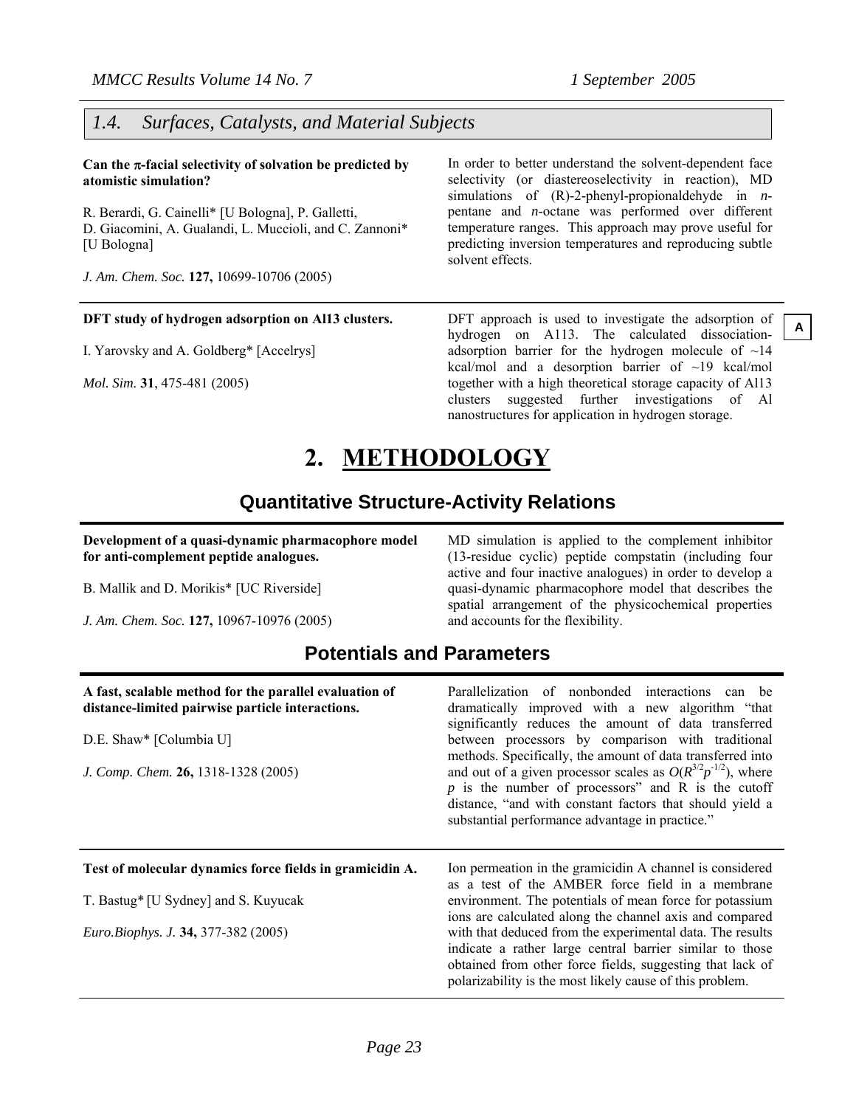### *1.4. Surfaces, Catalysts, and Material Subjects*

**Can the** π**-facial selectivity of solvation be predicted by atomistic simulation?** 

R. Berardi, G. Cainelli\* [U Bologna], P. Galletti, D. Giacomini, A. Gualandi, L. Muccioli, and C. Zannoni\* [U Bologna]

*J. Am. Chem. Soc.* **127,** 10699-10706 (2005)

#### **DFT study of hydrogen adsorption on Al13 clusters.**

I. Yarovsky and A. Goldberg\* [Accelrys]

*Mol. Sim.* **31**, 475-481 (2005)

In order to better understand the solvent-dependent face selectivity (or diastereoselectivity in reaction), MD simulations of (R)-2-phenyl-propionaldehyde in *n*pentane and *n*-octane was performed over different temperature ranges. This approach may prove useful for predicting inversion temperatures and reproducing subtle solvent effects.

DFT approach is used to investigate the adsorption of hydrogen on A113. The calculated dissociationadsorption barrier for the hydrogen molecule of  $\sim$ 14 kcal/mol and a desorption barrier of ~19 kcal/mol together with a high theoretical storage capacity of Al13 clusters suggested further investigations of Al nanostructures for application in hydrogen storage.

**A**

# **2. METHODOLOGY**

### **Quantitative Structure-Activity Relations**

**Development of a quasi-dynamic pharmacophore model for anti-complement peptide analogues.** 

B. Mallik and D. Morikis\* [UC Riverside]

*J. Am. Chem. Soc.* **127,** 10967-10976 (2005)

MD simulation is applied to the complement inhibitor (13-residue cyclic) peptide compstatin (including four active and four inactive analogues) in order to develop a quasi-dynamic pharmacophore model that describes the spatial arrangement of the physicochemical properties and accounts for the flexibility.

### **Potentials and Parameters**

| A fast, scalable method for the parallel evaluation of<br>distance-limited pairwise particle interactions. | Parallelization of nonbonded interactions can be<br>dramatically improved with a new algorithm "that<br>significantly reduces the amount of data transferred                                                                               |  |  |
|------------------------------------------------------------------------------------------------------------|--------------------------------------------------------------------------------------------------------------------------------------------------------------------------------------------------------------------------------------------|--|--|
| D.E. Shaw* [Columbia U]                                                                                    | between processors by comparison with traditional<br>methods. Specifically, the amount of data transferred into                                                                                                                            |  |  |
| J. Comp. Chem. 26, 1318-1328 (2005)                                                                        | and out of a given processor scales as $O(R^{3/2}p^{-1/2})$ , where<br>$p$ is the number of processors" and R is the cutoff<br>distance, "and with constant factors that should yield a<br>substantial performance advantage in practice." |  |  |
|                                                                                                            |                                                                                                                                                                                                                                            |  |  |
| Test of molecular dynamics force fields in gramicidin A.                                                   | Ion permeation in the gramical A channel is considered<br>as a test of the AMBER force field in a membrane                                                                                                                                 |  |  |
| T. Bastug* [U Sydney] and S. Kuyucak                                                                       | environment. The potentials of mean force for potassium<br>ions are calculated along the channel axis and compared                                                                                                                         |  |  |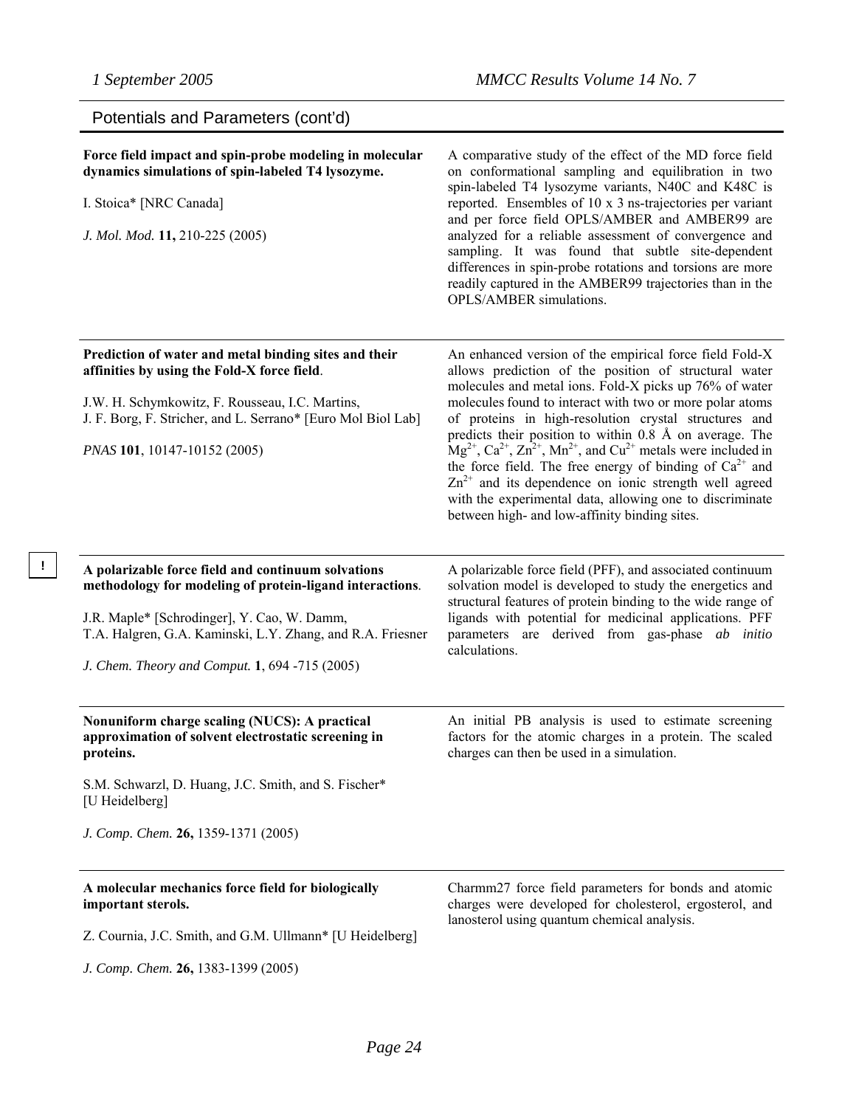**!** 

| Potentials and Parameters (cont'd)                                                                                                                                                                                                                                            |                                                                                                                                                                                                                                                                                                                                                                                                                                                                                                                                                                                                                                                                                                       |
|-------------------------------------------------------------------------------------------------------------------------------------------------------------------------------------------------------------------------------------------------------------------------------|-------------------------------------------------------------------------------------------------------------------------------------------------------------------------------------------------------------------------------------------------------------------------------------------------------------------------------------------------------------------------------------------------------------------------------------------------------------------------------------------------------------------------------------------------------------------------------------------------------------------------------------------------------------------------------------------------------|
| Force field impact and spin-probe modeling in molecular<br>dynamics simulations of spin-labeled T4 lysozyme.<br>I. Stoica* [NRC Canada]<br>J. Mol. Mod. 11, 210-225 (2005)                                                                                                    | A comparative study of the effect of the MD force field<br>on conformational sampling and equilibration in two<br>spin-labeled T4 lysozyme variants, N40C and K48C is<br>reported. Ensembles of 10 x 3 ns-trajectories per variant<br>and per force field OPLS/AMBER and AMBER99 are<br>analyzed for a reliable assessment of convergence and<br>sampling. It was found that subtle site-dependent<br>differences in spin-probe rotations and torsions are more<br>readily captured in the AMBER99 trajectories than in the<br>OPLS/AMBER simulations.                                                                                                                                                |
| Prediction of water and metal binding sites and their<br>affinities by using the Fold-X force field.<br>J.W. H. Schymkowitz, F. Rousseau, I.C. Martins,<br>J. F. Borg, F. Stricher, and L. Serrano* [Euro Mol Biol Lab]<br>PNAS 101, 10147-10152 (2005)                       | An enhanced version of the empirical force field Fold-X<br>allows prediction of the position of structural water<br>molecules and metal ions. Fold-X picks up 76% of water<br>molecules found to interact with two or more polar atoms<br>of proteins in high-resolution crystal structures and<br>predicts their position to within 0.8 Å on average. The<br>$Mg^{2+}$ , $Ca^{2+}$ , $Zn^{2+}$ , $Mn^{2+}$ , and $Cu^{2+}$ metals were included in<br>the force field. The free energy of binding of $Ca^{2+}$ and<br>$\text{Zn}^{2+}$ and its dependence on ionic strength well agreed<br>with the experimental data, allowing one to discriminate<br>between high- and low-affinity binding sites. |
| A polarizable force field and continuum solvations<br>methodology for modeling of protein-ligand interactions.<br>J.R. Maple* [Schrodinger], Y. Cao, W. Damm,<br>T.A. Halgren, G.A. Kaminski, L.Y. Zhang, and R.A. Friesner<br>J. Chem. Theory and Comput. 1, 694 -715 (2005) | A polarizable force field (PFF), and associated continuum<br>solvation model is developed to study the energetics and<br>structural features of protein binding to the wide range of<br>ligands with potential for medicinal applications. PFF<br>parameters are derived from gas-phase ab initio<br>calculations.                                                                                                                                                                                                                                                                                                                                                                                    |
| Nonuniform charge scaling (NUCS): A practical<br>approximation of solvent electrostatic screening in<br>proteins.<br>S.M. Schwarzl, D. Huang, J.C. Smith, and S. Fischer*<br>[U Heidelberg]<br>J. Comp. Chem. 26, 1359-1371 (2005)                                            | An initial PB analysis is used to estimate screening<br>factors for the atomic charges in a protein. The scaled<br>charges can then be used in a simulation.                                                                                                                                                                                                                                                                                                                                                                                                                                                                                                                                          |
| A molecular mechanics force field for biologically<br>important sterols.<br>Z. Cournia, J.C. Smith, and G.M. Ullmann* [U Heidelberg]                                                                                                                                          | Charmm27 force field parameters for bonds and atomic<br>charges were developed for cholesterol, ergosterol, and<br>lanosterol using quantum chemical analysis.                                                                                                                                                                                                                                                                                                                                                                                                                                                                                                                                        |

*J. Comp. Chem.* **26,** 1383-1399 (2005)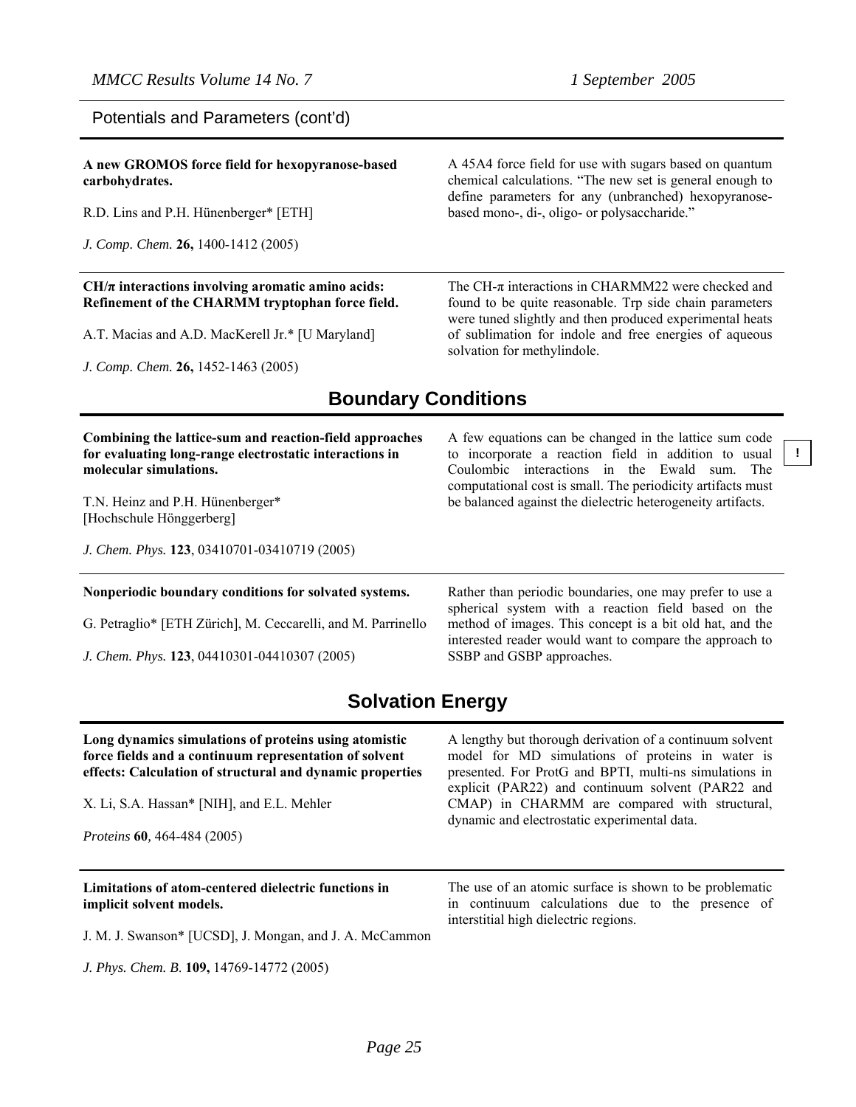Potentials and Parameters (cont'd)

**A new GROMOS force field for hexopyranose-based carbohydrates.** 

R.D. Lins and P.H. Hünenberger\* [ETH]

*J. Comp. Chem.* **26,** 1400-1412 (2005)

#### **CH/π interactions involving aromatic amino acids: Refinement of the CHARMM tryptophan force field.**

A.T. Macias and A.D. MacKerell Jr.\* [U Maryland]

*J. Comp. Chem.* **26,** 1452-1463 (2005)

A 45A4 force field for use with sugars based on quantum chemical calculations. "The new set is general enough to define parameters for any (unbranched) hexopyranosebased mono-, di-, oligo- or polysaccharide."

The CH- $\pi$  interactions in CHARMM22 were checked and found to be quite reasonable. Trp side chain parameters were tuned slightly and then produced experimental heats of sublimation for indole and free energies of aqueous solvation for methylindole.

### **Boundary Conditions**

**Combining the lattice-sum and reaction-field approaches for evaluating long-range electrostatic interactions in molecular simulations.** 

T.N. Heinz and P.H. Hünenberger\* [Hochschule Hönggerberg]

*J. Chem. Phys.* **123**, 03410701-03410719 (2005)

#### **Nonperiodic boundary conditions for solvated systems.**

G. Petraglio\* [ETH Zürich], M. Ceccarelli, and M. Parrinello

*J. Chem. Phys.* **123**, 04410301-04410307 (2005)

A few equations can be changed in the lattice sum code to incorporate a reaction field in addition to usual Coulombic interactions in the Ewald sum. The computational cost is small. The periodicity artifacts must be balanced against the dielectric heterogeneity artifacts.

**!**

Rather than periodic boundaries, one may prefer to use a spherical system with a reaction field based on the method of images. This concept is a bit old hat, and the interested reader would want to compare the approach to SSBP and GSBP approaches.

### **Solvation Energy**

| Long dynamics simulations of proteins using atomistic<br>force fields and a continuum representation of solvent<br>effects: Calculation of structural and dynamic properties<br>X. Li, S.A. Hassan* [NIH], and E.L. Mehler<br><i>Proteins</i> 60, 464-484 (2005) | A lengthy but thorough derivation of a continuum solvent<br>model for MD simulations of proteins in water is<br>presented. For ProtG and BPTI, multi-ns simulations in<br>explicit (PAR22) and continuum solvent (PAR22 and<br>CMAP) in CHARMM are compared with structural,<br>dynamic and electrostatic experimental data. |
|------------------------------------------------------------------------------------------------------------------------------------------------------------------------------------------------------------------------------------------------------------------|------------------------------------------------------------------------------------------------------------------------------------------------------------------------------------------------------------------------------------------------------------------------------------------------------------------------------|
| Limitations of atom-centered dielectric functions in<br>implicit solvent models.                                                                                                                                                                                 | The use of an atomic surface is shown to be problematic<br>in continuum calculations due to the presence of                                                                                                                                                                                                                  |
| J. M. J. Swanson* [UCSD], J. Mongan, and J. A. McCammon                                                                                                                                                                                                          | interstitial high dielectric regions.                                                                                                                                                                                                                                                                                        |
| J. Phys. Chem. B. 109, 14769-14772 (2005)                                                                                                                                                                                                                        |                                                                                                                                                                                                                                                                                                                              |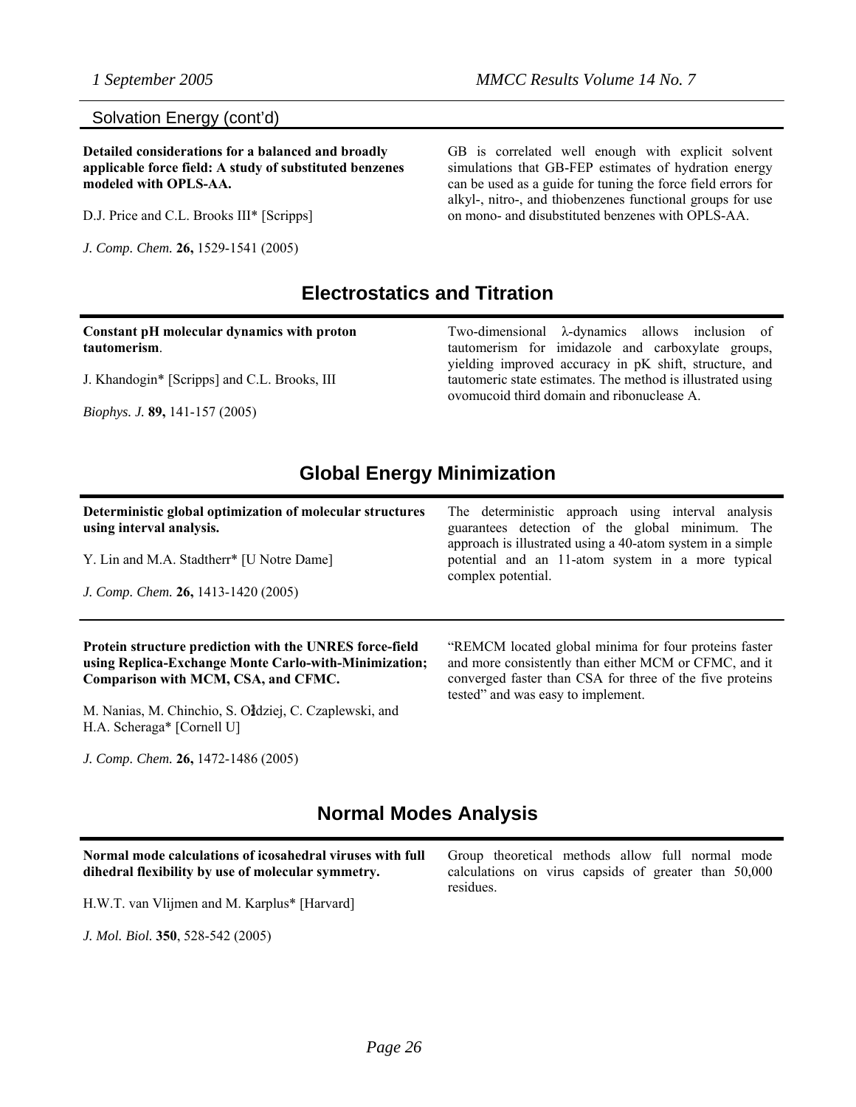#### Solvation Energy (cont'd)

**Detailed considerations for a balanced and broadly applicable force field: A study of substituted benzenes modeled with OPLS-AA.** 

D.J. Price and C.L. Brooks III\* [Scripps]

*J. Comp. Chem.* **26,** 1529-1541 (2005)

GB is correlated well enough with explicit solvent simulations that GB-FEP estimates of hydration energy can be used as a guide for tuning the force field errors for alkyl-, nitro-, and thiobenzenes functional groups for use on mono- and disubstituted benzenes with OPLS-AA.

### **Electrostatics and Titration**

**Constant pH molecular dynamics with proton tautomerism**.

J. Khandogin\* [Scripps] and C.L. Brooks, III

*Biophys. J.* **89,** 141-157 (2005)

Two-dimensional λ-dynamics allows inclusion of tautomerism for imidazole and carboxylate groups, yielding improved accuracy in pK shift, structure, and tautomeric state estimates. The method is illustrated using ovomucoid third domain and ribonuclease A.

### **Global Energy Minimization**

**Deterministic global optimization of molecular structures using interval analysis.** 

Y. Lin and M.A. Stadtherr\* [U Notre Dame]

*J. Comp. Chem.* **26,** 1413-1420 (2005)

#### **Protein structure prediction with the UNRES force-field using Replica-Exchange Monte Carlo-with-Minimization; Comparison with MCM, CSA, and CFMC.**

M. Nanias, M. Chinchio, S. Ołdziej, C. Czaplewski, and H.A. Scheraga\* [Cornell U]

*J. Comp. Chem.* **26,** 1472-1486 (2005)

The deterministic approach using interval analysis guarantees detection of the global minimum. The approach is illustrated using a 40-atom system in a simple potential and an 11-atom system in a more typical complex potential.

"REMCM located global minima for four proteins faster and more consistently than either MCM or CFMC, and it converged faster than CSA for three of the five proteins tested" and was easy to implement.

### **Normal Modes Analysis**

**Normal mode calculations of icosahedral viruses with full dihedral flexibility by use of molecular symmetry.** 

H.W.T. van Vlijmen and M. Karplus\* [Harvard]

*J. Mol. Biol.* **350**, 528-542 (2005)

Group theoretical methods allow full normal mode calculations on virus capsids of greater than 50,000 residues.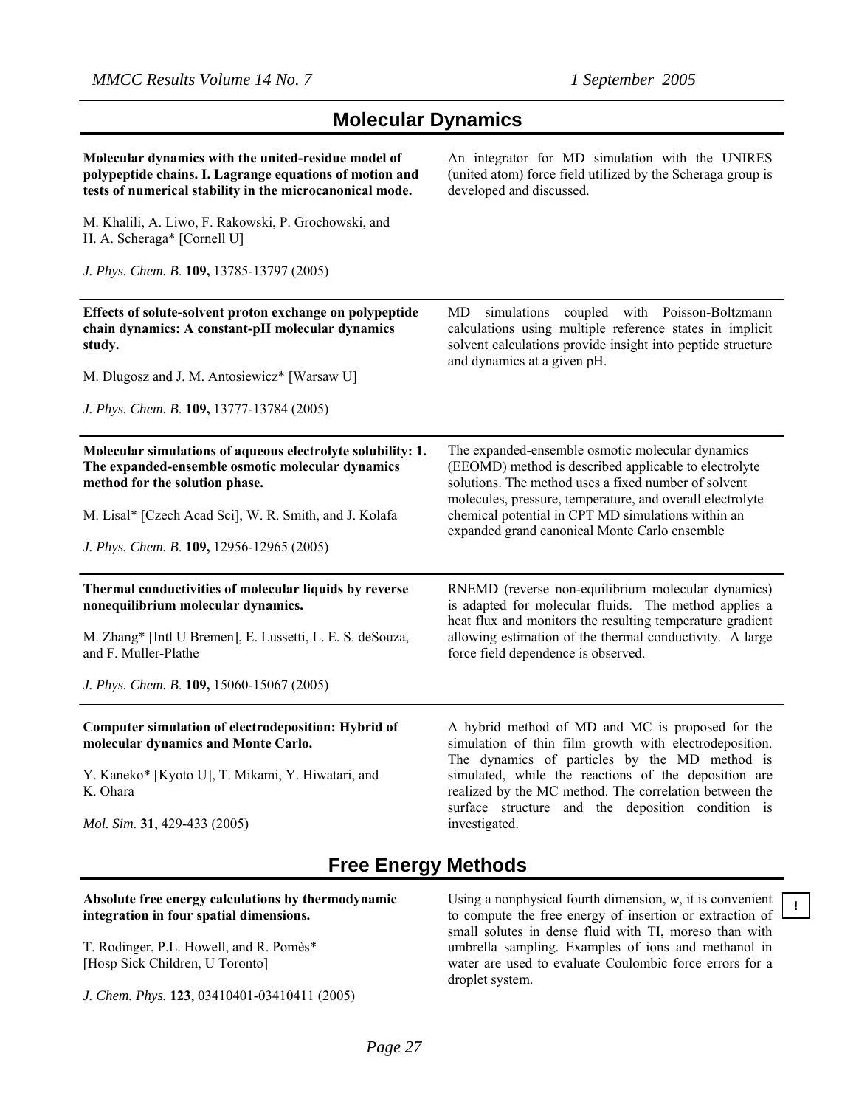| <b>Molecular Dynamics</b> |  |
|---------------------------|--|
|---------------------------|--|

| Molecular dynamics with the united-residue model of<br>polypeptide chains. I. Lagrange equations of motion and<br>tests of numerical stability in the microcanonical mode. | An integrator for MD simulation with the UNIRES<br>(united atom) force field utilized by the Scheraga group is<br>developed and discussed.                                                                                                                                                                                                          |
|----------------------------------------------------------------------------------------------------------------------------------------------------------------------------|-----------------------------------------------------------------------------------------------------------------------------------------------------------------------------------------------------------------------------------------------------------------------------------------------------------------------------------------------------|
| M. Khalili, A. Liwo, F. Rakowski, P. Grochowski, and<br>H. A. Scheraga* [Cornell U]                                                                                        |                                                                                                                                                                                                                                                                                                                                                     |
| J. Phys. Chem. B. 109, 13785-13797 (2005)                                                                                                                                  |                                                                                                                                                                                                                                                                                                                                                     |
| Effects of solute-solvent proton exchange on polypeptide<br>chain dynamics: A constant-pH molecular dynamics<br>study.                                                     | MD simulations coupled with Poisson-Boltzmann<br>calculations using multiple reference states in implicit<br>solvent calculations provide insight into peptide structure<br>and dynamics at a given pH.                                                                                                                                             |
| M. Dlugosz and J. M. Antosiewicz* [Warsaw U]                                                                                                                               |                                                                                                                                                                                                                                                                                                                                                     |
| J. Phys. Chem. B. 109, 13777-13784 (2005)                                                                                                                                  |                                                                                                                                                                                                                                                                                                                                                     |
| Molecular simulations of aqueous electrolyte solubility: 1.<br>The expanded-ensemble osmotic molecular dynamics<br>method for the solution phase.                          | The expanded-ensemble osmotic molecular dynamics<br>(EEOMD) method is described applicable to electrolyte<br>solutions. The method uses a fixed number of solvent<br>molecules, pressure, temperature, and overall electrolyte                                                                                                                      |
| M. Lisal* [Czech Acad Sci], W. R. Smith, and J. Kolafa<br>J. Phys. Chem. B. 109, 12956-12965 (2005)                                                                        | chemical potential in CPT MD simulations within an<br>expanded grand canonical Monte Carlo ensemble                                                                                                                                                                                                                                                 |
| Thermal conductivities of molecular liquids by reverse<br>nonequilibrium molecular dynamics.                                                                               | RNEMD (reverse non-equilibrium molecular dynamics)<br>is adapted for molecular fluids. The method applies a<br>heat flux and monitors the resulting temperature gradient                                                                                                                                                                            |
| M. Zhang* [Intl U Bremen], E. Lussetti, L. E. S. deSouza,<br>and F. Muller-Plathe                                                                                          | allowing estimation of the thermal conductivity. A large<br>force field dependence is observed.                                                                                                                                                                                                                                                     |
| J. Phys. Chem. B. 109, 15060-15067 (2005)                                                                                                                                  |                                                                                                                                                                                                                                                                                                                                                     |
| Computer simulation of electrodeposition: Hybrid of<br>molecular dynamics and Monte Carlo.                                                                                 | A hybrid method of MD and MC is proposed for the<br>simulation of thin film growth with electrodeposition.<br>The dynamics of particles by the MD method is<br>simulated, while the reactions of the deposition are<br>realized by the MC method. The correlation between the<br>surface structure and the deposition condition is<br>investigated. |
| Y. Kaneko* [Kyoto U], T. Mikami, Y. Hiwatari, and<br>K. Ohara                                                                                                              |                                                                                                                                                                                                                                                                                                                                                     |
| Mol. Sim. 31, 429-433 (2005)                                                                                                                                               |                                                                                                                                                                                                                                                                                                                                                     |
|                                                                                                                                                                            | <b>BA</b> . 41 1.                                                                                                                                                                                                                                                                                                                                   |

### **Free Energy Methods**

#### **Absolute free energy calculations by thermodynamic integration in four spatial dimensions.**

T. Rodinger, P.L. Howell, and R. Pomès\* [Hosp Sick Children, U Toronto]

*J. Chem. Phys.* **123**, 03410401-03410411 (2005)

Using a nonphysical fourth dimension, *w*, it is convenient to compute the free energy of insertion or extraction of small solutes in dense fluid with TI, moreso than with umbrella sampling. Examples of ions and methanol in water are used to evaluate Coulombic force errors for a droplet system.

**!**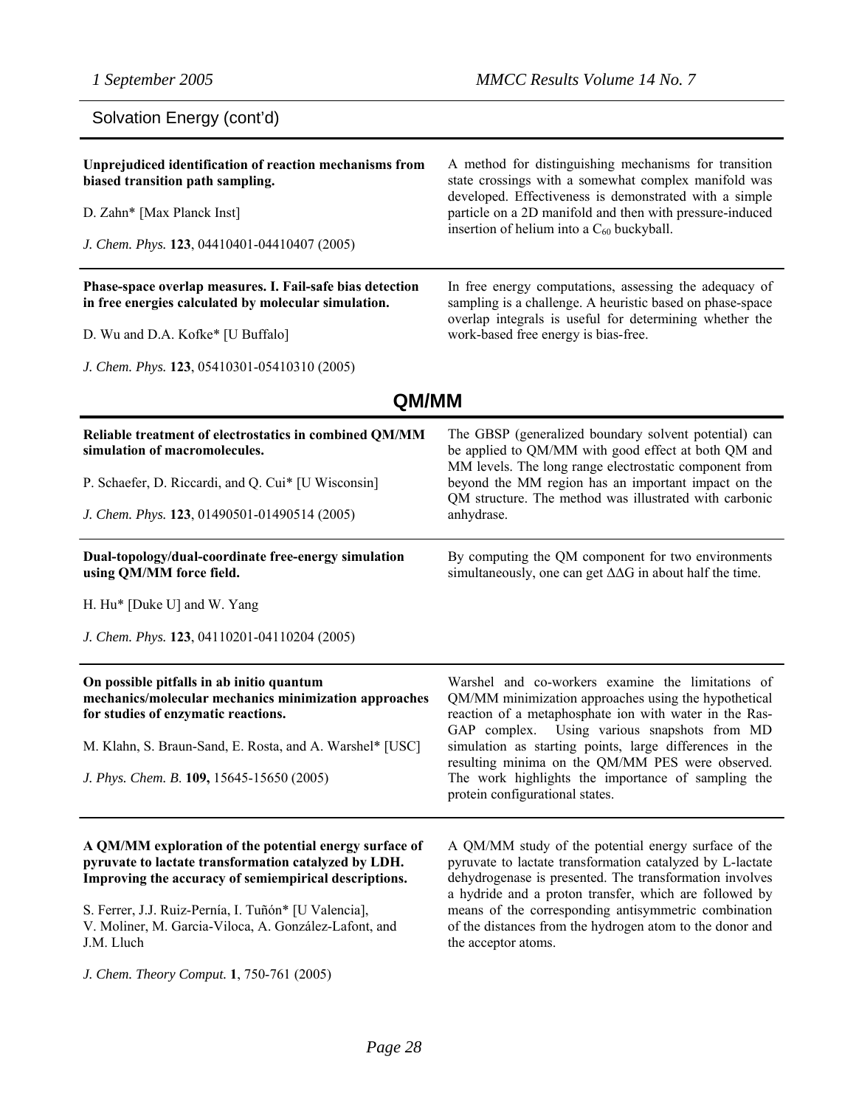| Solvation Energy (cont'd)                                                                                                                                               |                                                                                                                                                                                                                                        |  |
|-------------------------------------------------------------------------------------------------------------------------------------------------------------------------|----------------------------------------------------------------------------------------------------------------------------------------------------------------------------------------------------------------------------------------|--|
| Unprejudiced identification of reaction mechanisms from<br>biased transition path sampling.                                                                             | A method for distinguishing mechanisms for transition<br>state crossings with a somewhat complex manifold was                                                                                                                          |  |
| D. Zahn* [Max Planck Inst]                                                                                                                                              | developed. Effectiveness is demonstrated with a simple<br>particle on a 2D manifold and then with pressure-induced                                                                                                                     |  |
| J. Chem. Phys. 123, 04410401-04410407 (2005)                                                                                                                            | insertion of helium into a $C_{60}$ buckyball.                                                                                                                                                                                         |  |
| Phase-space overlap measures. I. Fail-safe bias detection<br>in free energies calculated by molecular simulation.                                                       | In free energy computations, assessing the adequacy of<br>sampling is a challenge. A heuristic based on phase-space                                                                                                                    |  |
| D. Wu and D.A. Kofke* [U Buffalo]                                                                                                                                       | overlap integrals is useful for determining whether the<br>work-based free energy is bias-free.                                                                                                                                        |  |
| J. Chem. Phys. 123, 05410301-05410310 (2005)                                                                                                                            |                                                                                                                                                                                                                                        |  |
| QM/MM                                                                                                                                                                   |                                                                                                                                                                                                                                        |  |
| Reliable treatment of electrostatics in combined QM/MM<br>simulation of macromolecules.                                                                                 | The GBSP (generalized boundary solvent potential) can<br>be applied to QM/MM with good effect at both QM and<br>MM levels. The long range electrostatic component from                                                                 |  |
| P. Schaefer, D. Riccardi, and Q. Cui* [U Wisconsin]                                                                                                                     | beyond the MM region has an important impact on the                                                                                                                                                                                    |  |
| J. Chem. Phys. 123, 01490501-01490514 (2005)                                                                                                                            | QM structure. The method was illustrated with carbonic<br>anhydrase.                                                                                                                                                                   |  |
| Dual-topology/dual-coordinate free-energy simulation<br>using QM/MM force field.                                                                                        | By computing the QM component for two environments<br>simultaneously, one can get $\Delta\Delta G$ in about half the time.                                                                                                             |  |
| H. Hu* [Duke U] and W. Yang                                                                                                                                             |                                                                                                                                                                                                                                        |  |
| J. Chem. Phys. 123, 04110201-04110204 (2005)                                                                                                                            |                                                                                                                                                                                                                                        |  |
| On possible pitfalls in ab initio quantum<br>mechanics/molecular mechanics minimization approaches<br>for studies of enzymatic reactions.                               | Warshel and co-workers examine the limitations of<br>QM/MM minimization approaches using the hypothetical<br>reaction of a metaphosphate ion with water in the Ras-                                                                    |  |
| M. Klahn, S. Braun-Sand, E. Rosta, and A. Warshel* [USC]                                                                                                                | GAP complex.<br>Using various snapshots from MD<br>simulation as starting points, large differences in the                                                                                                                             |  |
| J. Phys. Chem. B. 109, 15645-15650 (2005)                                                                                                                               | resulting minima on the QM/MM PES were observed.<br>The work highlights the importance of sampling the<br>protein configurational states.                                                                                              |  |
| A QM/MM exploration of the potential energy surface of<br>pyruvate to lactate transformation catalyzed by LDH.<br>Improving the accuracy of semiempirical descriptions. | A QM/MM study of the potential energy surface of the<br>pyruvate to lactate transformation catalyzed by L-lactate<br>dehydrogenase is presented. The transformation involves<br>a hydride and a proton transfer, which are followed by |  |
| S. Ferrer, J.J. Ruiz-Pernía, I. Tuñón* [U Valencia],                                                                                                                    | means of the corresponding antisymmetric combination                                                                                                                                                                                   |  |

*J. Chem. Theory Comput.* **1**, 750-761 (2005)

J.M. Lluch

V. Moliner, M. Garcia-Viloca, A. González-Lafont, and

means of the corresponding antisymmetric combination of the distances from the hydrogen atom to the donor and the acceptor atoms.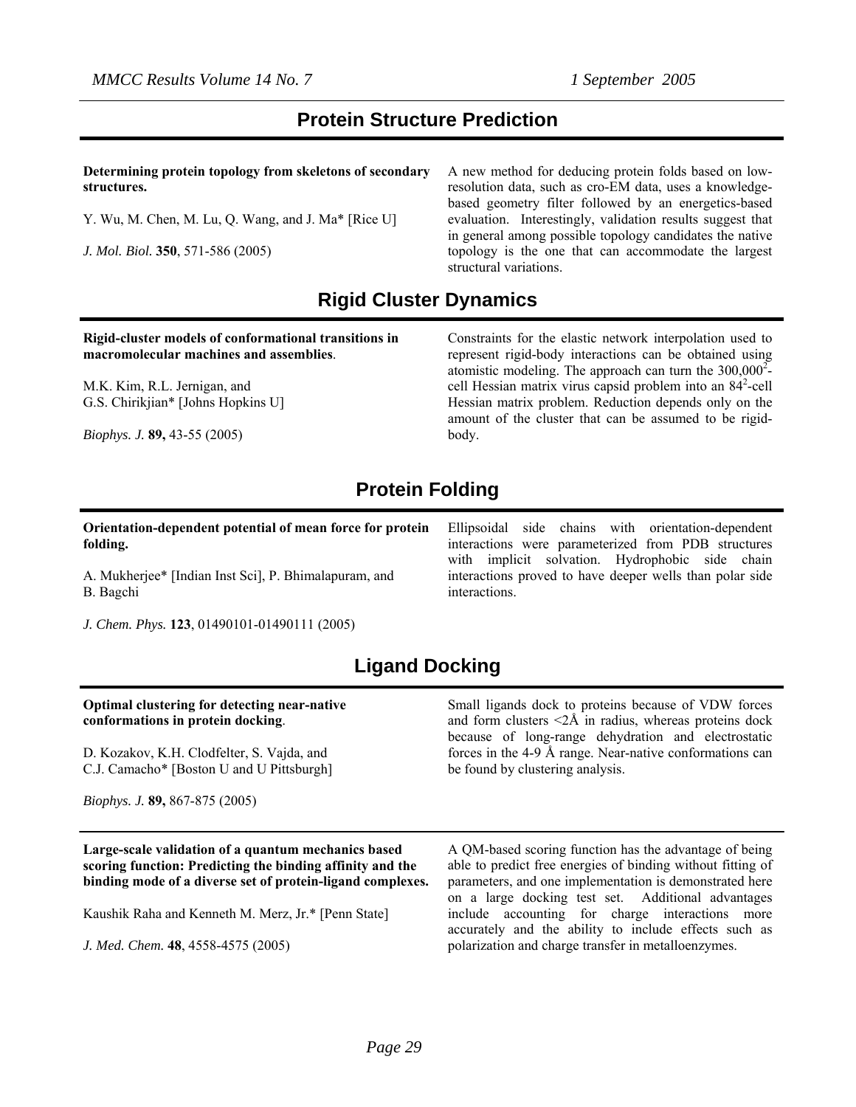### **Protein Structure Prediction**

**Determining protein topology from skeletons of secondary structures.** 

Y. Wu, M. Chen, M. Lu, Q. Wang, and J. Ma\* [Rice U]

*J. Mol. Biol.* **350**, 571-586 (2005)

A new method for deducing protein folds based on lowresolution data, such as cro-EM data, uses a knowledgebased geometry filter followed by an energetics-based evaluation. Interestingly, validation results suggest that in general among possible topology candidates the native topology is the one that can accommodate the largest structural variations.

### **Rigid Cluster Dynamics**

#### **Rigid-cluster models of conformational transitions in macromolecular machines and assemblies**.

M.K. Kim, R.L. Jernigan, and G.S. Chirikjian\* [Johns Hopkins U]

*Biophys. J.* **89,** 43-55 (2005)

Constraints for the elastic network interpolation used to represent rigid-body interactions can be obtained using atomistic modeling. The approach can turn the  $300,000^2$ cell Hessian matrix virus capsid problem into an 84<sup>2</sup>-cell Hessian matrix problem. Reduction depends only on the amount of the cluster that can be assumed to be rigidbody.

## **Protein Folding**

**Orientation-dependent potential of mean force for protein folding.**

A. Mukherjee\* [Indian Inst Sci], P. Bhimalapuram, and B. Bagchi

*J. Chem. Phys.* **123**, 01490101-01490111 (2005)

### interactions were parameterized from PDB structures with implicit solvation. Hydrophobic side chain interactions proved to have deeper wells than polar side interactions.

Ellipsoidal side chains with orientation-dependent

## **Ligand Docking**

#### **Optimal clustering for detecting near-native conformations in protein docking**.

D. Kozakov, K.H. Clodfelter, S. Vajda, and C.J. Camacho\* [Boston U and U Pittsburgh]

*Biophys. J.* **89,** 867-875 (2005)

Small ligands dock to proteins because of VDW forces and form clusters  $\leq 2$ Å in radius, whereas proteins dock because of long-range dehydration and electrostatic forces in the 4-9 Å range. Near-native conformations can be found by clustering analysis.

**Large-scale validation of a quantum mechanics based scoring function: Predicting the binding affinity and the binding mode of a diverse set of protein-ligand complexes.** 

Kaushik Raha and Kenneth M. Merz, Jr.\* [Penn State]

*J. Med. Chem.* **48**, 4558-4575 (2005)

A QM-based scoring function has the advantage of being able to predict free energies of binding without fitting of parameters, and one implementation is demonstrated here on a large docking test set. Additional advantages include accounting for charge interactions more accurately and the ability to include effects such as polarization and charge transfer in metalloenzymes.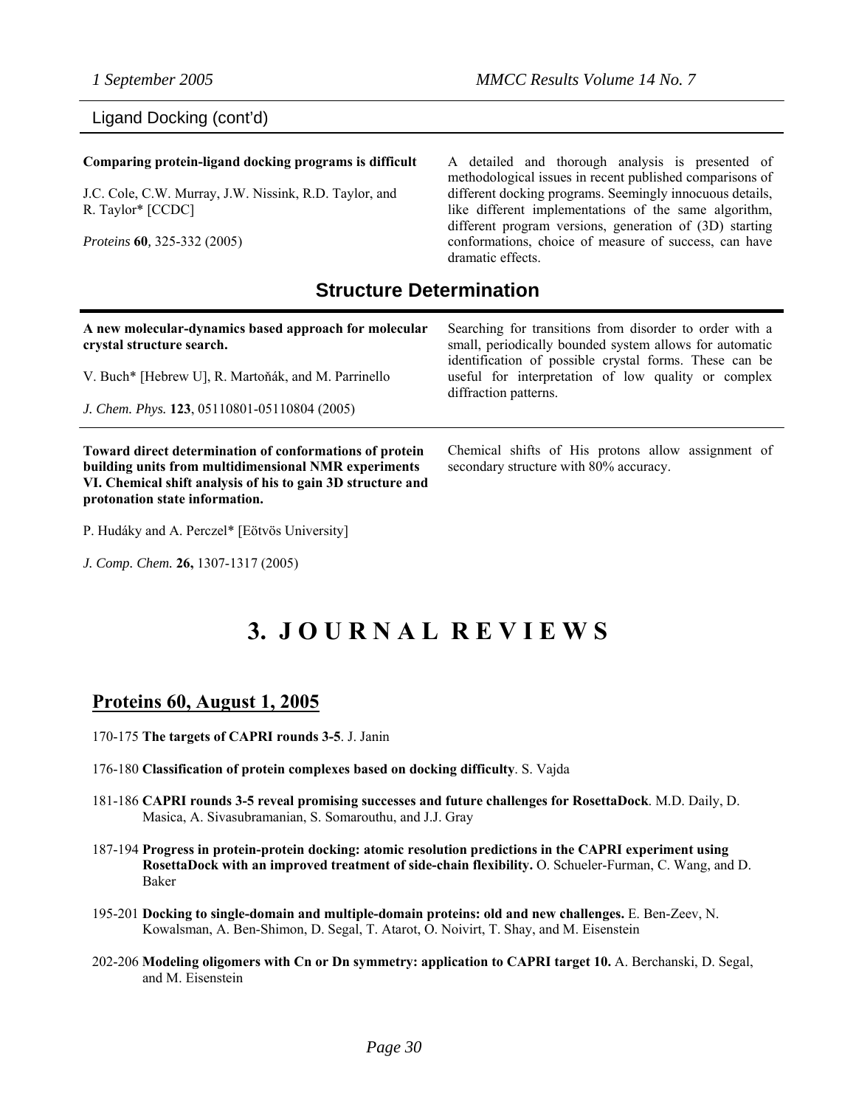### Ligand Docking (cont'd)

#### **Comparing protein-ligand docking programs is difficult**

J.C. Cole, C.W. Murray, J.W. Nissink, R.D. Taylor, and R. Taylor\* [CCDC]

*Proteins* **60***,* 325-332 (2005)

A detailed and thorough analysis is presented of methodological issues in recent published comparisons of different docking programs. Seemingly innocuous details, like different implementations of the same algorithm, different program versions, generation of (3D) starting conformations, choice of measure of success, can have dramatic effects.

### **Structure Determination**

#### **A new molecular-dynamics based approach for molecular crystal structure search.**

V. Buch\* [Hebrew U], R. Martoňák, and M. Parrinello

*J. Chem. Phys.* **123**, 05110801-05110804 (2005)

**Toward direct determination of conformations of protein building units from multidimensional NMR experiments VI. Chemical shift analysis of his to gain 3D structure and protonation state information.** 

P. Hudáky and A. Perczel\* [Eötvös University]

*J. Comp. Chem.* **26,** 1307-1317 (2005)

Searching for transitions from disorder to order with a small, periodically bounded system allows for automatic identification of possible crystal forms. These can be useful for interpretation of low quality or complex diffraction patterns.

Chemical shifts of His protons allow assignment of secondary structure with 80% accuracy.

# **3. J O U R N A L R E V I E W S**

### **Proteins 60, August 1, 2005**

- 170-175 **The targets of CAPRI rounds 3-5**. J. Janin
- 176-180 **Classification of protein complexes based on docking difficulty**. S. Vajda
- 181-186 **CAPRI rounds 3-5 reveal promising successes and future challenges for RosettaDock**. M.D. Daily, D. Masica, A. Sivasubramanian, S. Somarouthu, and J.J. Gray
- 187-194 **Progress in protein-protein docking: atomic resolution predictions in the CAPRI experiment using RosettaDock with an improved treatment of side-chain flexibility.** O. Schueler-Furman, C. Wang, and D. Baker
- 195-201 **Docking to single-domain and multiple-domain proteins: old and new challenges.** E. Ben-Zeev, N. Kowalsman, A. Ben-Shimon, D. Segal, T. Atarot, O. Noivirt, T. Shay, and M. Eisenstein
- 202-206 **Modeling oligomers with Cn or Dn symmetry: application to CAPRI target 10.** A. Berchanski, D. Segal, and M. Eisenstein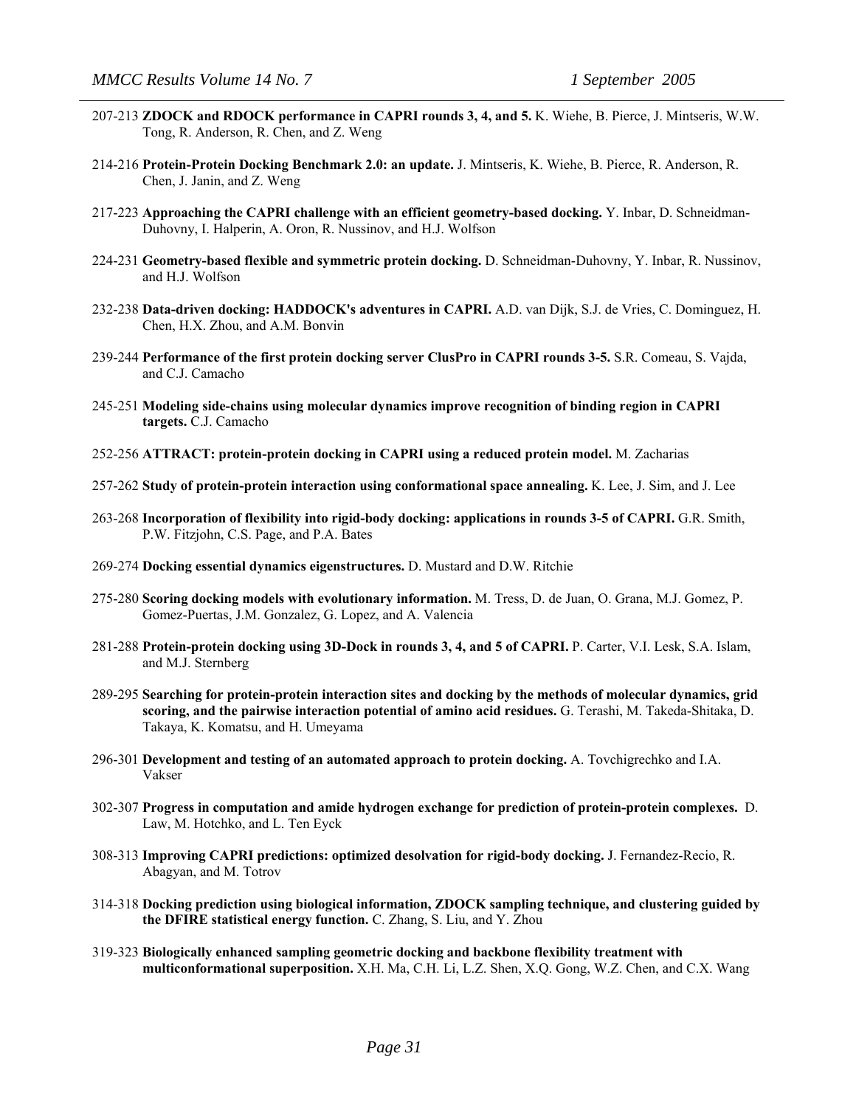- 207-213 **ZDOCK and RDOCK performance in CAPRI rounds 3, 4, and 5.** K. Wiehe, B. Pierce, J. Mintseris, W.W. Tong, R. Anderson, R. Chen, and Z. Weng
- 214-216 **Protein-Protein Docking Benchmark 2.0: an update.** J. Mintseris, K. Wiehe, B. Pierce, R. Anderson, R. Chen, J. Janin, and Z. Weng
- 217-223 **Approaching the CAPRI challenge with an efficient geometry-based docking.** Y. Inbar, D. Schneidman-Duhovny, I. Halperin, A. Oron, R. Nussinov, and H.J. Wolfson
- 224-231 **Geometry-based flexible and symmetric protein docking.** D. Schneidman-Duhovny, Y. Inbar, R. Nussinov, and H.J. Wolfson
- 232-238 **Data-driven docking: HADDOCK's adventures in CAPRI.** A.D. van Dijk, S.J. de Vries, C. Dominguez, H. Chen, H.X. Zhou, and A.M. Bonvin
- 239-244 **Performance of the first protein docking server ClusPro in CAPRI rounds 3-5.** S.R. Comeau, S. Vajda, and C.J. Camacho
- 245-251 **Modeling side-chains using molecular dynamics improve recognition of binding region in CAPRI targets.** C.J. Camacho
- 252-256 **ATTRACT: protein-protein docking in CAPRI using a reduced protein model.** M. Zacharias
- 257-262 **Study of protein-protein interaction using conformational space annealing.** K. Lee, J. Sim, and J. Lee
- 263-268 **Incorporation of flexibility into rigid-body docking: applications in rounds 3-5 of CAPRI.** G.R. Smith, P.W. Fitzjohn, C.S. Page, and P.A. Bates
- 269-274 **Docking essential dynamics eigenstructures.** D. Mustard and D.W. Ritchie
- 275-280 **Scoring docking models with evolutionary information.** M. Tress, D. de Juan, O. Grana, M.J. Gomez, P. Gomez-Puertas, J.M. Gonzalez, G. Lopez, and A. Valencia
- 281-288 **Protein-protein docking using 3D-Dock in rounds 3, 4, and 5 of CAPRI.** P. Carter, V.I. Lesk, S.A. Islam, and M.J. Sternberg
- 289-295 **Searching for protein-protein interaction sites and docking by the methods of molecular dynamics, grid scoring, and the pairwise interaction potential of amino acid residues.** G. Terashi, M. Takeda-Shitaka, D. Takaya, K. Komatsu, and H. Umeyama
- 296-301 **Development and testing of an automated approach to protein docking.** A. Tovchigrechko and I.A. Vakser
- 302-307 **Progress in computation and amide hydrogen exchange for prediction of protein-protein complexes.** D. Law, M. Hotchko, and L. Ten Eyck
- 308-313 **Improving CAPRI predictions: optimized desolvation for rigid-body docking.** J. Fernandez-Recio, R. Abagyan, and M. Totrov
- 314-318 **Docking prediction using biological information, ZDOCK sampling technique, and clustering guided by the DFIRE statistical energy function.** C. Zhang, S. Liu, and Y. Zhou
- 319-323 **Biologically enhanced sampling geometric docking and backbone flexibility treatment with multiconformational superposition.** X.H. Ma, C.H. Li, L.Z. Shen, X.Q. Gong, W.Z. Chen, and C.X. Wang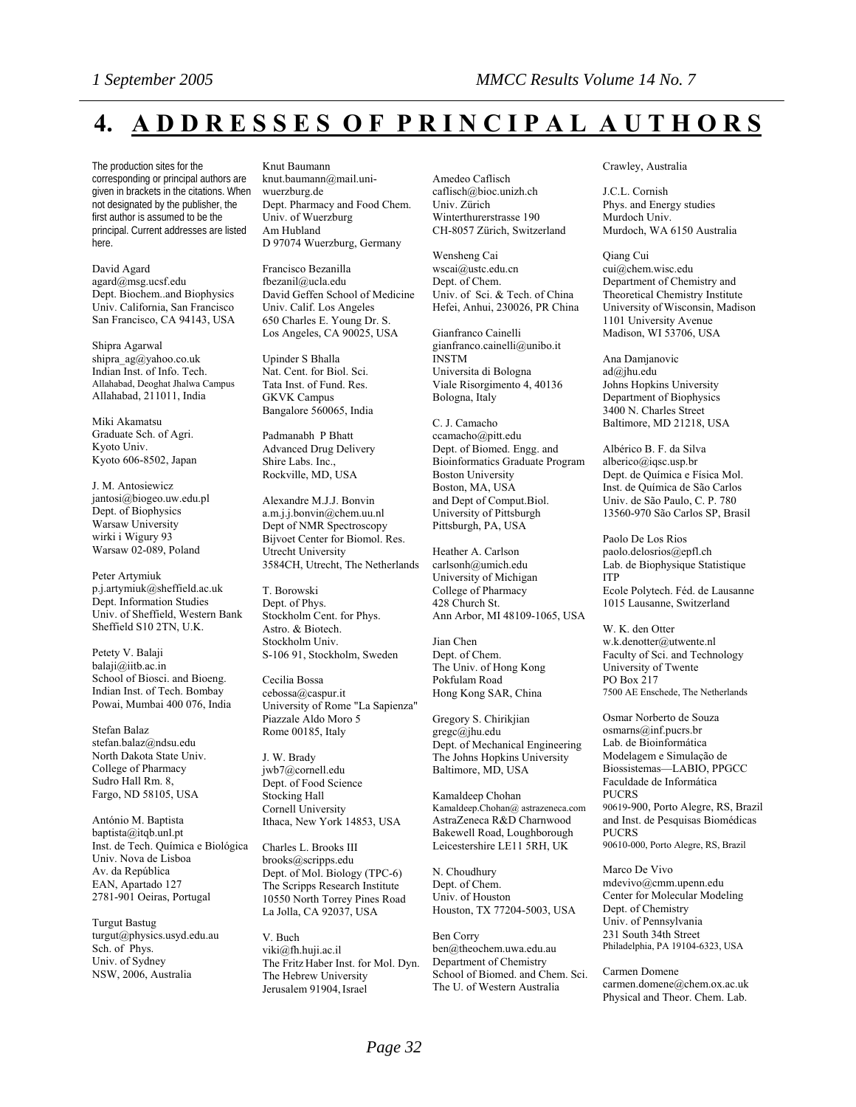# **4. A D D R E S S E S O F P R I N C I P A L A U T H O R S**

The production sites for the corresponding or principal authors are given in brackets in the citations. When not designated by the publisher, the first author is assumed to be the principal. Current addresses are listed here.

David Agard agard@msg.ucsf.edu Dept. Biochem..and Biophysics Univ. California, San Francisco San Francisco, CA 94143, USA

Shipra Agarwal [shipra\\_ag@yahoo.co.uk](mailto:shipra_ag@yahoo.co.uk) Indian Inst. of Info. Tech. Allahabad, Deoghat Jhalwa Campus Allahabad, 211011, India

Miki Akamatsu Graduate Sch. of Agri. Kyoto Univ. Kyoto 606-8502, Japan

J. M. Antosiewicz jantosi@biogeo.uw.edu.pl Dept. of Biophysics Warsaw University wirki i Wigury 93 Warsaw 02-089, Poland

Peter Artymiuk p.j.artymiuk@sheffield.ac.uk Dept. Information Studies Univ. of Sheffield, Western Bank Sheffield S10 2TN, U.K.

Petety V. Balaji balaji@iitb.ac.in School of Biosci. and Bioeng. Indian Inst. of Tech. Bombay Powai, Mumbai 400 076, India

Stefan Balaz stefan.balaz@ndsu.edu North Dakota State Univ. College of Pharmacy Sudro Hall Rm. 8, Fargo, ND 58105, USA

António M. Baptista baptista@itqb.unl.pt Inst. de Tech. Química e Biológica Univ. Nova de Lisboa Av. da República EAN, Apartado 127 2781-901 Oeiras, Portugal

Turgut Bastug [turgut@physics.usyd.edu.au](mailto:turgut@physics.usyd.edu.au) Sch. of Phys. Univ. of Sydney NSW, 2006, Australia

Knut Baumann knut.baumann@mail.uniwuerzburg.de Dept. Pharmacy and Food Chem.

Univ. of Wuerzburg Am Hubland D 97074 Wuerzburg, Germany

Francisco Bezanilla fbezanil@ucla.edu David Geffen School of Medicine Univ. Calif. Los Angeles 650 Charles E. Young Dr. S. Los Angeles, CA 90025, USA

Upinder S Bhalla Nat. Cent. for Biol. Sci. Tata Inst. of Fund. Res. GKVK Campus Bangalore 560065, India

Padmanabh P Bhatt Advanced Drug Delivery Shire Labs. Inc., Rockville, MD, USA

Alexandre M.J.J. Bonvin a.m.j.j.bonvin@chem.uu.nl Dept of NMR Spectroscopy Bijvoet Center for Biomol. Res. Utrecht University 3584CH, Utrecht, The Netherlands

T. Borowski Dept. of Phys. Stockholm Cent. for Phys. Astro. & Biotech. Stockholm Univ. S-106 91, Stockholm, Sweden

Cecilia Bossa cebossa@caspur.it University of Rome "La Sapienza" Piazzale Aldo Moro 5 Rome 00185, Italy

J. W. Brady jwb7@cornell.edu Dept. of Food Science Stocking Hall Cornell University Ithaca, New York 14853, USA

Charles L. Brooks III brooks@scripps.edu Dept. of Mol. Biology (TPC-6) The Scripps Research Institute 10550 North Torrey Pines Road La Jolla, CA 92037, USA

V. Buch viki@fh.huji.ac.il The Fritz Haber Inst. for Mol. Dyn. The Hebrew University Jerusalem 91904,Israel

Amedeo Caflisch caflisch@bioc.unizh.ch Univ. Zürich Winterthurerstrasse 190 CH-8057 Zürich, Switzerland

Wensheng Cai [wscai@ustc.edu.cn](mailto:wscai@ustc.edu.cn) Dept. of Chem. Univ. of Sci. & Tech. of China Hefei, Anhui, 230026, PR China

Gianfranco Cainelli gianfranco.cainelli@unibo.it INSTM Universita di Bologna Viale Risorgimento 4, 40136 Bologna, Italy

C. J. Camacho ccamacho@pitt.edu Dept. of Biomed. Engg. and Bioinformatics Graduate Program Boston University Boston, MA, USA and Dept of Comput.Biol. University of Pittsburgh Pittsburgh, PA, USA

Heather A. Carlson carlsonh@umich.edu University of Michigan College of Pharmacy 428 Church St. Ann Arbor, MI 48109-1065, USA

Jian Chen Dept. of Chem. The Univ. of Hong Kong Pokfulam Road Hong Kong SAR, China

Gregory S. Chirikjian gregc@jhu.edu Dept. of Mechanical Engineering The Johns Hopkins University Baltimore, MD, USA

Kamaldeep Chohan Kamaldeep.Chohan@ astrazeneca.com AstraZeneca R&D Charnwood Bakewell Road, Loughborough Leicestershire LE11 5RH, UK

N. Choudhury Dept. of Chem. Univ. of Houston Houston, TX 77204-5003, USA

Ben Corry ben@theochem.uwa.edu.au Department of Chemistry School of Biomed. and Chem. Sci. The U. of Western Australia

#### Crawley, Australia

J.C.L. Cornish Phys. and Energy studies Murdoch Univ. Murdoch, WA 6150 Australia

Qiang Cui cui@chem.wisc.edu Department of Chemistry and Theoretical Chemistry Institute University of Wisconsin, Madison 1101 University Avenue Madison, WI 53706, USA

Ana Damjanovic ad@jhu.edu Johns Hopkins University Department of Biophysics 3400 N. Charles Street Baltimore, MD 21218, USA

Albérico B. F. da Silva [alberico@iqsc.usp.br](mailto:alberico@iqsc.usp.br) Dept. de Química e Física Mol. Inst. de Química de São Carlos Univ. de São Paulo, C. P. 780 13560-970 São Carlos SP, Brasil

Paolo De Los Rios paolo.delosrios@epfl.ch Lab. de Biophysique Statistique ITP Ecole Polytech. Féd. de Lausanne

1015 Lausanne, Switzerland W. K. den Otter w.k.denotter@utwente.nl

Faculty of Sci. and Technology University of Twente PO Box 217 7500 AE Enschede, The Netherlands

Osmar Norberto de Souza osmarns@inf.pucrs.br Lab. de Bioinformática Modelagem e Simulação de Biossistemas—LABIO, PPGCC Faculdade de Informática PUCRS 90619-900, Porto Alegre, RS, Brazil and Inst. de Pesquisas Biomédicas PUCRS 90610-000, Porto Alegre, RS, Brazil

Marco De Vivo mdevivo@cmm.upenn.edu Center for Molecular Modeling Dept. of Chemistry Univ. of Pennsylvania 231 South 34th Street Philadelphia, PA 19104-6323, USA

Carmen Domene carmen.domene@chem.ox.ac.uk Physical and Theor. Chem. Lab.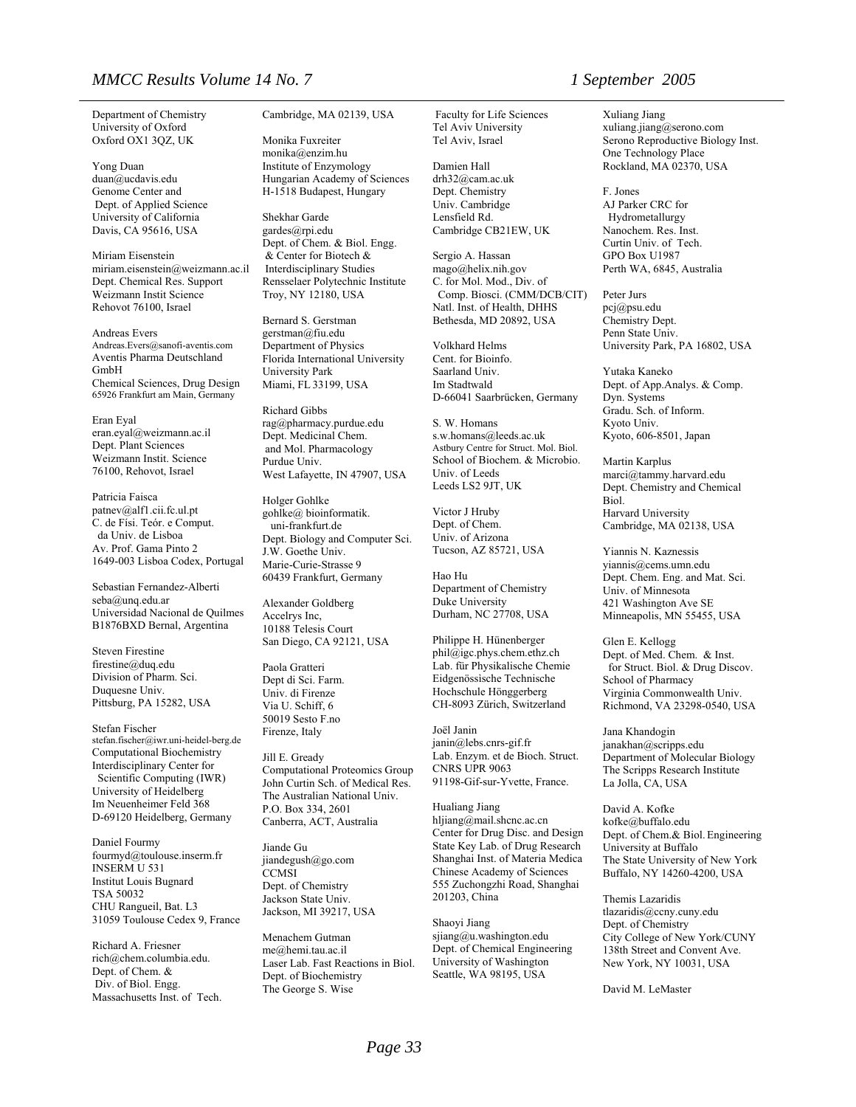#### *MMCC Results Volume 14 No. 7 1 September 2005*

Department of Chemistry University of Oxford Oxford OX1 3QZ, UK

Yong Duan duan@ucdavis.edu Genome Center and Dept. of Applied Science University of California Davis, CA 95616, USA

Miriam Eisenstein miriam.eisenstein@weizmann.ac.il Dept. Chemical Res. Support Weizmann Instit Science Rehovot 76100, Israel

Andreas Evers Andreas.Evers@sanofi-aventis.com Aventis Pharma Deutschland GmbH Chemical Sciences, Drug Design 65926 Frankfurt am Main, Germany

Eran Eyal eran.eyal@weizmann.ac.il Dept. Plant Sciences Weizmann Instit. Science 76100, Rehovot, Israel

Patricia Faisca patnev@alf1.cii.fc.ul.pt C. de Físi. Teór. e Comput. da Univ. de Lisboa Av. Prof. Gama Pinto 2 1649-003 Lisboa Codex, Portugal

Sebastian Fernandez-Alberti seba@unq.edu.ar Universidad Nacional de Quilmes B1876BXD Bernal, Argentina

Steven Firestine firestine@duq.edu Division of Pharm. Sci. Duquesne Univ. Pittsburg, PA 15282, USA

Stefan Fischer stefan.fischer@iwr.uni-heidel-berg.de Computational Biochemistry Interdisciplinary Center for Scientific Computing (IWR) University of Heidelberg Im Neuenheimer Feld 368 D-69120 Heidelberg, Germany

Daniel Fourmy fourmyd@toulouse.inserm.fr INSERM U 531 Institut Louis Bugnard TSA 50032 CHU Rangueil, Bat. L3 31059 Toulouse Cedex 9, France

Richard A. Friesner [rich@chem.columbia.edu](mailto:rich@chem.columbia.edu). Dept. of Chem. & Div. of Biol. Engg. Massachusetts Inst. of Tech. Cambridge, MA 02139, USA

Monika Fuxreiter monika@enzim.hu Institute of Enzymology Hungarian Academy of Sciences H-1518 Budapest, Hungary

Shekhar Garde gardes@rpi.edu Dept. of Chem. & Biol. Engg. & Center for Biotech & Interdisciplinary Studies Rensselaer Polytechnic Institute Troy, NY 12180, USA

Bernard S. Gerstman gerstman@fiu.edu Department of Physics Florida International University University Park Miami, FL 33199, USA

Richard Gibbs rag@pharmacy.purdue.edu Dept. Medicinal Chem. and Mol. Pharmacology Purdue Univ. West Lafayette, IN 47907, USA

Holger Gohlke gohlke@ bioinformatik. uni-frankfurt.de Dept. Biology and Computer Sci. J.W. Goethe Univ. Marie-Curie-Strasse 9 60439 Frankfurt, Germany

Alexander Goldberg Accelrys Inc, 10188 Telesis Court San Diego, CA 92121, USA

Paola Gratteri Dept di Sci. Farm. Univ. di Firenze Via U. Schiff, 6 50019 Sesto F.no Firenze, Italy

Jill E. Gready Computational Proteomics Group John Curtin Sch. of Medical Res. The Australian National Univ. P.O. Box 334, 2601 Canberra, ACT, Australia

Jiande Gu jiandegush@go.com **CCMSI** Dept. of Chemistry Jackson State Univ. Jackson, MI 39217, USA

Menachem Gutman me@hemi.tau.ac.il Laser Lab. Fast Reactions in Biol. Dept. of Biochemistry The George S. Wise

 Faculty for Life Sciences Tel Aviv University Tel Aviv, Israel

Damien Hall drh32@cam.ac.uk Dept. Chemistry Univ. Cambridge Lensfield Rd. Cambridge CB21EW, UK

Sergio A. Hassan mago@helix.nih.gov C. for Mol. Mod., Div. of Comp. Biosci. (CMM/DCB/CIT) Natl. Inst. of Health, DHHS Bethesda, MD 20892, USA

Volkhard Helms Cent. for Bioinfo. Saarland Univ. Im Stadtwald D-66041 Saarbrücken, Germany

S. W. Homans s.w.homans@leeds.ac.uk Astbury Centre for Struct. Mol. Biol. School of Biochem. & Microbio. Univ. of Leeds Leeds LS2 9JT, UK

Victor J Hruby Dept. of Chem. Univ. of Arizona Tucson, AZ 85721, USA

Hao Hu Department of Chemistry Duke University Durham, NC 27708, USA

Philippe H. Hünenberger phil@igc.phys.chem.ethz.ch Lab. für Physikalische Chemie Eidgenössìsche Technische Hochschule Hönggerberg CH-8093 Zürich, Switzerland

Joël Janin janin@lebs.cnrs-gif.fr Lab. Enzym. et de Bioch. Struct. CNRS UPR 9063 91198-Gif-sur-Yvette, France.

Hualiang Jiang hljiang@mail.shcnc.ac.cn Center for Drug Disc. and Design State Key Lab. of Drug Research Shanghai Inst. of Materia Medica Chinese Academy of Sciences 555 Zuchongzhi Road, Shanghai 201203, China

Shaoyi Jiang sjiang@u.washington.edu Dept. of Chemical Engineering University of Washington Seattle, WA 98195, USA

Xuliang Jiang xuliang.jiang@serono.com Serono Reproductive Biology Inst. One Technology Place Rockland, MA 02370, USA

F. Jones AJ Parker CRC for Hydrometallurgy Nanochem. Res. Inst. Curtin Univ. of Tech. GPO Box U1987 Perth WA, 6845, Australia

Peter Jurs pcj@psu.edu Chemistry Dept. Penn State Univ. University Park, PA 16802, USA

Yutaka Kaneko Dept. of App.Analys. & Comp. Dyn. Systems Gradu. Sch. of Inform. Kyoto Univ. Kyoto, 606-8501, Japan

Martin Karplus marci@tammy.harvard.edu Dept. Chemistry and Chemical Biol. Harvard University Cambridge, MA 02138, USA

Yiannis N. Kaznessis yiannis@cems.umn.edu Dept. Chem. Eng. and Mat. Sci. Univ. of Minnesota 421 Washington Ave SE Minneapolis, MN 55455, USA

Glen E. Kellogg Dept. of Med. Chem. & Inst. for Struct. Biol. & Drug Discov. School of Pharmacy Virginia Commonwealth Univ. Richmond, VA 23298-0540, USA

Jana Khandogin janakhan@scripps.edu Department of Molecular Biology The Scripps Research Institute La Jolla, CA, USA

David A. Kofke kofke@buffalo.edu Dept. of Chem.& Biol.Engineering University at Buffalo The State University of New York Buffalo, NY 14260-4200, USA

Themis Lazaridis tlazaridis@ccny.cuny.edu Dept. of Chemistry City College of New York/CUNY 138th Street and Convent Ave. New York, NY 10031, USA

David M. LeMaster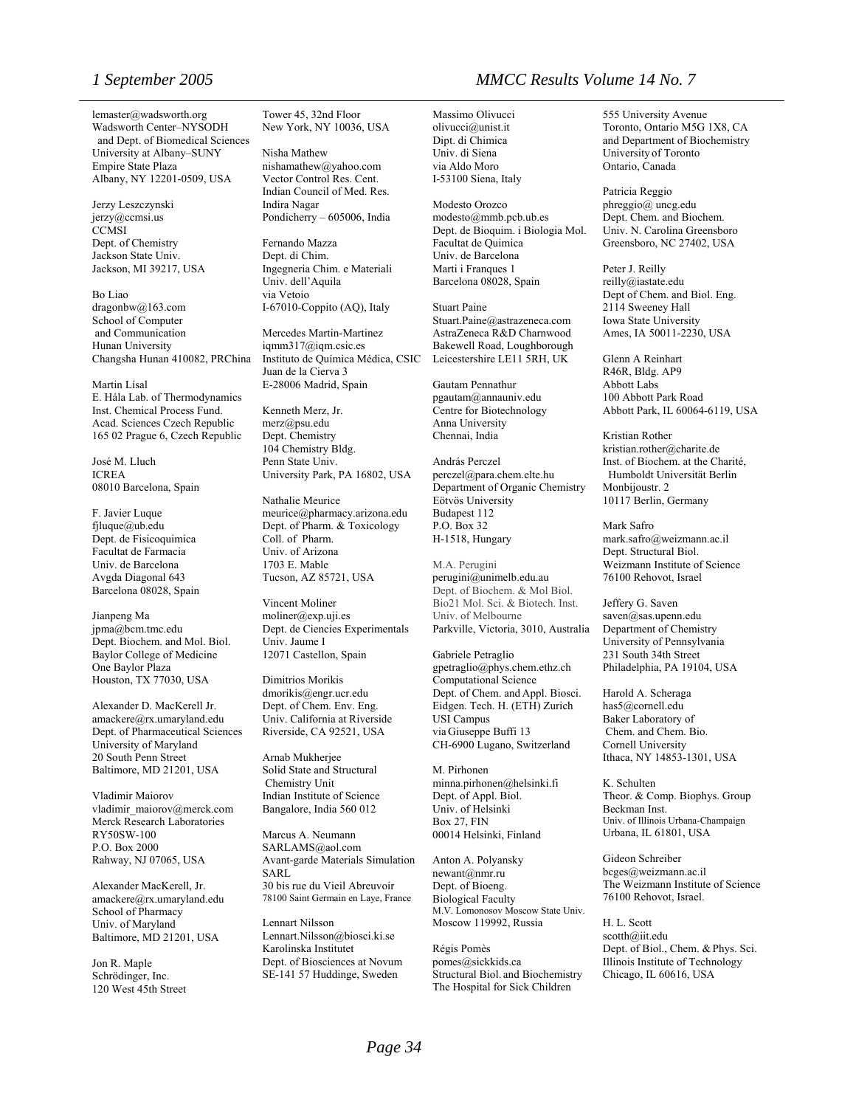lemaster@wadsworth.org Wadsworth Center–NYSODH and Dept. of Biomedical Sciences University at Albany–SUNY Empire State Plaza Albany, NY 12201-0509, USA

Jerzy Leszczynski jerzy@ccmsi.us **CCMSI** Dept. of Chemistry Jackson State Univ. Jackson, MI 39217, USA

Bo Liao [dragonbw@163.com](mailto:dragonbw@163.com) School of Computer and Communication Hunan University Changsha Hunan 410082, PRChina

Martin Lísal E. Hála Lab. of Thermodynamics Inst. Chemical Process Fund. Acad. Sciences Czech Republic 165 02 Prague 6, Czech Republic

José M. Lluch ICREA 08010 Barcelona, Spain

F. Javier Luque fjluque@ub.edu Dept. de Fisicoquimica Facultat de Farmacia Univ. de Barcelona Avgda Diagonal 643 Barcelona 08028, Spain

Jianpeng Ma jpma@bcm.tmc.edu Dept. Biochem. and Mol. Biol. Baylor College of Medicine One Baylor Plaza Houston, TX 77030, USA

Alexander D. MacKerell Jr. amackere@rx.umaryland.edu Dept. of Pharmaceutical Sciences University of Maryland 20 South Penn Street Baltimore, MD 21201, USA

Vladimir Maiorov vladimir\_maiorov@merck.com Merck Research Laboratories RY50SW-100 P.O. Box 2000 Rahway, NJ 07065, USA

Alexander MacKerell, Jr. amackere@rx.umaryland.edu School of Pharmacy Univ. of Maryland Baltimore, MD 21201, USA

Jon R. Maple Schrödinger, Inc. 120 West 45th Street Tower 45, 32nd Floor New York, NY 10036, USA

Nisha Mathew [nishamathew@yahoo.com](mailto:nishamathew@yahoo.com) Vector Control Res. Cent. Indian Council of Med. Res. Indira Nagar Pondicherry – 605006, India

Fernando Mazza Dept. di Chim. Ingegneria Chim. e Materiali Univ. dell'Aquila via Vetoio I-67010-Coppito (AQ), Italy

Mercedes Martin-Martinez iqmm317@iqm.csic.es Instituto de Química Médica, CSIC Juan de la Cierva 3 E-28006 Madrid, Spain

Kenneth Merz, Jr. merz@psu.edu Dept. Chemistry 104 Chemistry Bldg. Penn State Univ. University Park, PA 16802, USA

Nathalie Meurice [meurice@pharmacy.arizona.edu](mailto:meurice@pharmacy.arizona.edu) Dept. of Pharm. & Toxicology Coll. of Pharm. Univ. of Arizona 1703 E. Mable Tucson, AZ 85721, USA

Vincent Moliner moliner@exp.uji.es Dept. de Ciencies Experimentals Univ. Jaume I 12071 Castellon, Spain

Dimitrios Morikis dmorikis@engr.ucr.edu Dept. of Chem. Env. Eng. Univ. California at Riverside Riverside, CA 92521, USA

Arnab Mukherjee Solid State and Structural Chemistry Unit Indian Institute of Science Bangalore, India 560 012

Marcus A. Neumann SARLAMS@aol.com Avant-garde Materials Simulation SARL 30 bis rue du Vieil Abreuvoir 78100 Saint Germain en Laye, France

Lennart Nilsson Lennart.Nilsson@biosci.ki.se Karolinska Institutet Dept. of Biosciences at Novum SE-141 57 Huddinge, Sweden

Massimo Olivucci

olivucci@unist.it Dipt. di Chimica Univ. di Siena via Aldo Moro I-53100 Siena, Italy

Modesto Orozco modesto@mmb.pcb.ub.es Dept. de Bioquim. i Biologia Mol. Facultat de Quimica Univ. de Barcelona Marti i Franques 1 Barcelona 08028, Spain

Stuart Paine Stuart.Paine@astrazeneca.com AstraZeneca R&D Charnwood Bakewell Road, Loughborough Leicestershire LE11 5RH, UK

Gautam Pennathur pgautam@annauniv.edu Centre for Biotechnology Anna University Chennai, India

András Perczel perczel@para.chem.elte.hu Department of Organic Chemistry Eötvös University Budapest 112 P.O. Box 32 H-1518, Hungary

M.A. Perugini [perugini@unimelb.edu.au](mailto:perugini@unimelb.edu.au) Dept. of Biochem. & Mol Biol. Bio21 Mol. Sci. & Biotech. Inst. Univ. of Melbourne Parkville, Victoria, 3010, Australia

Gabriele Petraglio gpetraglio@phys.chem.ethz.ch Computational Science Dept. of Chem. and Appl. Biosci. Eidgen. Tech. H. (ETH) Zurich USI Campus via Giuseppe Buffi 13 CH-6900 Lugano, Switzerland

M. Pirhonen [minna.pirhonen@helsinki.fi](mailto:minna.pirhonen@helsinki.fi) Dept. of Appl. Biol. Univ. of Helsinki Box 27, FIN 00014 Helsinki, Finland

Anton A. Polyansky newant@nmr.ru Dept. of Bioeng. Biological Faculty M.V. Lomonosov Moscow State Univ. Moscow 119992, Russia

Régis Pomès pomes@sickkids.ca Structural Biol. and Biochemistry The Hospital for Sick Children

555 University Avenue Toronto, Ontario M5G 1X8, CA and Department of Biochemistry University of Toronto Ontario, Canada

Patricia Reggio phreggio@ uncg.edu Dept. Chem. and Biochem. Univ. N. Carolina Greensboro Greensboro, NC 27402, USA

Peter J. Reilly reilly@iastate.edu Dept of Chem. and Biol. Eng. 2114 Sweeney Hall Iowa State University Ames, IA 50011-2230, USA

Glenn A Reinhart R46R, Bldg. AP9 Abbott Labs 100 Abbott Park Road Abbott Park, IL 60064-6119, USA

Kristian Rother kristian.rother@charite.de Inst. of Biochem. at the Charité, Humboldt Universität Berlin Monbijoustr. 2 10117 Berlin, Germany

Mark Safro mark.safro@weizmann.ac.il Dept. Structural Biol. Weizmann Institute of Science 76100 Rehovot, Israel

Jeffery G. Saven saven@sas.upenn.edu Department of Chemistry University of Pennsylvania 231 South 34th Street Philadelphia, PA 19104, USA

Harold A. Scheraga has5@cornell.edu Baker Laboratory of Chem. and Chem. Bio. Cornell University Ithaca, NY 14853-1301, USA

K. Schulten Theor. & Comp. Biophys. Group Beckman Inst. Univ. of Illinois Urbana-Champaign Urbana, IL 61801, USA

Gideon Schreiber bcges@weizmann.ac.il The Weizmann Institute of Science 76100 Rehovot, Israel.

H. L. Scott scotth@iit.edu Dept. of Biol., Chem. & Phys. Sci. Illinois Institute of Technology Chicago, IL 60616, USA

### *1 September 2005 MMCC Results Volume 14 No. 7*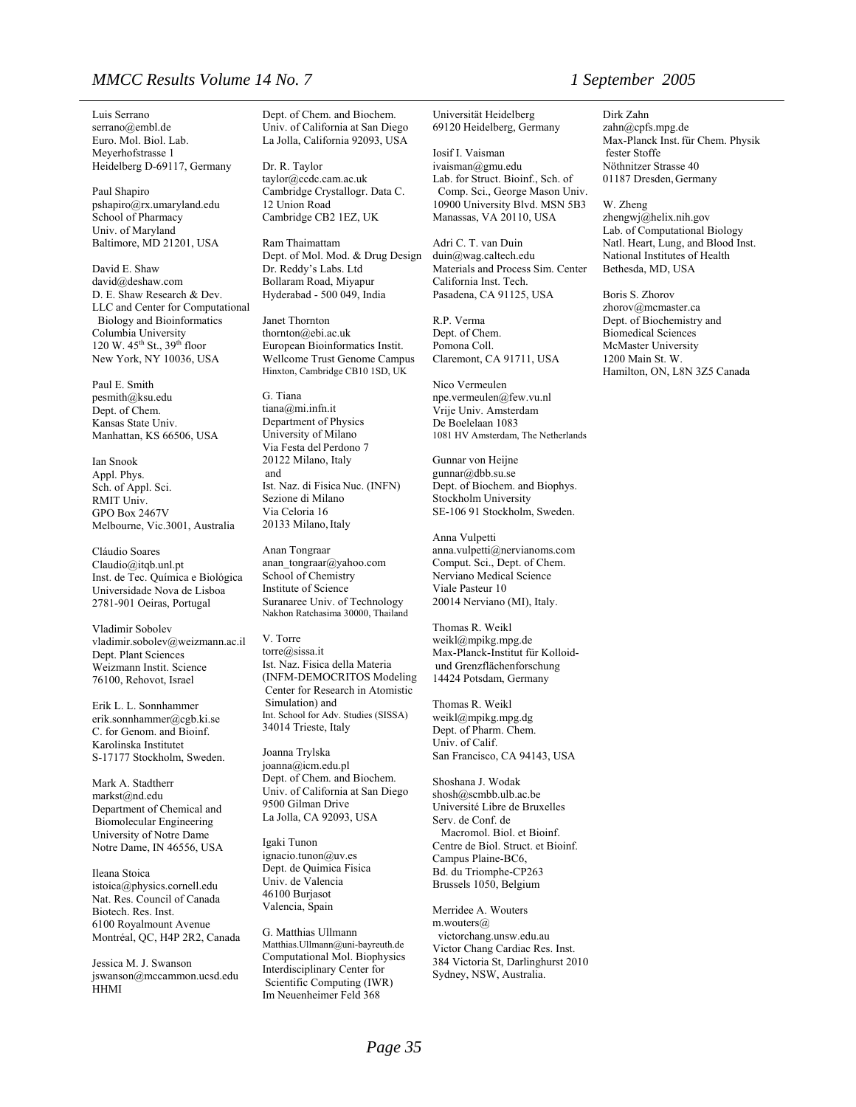#### *MMCC Results Volume 14 No. 7 1 September 2005*

Luis Serrano [serrano@embl.de](mailto:serrano@embl.de) Euro. Mol. Biol. Lab. Meyerhofstrasse 1 Heidelberg D-69117, Germany

Paul Shapiro pshapiro@rx.umaryland.edu School of Pharmacy Univ. of Maryland Baltimore, MD 21201, USA

David E. Shaw david@deshaw.com D. E. Shaw Research & Dev. LLC and Center for Computational Biology and Bioinformatics Columbia University 120 W.  $45^{th}$  St.,  $39^{th}$  floor New York, NY 10036, USA

Paul E. Smith pesmith@ksu.edu Dept. of Chem. Kansas State Univ. Manhattan, KS 66506, USA

Ian Snook Appl. Phys. Sch. of Appl. Sci. RMIT Univ. GPO Box 2467V Melbourne, Vic.3001, Australia

Cláudio Soares Claudio@itqb.unl.pt Inst. de Tec. Química e Biológica Universidade Nova de Lisboa 2781-901 Oeiras, Portugal

Vladimir Sobolev vladimir.sobolev@weizmann.ac.il Dept. Plant Sciences Weizmann Instit. Science 76100, Rehovot, Israel

Erik L. L. Sonnhammer erik.sonnhammer@cgb.ki.se C. for Genom. and Bioinf. Karolinska Institutet S-17177 Stockholm, Sweden.

Mark A. Stadtherr [markst@nd.edu](mailto:markst@nd.edu) Department of Chemical and Biomolecular Engineering University of Notre Dame Notre Dame, IN 46556, USA

Ileana Stoica [istoica@physics.cornell.edu](mailto:istoica@physics.cornell.edu) Nat. Res. Council of Canada Biotech. Res. Inst. 6100 Royalmount Avenue Montréal, QC, H4P 2R2, Canada

Jessica M. J. Swanson jswanson@mccammon.ucsd.edu HHMI

Dept. of Chem. and Biochem. Univ. of California at San Diego La Jolla, California 92093, USA

Dr. R. Taylor taylor@ccdc.cam.ac.uk Cambridge Crystallogr. Data C. 12 Union Road Cambridge CB2 1EZ, UK

Ram Thaimattam Dept. of Mol. Mod. & Drug Design Dr. Reddy's Labs. Ltd Bollaram Road, Miyapur Hyderabad - 500 049, India

Janet Thornton thornton@ebi.ac.uk European Bioinformatics Instit. Wellcome Trust Genome Campus Hinxton, Cambridge CB10 1SD, UK

G. Tiana tiana@mi.infn.it Department of Physics University of Milano Via Festa del Perdono 7 20122 Milano, Italy and Ist. Naz. di Fisica Nuc. (INFN) Sezione di Milano Via Celoria 16 20133 Milano, Italy

Anan Tongraar anan\_tongraar@yahoo.com School of Chemistry Institute of Science Suranaree Univ. of Technology Nakhon Ratchasima 30000, Thailand

V. Torre torre@sissa.it Ist. Naz. Fisica della Materia (INFM-DEMOCRITOS Modeling Center for Research in Atomistic Simulation) and Int. School for Adv. Studies (SISSA) 34014 Trieste, Italy

Joanna Trylska joanna@icm.edu.pl Dept. of Chem. and Biochem. Univ. of California at San Diego 9500 Gilman Drive La Jolla, CA 92093, USA

Igaki Tunon ignacio.tunon@uv.es Dept. de Quimica Fisica Univ. de Valencia 46100 Burjasot Valencia, Spain

G. Matthias Ullmann Matthias.Ullmann@uni-bayreuth.de Computational Mol. Biophysics Interdisciplinary Center for Scientific Computing (IWR) Im Neuenheimer Feld 368

Universität Heidelberg 69120 Heidelberg, Germany

Iosif I. Vaisman ivaisman@gmu.edu Lab. for Struct. Bioinf., Sch. of Comp. Sci., George Mason Univ. 10900 University Blvd. MSN 5B3 Manassas, VA 20110, USA

Adri C. T. van Duin duin@wag.caltech.edu Materials and Process Sim. Center California Inst. Tech. Pasadena, CA 91125, USA

R.P. Verma Dept. of Chem. Pomona Coll. Claremont, CA 91711, USA

Nico Vermeulen npe.vermeulen@few.vu.nl Vrije Univ. Amsterdam De Boelelaan 1083 1081 HV Amsterdam, The Netherlands

Gunnar von Heijne gunnar@dbb.su.se Dept. of Biochem. and Biophys. Stockholm University SE-106 91 Stockholm, Sweden.

Anna Vulpetti anna.vulpetti@nervianoms.com Comput. Sci., Dept. of Chem. Nerviano Medical Science Viale Pasteur 10 20014 Nerviano (MI), Italy.

Thomas R. Weikl weikl@mpikg.mpg.de Max-Planck-Institut für Kolloid und Grenzflächenforschung 14424 Potsdam, Germany

Thomas R. Weikl [weikl@mpikg.mpg.dg](mailto:weikl@mpikg.mpg.dg) Dept. of Pharm. Chem. Univ. of Calif. San Francisco, CA 94143, USA

Shoshana J. Wodak shosh@scmbb.ulb.ac.be Université Libre de Bruxelles Serv. de Conf. de Macromol. Biol. et Bioinf. Centre de Biol. Struct. et Bioinf. Campus Plaine-BC6, Bd. du Triomphe-CP263 Brussels 1050, Belgium

Merridee A. Wouters m.wouters@ victorchang.unsw.edu.au Victor Chang Cardiac Res. Inst. 384 Victoria St, Darlinghurst 2010 Sydney, NSW, Australia.

Dirk Zahn zahn@cpfs.mpg.de Max-Planck Inst.für Chem. Physik fester Stoffe Nöthnitzer Strasse 40 01187 Dresden, Germany

W. Zheng zhengwj@helix.nih.gov Lab. of Computational Biology Natl. Heart, Lung, and Blood Inst. National Institutes of Health Bethesda, MD, USA

Boris S. Zhorov zhorov@mcmaster.ca Dept. of Biochemistry and Biomedical Sciences McMaster University 1200 Main St. W. Hamilton, ON, L8N 3Z5 Canada